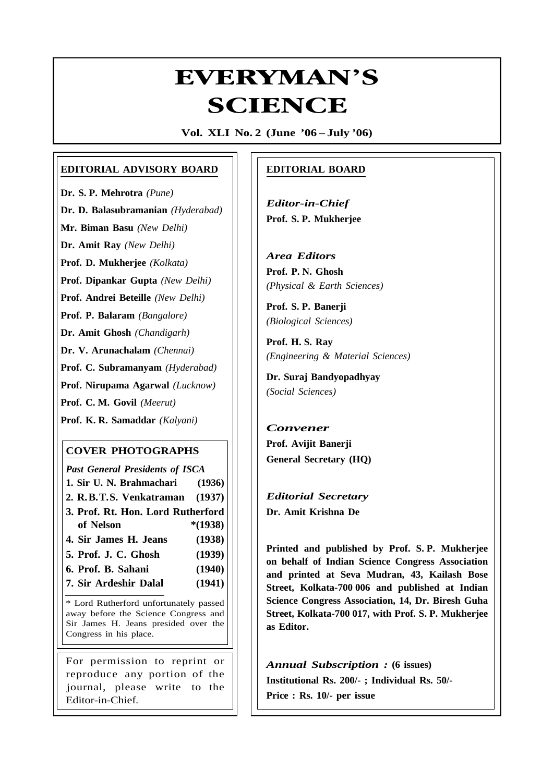# **Everyman's Science VOL. XLI NO. 2, June '06 —July '06** EVERYMAN'S **/ERYMAN<br>SCIENCE**

**Vol. XLI No. 2 (June '06 – July '06)**

#### **EDITORIAL ADVISORY BOARD**

**Dr. S. P. Mehrotra** *(Pune)*

**Dr. D. Balasubramanian** *(Hyderabad)*

**Mr. Biman Basu** *(New Delhi)*

**Dr. Amit Ray** *(New Delhi)*

**Prof. D. Mukherjee** *(Kolkata)*

**Prof. Dipankar Gupta** *(New Delhi)*

**Prof. Andrei Beteille** *(New Delhi)*

**Prof. P. Balaram** *(Bangalore)*

**Dr. Amit Ghosh** *(Chandigarh)*

**Dr. V. Arunachalam** *(Chennai)*

**Prof. C. Subramanyam** *(Hyderabad)*

**Prof. Nirupama Agarwal** *(Lucknow)*

**Prof. C. M. Govil** *(Meerut)*

**Prof. K. R. Samaddar** *(Kalyani)*

#### **COVER PHOTOGRAPHS**

*Past General Presidents of ISCA* **1. Sir U. N. Brahmachari (1936) 2. R.B.T.S. Venkatraman (1937) 3. Prof. Rt. Hon. Lord Rutherford of Nelson \*(1938) 4. Sir James H. Jeans (1938) 5. Prof. J. C. Ghosh (1939)**

- **6. Prof. B. Sahani (1940)**
- **7. Sir Ardeshir Dalal (1941)**

\* Lord Rutherford unfortunately passed away before the Science Congress and Sir James H. Jeans presided over the Congress in his place.

For permission to reprint or reproduce any portion of the journal, please write to the Editor-in-Chief.

### **EDITORIAL BOARD**

*Editor-in-Chief* **Prof. S. P. Mukherjee**

*Area Editors* **Prof. P. N. Ghosh** *(Physical & Earth Sciences)*

**Prof. S. P. Banerji** *(Biological Sciences)*

**Prof. H. S. Ray** *(Engineering & Material Sciences)*

**Dr. Suraj Bandyopadhyay** *(Social Sciences)*

# *Convener* **Prof. Avijit Banerji General Secretary (HQ)**

*Editorial Secretary* **Dr. Amit Krishna De**

81

**Printed and published by Prof. S. P. Mukherjee on behalf of Indian Science Congress Association and printed at Seva Mudran, 43, Kailash Bose Street, Kolkata-700 006 and published at Indian Science Congress Association, 14, Dr. Biresh Guha Street, Kolkata-700 017, with Prof. S. P. Mukherjee as Editor.**

*Annual Subscription :* **(6 issues) Institutional Rs. 200/- ; Individual Rs. 50/- Price : Rs. 10/- per issue**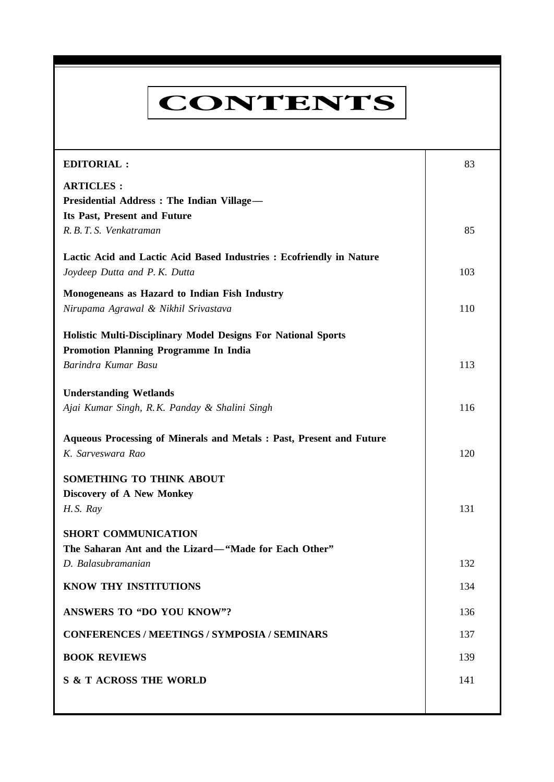# **CONTENTS**

**Everyman's Science VOL. XLI NO. 2, June '06 —July '06**

| <b>EDITORIAL:</b>                                                                                                    | 83  |
|----------------------------------------------------------------------------------------------------------------------|-----|
| <b>ARTICLES:</b><br>Presidential Address : The Indian Village-<br>Its Past, Present and Future                       |     |
| R. B. T. S. Venkatraman                                                                                              | 85  |
| Lactic Acid and Lactic Acid Based Industries : Ecofriendly in Nature<br>Joydeep Dutta and P. K. Dutta                | 103 |
| Monogeneans as Hazard to Indian Fish Industry<br>Nirupama Agrawal & Nikhil Srivastava                                | 110 |
| <b>Holistic Multi-Disciplinary Model Designs For National Sports</b><br><b>Promotion Planning Programme In India</b> |     |
| Barindra Kumar Basu                                                                                                  | 113 |
| <b>Understanding Wetlands</b><br>Ajai Kumar Singh, R.K. Panday & Shalini Singh                                       | 116 |
| Aqueous Processing of Minerals and Metals: Past, Present and Future<br>K. Sarveswara Rao                             | 120 |
| SOMETHING TO THINK ABOUT<br>Discovery of A New Monkey<br>H.S. Ray                                                    | 131 |
| <b>SHORT COMMUNICATION</b><br>The Saharan Ant and the Lizard-"Made for Each Other"                                   |     |
| D. Balasubramanian                                                                                                   | 132 |
| KNOW THY INSTITUTIONS                                                                                                | 134 |
| <b>ANSWERS TO "DO YOU KNOW"?</b>                                                                                     | 136 |
| <b>CONFERENCES / MEETINGS / SYMPOSIA / SEMINARS</b>                                                                  | 137 |
| <b>BOOK REVIEWS</b>                                                                                                  | 139 |
| <b>S &amp; T ACROSS THE WORLD</b>                                                                                    | 141 |
|                                                                                                                      |     |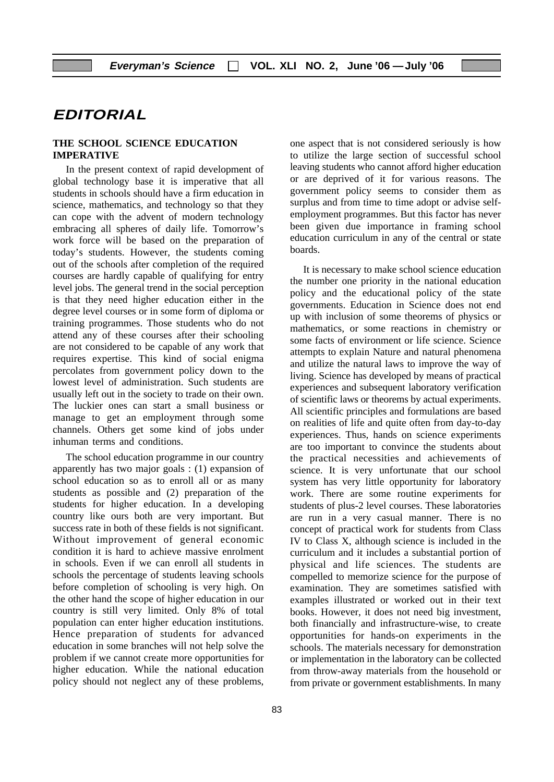# **EDITORIAL**

#### **THE SCHOOL SCIENCE EDUCATION IMPERATIVE**

In the present context of rapid development of global technology base it is imperative that all students in schools should have a firm education in science, mathematics, and technology so that they can cope with the advent of modern technology embracing all spheres of daily life. Tomorrow's work force will be based on the preparation of today's students. However, the students coming out of the schools after completion of the required courses are hardly capable of qualifying for entry level jobs. The general trend in the social perception is that they need higher education either in the degree level courses or in some form of diploma or training programmes. Those students who do not attend any of these courses after their schooling are not considered to be capable of any work that requires expertise. This kind of social enigma percolates from government policy down to the lowest level of administration. Such students are usually left out in the society to trade on their own. The luckier ones can start a small business or manage to get an employment through some channels. Others get some kind of jobs under inhuman terms and conditions.

The school education programme in our country apparently has two major goals : (1) expansion of school education so as to enroll all or as many students as possible and (2) preparation of the students for higher education. In a developing country like ours both are very important. But success rate in both of these fields is not significant. Without improvement of general economic condition it is hard to achieve massive enrolment in schools. Even if we can enroll all students in schools the percentage of students leaving schools before completion of schooling is very high. On the other hand the scope of higher education in our country is still very limited. Only 8% of total population can enter higher education institutions. Hence preparation of students for advanced education in some branches will not help solve the problem if we cannot create more opportunities for higher education. While the national education policy should not neglect any of these problems,

one aspect that is not considered seriously is how to utilize the large section of successful school leaving students who cannot afford higher education or are deprived of it for various reasons. The government policy seems to consider them as surplus and from time to time adopt or advise selfemployment programmes. But this factor has never been given due importance in framing school education curriculum in any of the central or state boards.

It is necessary to make school science education the number one priority in the national education policy and the educational policy of the state governments. Education in Science does not end up with inclusion of some theorems of physics or mathematics, or some reactions in chemistry or some facts of environment or life science. Science attempts to explain Nature and natural phenomena and utilize the natural laws to improve the way of living. Science has developed by means of practical experiences and subsequent laboratory verification of scientific laws or theorems by actual experiments. All scientific principles and formulations are based on realities of life and quite often from day-to-day experiences. Thus, hands on science experiments are too important to convince the students about the practical necessities and achievements of science. It is very unfortunate that our school system has very little opportunity for laboratory work. There are some routine experiments for students of plus-2 level courses. These laboratories are run in a very casual manner. There is no concept of practical work for students from Class IV to Class X, although science is included in the curriculum and it includes a substantial portion of physical and life sciences. The students are compelled to memorize science for the purpose of examination. They are sometimes satisfied with examples illustrated or worked out in their text books. However, it does not need big investment, both financially and infrastructure-wise, to create opportunities for hands-on experiments in the schools. The materials necessary for demonstration or implementation in the laboratory can be collected from throw-away materials from the household or from private or government establishments. In many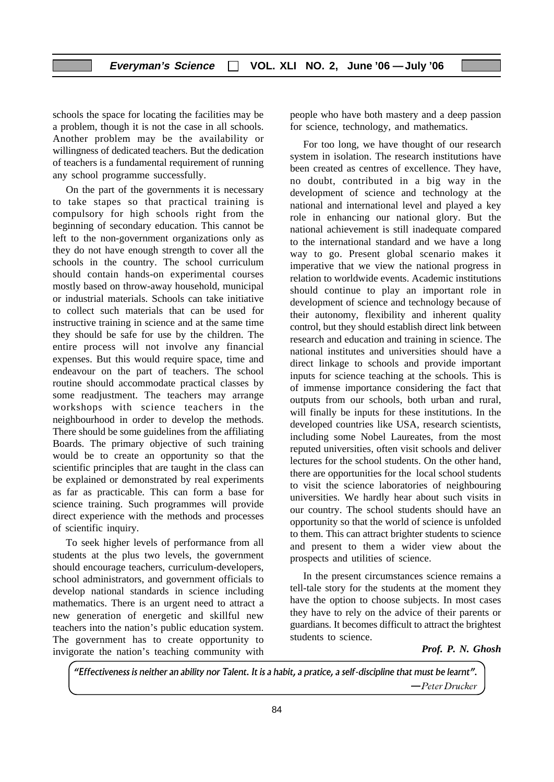schools the space for locating the facilities may be a problem, though it is not the case in all schools. Another problem may be the availability or willingness of dedicated teachers. But the dedication of teachers is a fundamental requirement of running any school programme successfully.

On the part of the governments it is necessary to take stapes so that practical training is compulsory for high schools right from the beginning of secondary education. This cannot be left to the non-government organizations only as they do not have enough strength to cover all the schools in the country. The school curriculum should contain hands-on experimental courses mostly based on throw-away household, municipal or industrial materials. Schools can take initiative to collect such materials that can be used for instructive training in science and at the same time they should be safe for use by the children. The entire process will not involve any financial expenses. But this would require space, time and endeavour on the part of teachers. The school routine should accommodate practical classes by some readjustment. The teachers may arrange workshops with science teachers in the neighbourhood in order to develop the methods. There should be some guidelines from the affiliating Boards. The primary objective of such training would be to create an opportunity so that the scientific principles that are taught in the class can be explained or demonstrated by real experiments as far as practicable. This can form a base for science training. Such programmes will provide direct experience with the methods and processes of scientific inquiry.

To seek higher levels of performance from all students at the plus two levels, the government should encourage teachers, curriculum-developers, school administrators, and government officials to develop national standards in science including mathematics. There is an urgent need to attract a new generation of energetic and skillful new teachers into the nation's public education system. The government has to create opportunity to invigorate the nation's teaching community with

people who have both mastery and a deep passion for science, technology, and mathematics.

For too long, we have thought of our research system in isolation. The research institutions have been created as centres of excellence. They have, no doubt, contributed in a big way in the development of science and technology at the national and international level and played a key role in enhancing our national glory. But the national achievement is still inadequate compared to the international standard and we have a long way to go. Present global scenario makes it imperative that we view the national progress in relation to worldwide events. Academic institutions should continue to play an important role in development of science and technology because of their autonomy, flexibility and inherent quality control, but they should establish direct link between research and education and training in science. The national institutes and universities should have a direct linkage to schools and provide important inputs for science teaching at the schools. This is of immense importance considering the fact that outputs from our schools, both urban and rural, will finally be inputs for these institutions. In the developed countries like USA, research scientists, including some Nobel Laureates, from the most reputed universities, often visit schools and deliver lectures for the school students. On the other hand, there are opportunities for the local school students to visit the science laboratories of neighbouring universities. We hardly hear about such visits in our country. The school students should have an opportunity so that the world of science is unfolded to them. This can attract brighter students to science and present to them a wider view about the prospects and utilities of science.

In the present circumstances science remains a tell-tale story for the students at the moment they have the option to choose subjects. In most cases they have to rely on the advice of their parents or guardians. It becomes difficult to attract the brightest students to science.

#### *Prof. P. N. Ghosh*

"Effectiveness is neither an ability nor Talent. It is a habit, a pratice, a self-discipline that must be learnt". -Peter Drucker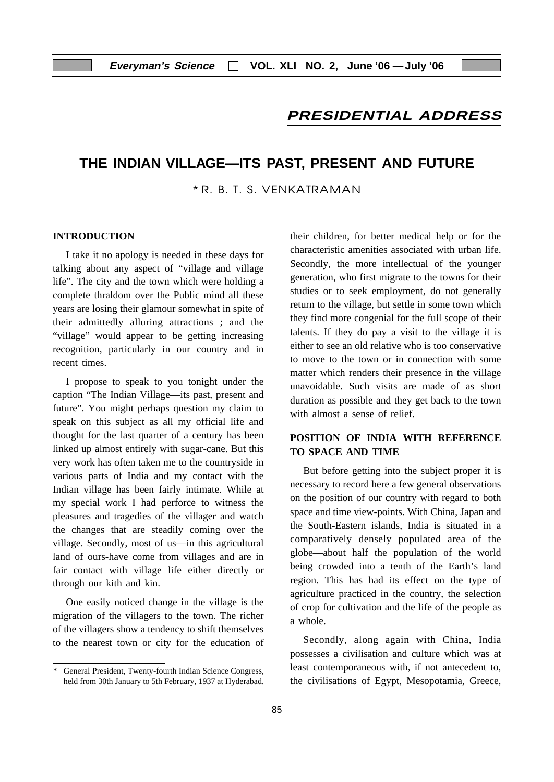# **PRESIDENTIAL ADDRESS**

## **THE INDIAN VILLAGE—ITS PAST, PRESENT AND FUTURE**

\* R. B. T. S. VENKATRAMAN

#### **INTRODUCTION**

I take it no apology is needed in these days for talking about any aspect of "village and village life". The city and the town which were holding a complete thraldom over the Public mind all these years are losing their glamour somewhat in spite of their admittedly alluring attractions ; and the "village" would appear to be getting increasing recognition, particularly in our country and in recent times.

I propose to speak to you tonight under the caption "The Indian Village—its past, present and future". You might perhaps question my claim to speak on this subject as all my official life and thought for the last quarter of a century has been linked up almost entirely with sugar-cane. But this very work has often taken me to the countryside in various parts of India and my contact with the Indian village has been fairly intimate. While at my special work I had perforce to witness the pleasures and tragedies of the villager and watch the changes that are steadily coming over the village. Secondly, most of us—in this agricultural land of ours-have come from villages and are in fair contact with village life either directly or through our kith and kin.

One easily noticed change in the village is the migration of the villagers to the town. The richer of the villagers show a tendency to shift themselves to the nearest town or city for the education of their children, for better medical help or for the characteristic amenities associated with urban life. Secondly, the more intellectual of the younger generation, who first migrate to the towns for their studies or to seek employment, do not generally return to the village, but settle in some town which they find more congenial for the full scope of their talents. If they do pay a visit to the village it is either to see an old relative who is too conservative to move to the town or in connection with some matter which renders their presence in the village unavoidable. Such visits are made of as short duration as possible and they get back to the town with almost a sense of relief.

#### **POSITION OF INDIA WITH REFERENCE TO SPACE AND TIME**

But before getting into the subject proper it is necessary to record here a few general observations on the position of our country with regard to both space and time view-points. With China, Japan and the South-Eastern islands, India is situated in a comparatively densely populated area of the globe—about half the population of the world being crowded into a tenth of the Earth's land region. This has had its effect on the type of agriculture practiced in the country, the selection of crop for cultivation and the life of the people as a whole.

Secondly, along again with China, India possesses a civilisation and culture which was at least contemporaneous with, if not antecedent to, the civilisations of Egypt, Mesopotamia, Greece,

<sup>\*</sup> General President, Twenty-fourth Indian Science Congress, held from 30th January to 5th February, 1937 at Hyderabad.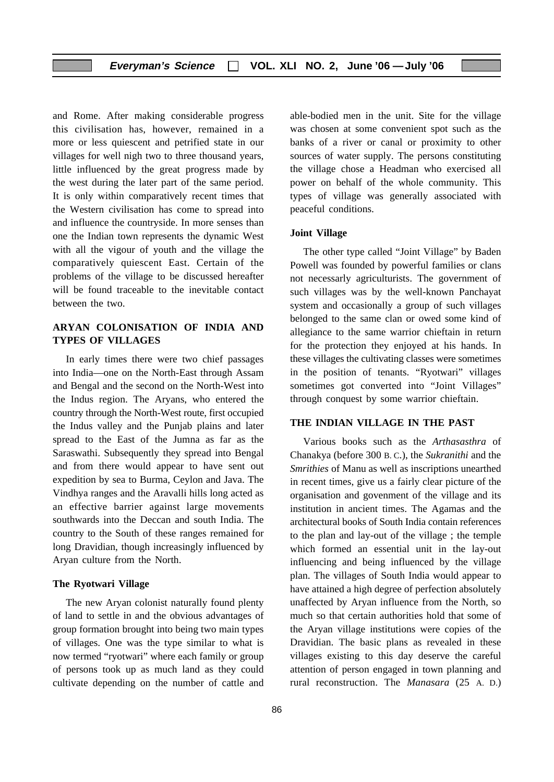and Rome. After making considerable progress this civilisation has, however, remained in a more or less quiescent and petrified state in our villages for well nigh two to three thousand years, little influenced by the great progress made by the west during the later part of the same period. It is only within comparatively recent times that the Western civilisation has come to spread into and influence the countryside. In more senses than one the Indian town represents the dynamic West with all the vigour of youth and the village the comparatively quiescent East. Certain of the problems of the village to be discussed hereafter will be found traceable to the inevitable contact between the two.

#### **ARYAN COLONISATION OF INDIA AND TYPES OF VILLAGES**

In early times there were two chief passages into India—one on the North-East through Assam and Bengal and the second on the North-West into the Indus region. The Aryans, who entered the country through the North-West route, first occupied the Indus valley and the Punjab plains and later spread to the East of the Jumna as far as the Saraswathi. Subsequently they spread into Bengal and from there would appear to have sent out expedition by sea to Burma, Ceylon and Java. The Vindhya ranges and the Aravalli hills long acted as an effective barrier against large movements southwards into the Deccan and south India. The country to the South of these ranges remained for long Dravidian, though increasingly influenced by Aryan culture from the North.

#### **The Ryotwari Village**

The new Aryan colonist naturally found plenty of land to settle in and the obvious advantages of group formation brought into being two main types of villages. One was the type similar to what is now termed "ryotwari" where each family or group of persons took up as much land as they could cultivate depending on the number of cattle and

able-bodied men in the unit. Site for the village was chosen at some convenient spot such as the banks of a river or canal or proximity to other sources of water supply. The persons constituting the village chose a Headman who exercised all power on behalf of the whole community. This types of village was generally associated with peaceful conditions.

#### **Joint Village**

The other type called "Joint Village" by Baden Powell was founded by powerful families or clans not necessarly agriculturists. The government of such villages was by the well-known Panchayat system and occasionally a group of such villages belonged to the same clan or owed some kind of allegiance to the same warrior chieftain in return for the protection they enjoyed at his hands. In these villages the cultivating classes were sometimes in the position of tenants. "Ryotwari" villages sometimes got converted into "Joint Villages" through conquest by some warrior chieftain.

#### **THE INDIAN VILLAGE IN THE PAST**

Various books such as the *Arthasasthra* of Chanakya (before 300 B. C.), the *Sukranithi* and the *Smrithies* of Manu as well as inscriptions unearthed in recent times, give us a fairly clear picture of the organisation and govenment of the village and its institution in ancient times. The Agamas and the architectural books of South India contain references to the plan and lay-out of the village ; the temple which formed an essential unit in the lay-out influencing and being influenced by the village plan. The villages of South India would appear to have attained a high degree of perfection absolutely unaffected by Aryan influence from the North, so much so that certain authorities hold that some of the Aryan village institutions were copies of the Dravidian. The basic plans as revealed in these villages existing to this day deserve the careful attention of person engaged in town planning and rural reconstruction. The *Manasara* (25 A. D.)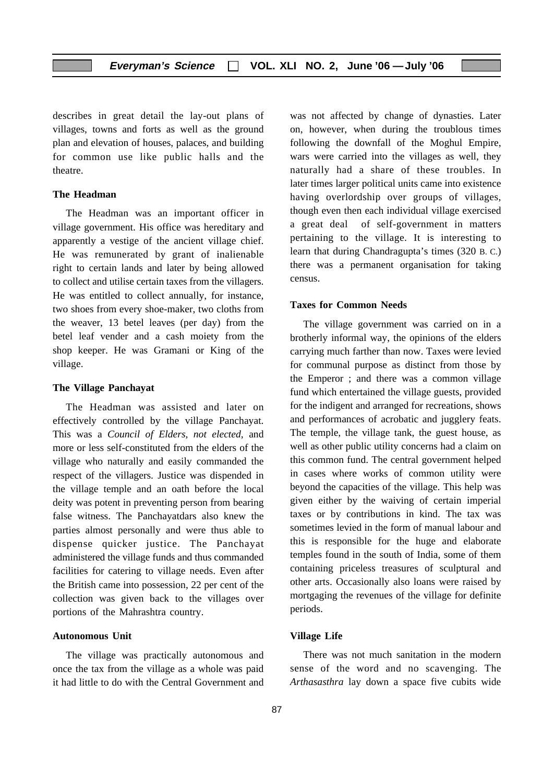describes in great detail the lay-out plans of villages, towns and forts as well as the ground plan and elevation of houses, palaces, and building for common use like public halls and the theatre.

#### **The Headman**

The Headman was an important officer in village government. His office was hereditary and apparently a vestige of the ancient village chief. He was remunerated by grant of inalienable right to certain lands and later by being allowed to collect and utilise certain taxes from the villagers. He was entitled to collect annually, for instance, two shoes from every shoe-maker, two cloths from the weaver, 13 betel leaves (per day) from the betel leaf vender and a cash moiety from the shop keeper. He was Gramani or King of the village.

#### **The Village Panchayat**

The Headman was assisted and later on effectively controlled by the village Panchayat. This was a *Council of Elders, not elected*, and more or less self-constituted from the elders of the village who naturally and easily commanded the respect of the villagers. Justice was dispended in the village temple and an oath before the local deity was potent in preventing person from bearing false witness. The Panchayatdars also knew the parties almost personally and were thus able to dispense quicker justice. The Panchayat administered the village funds and thus commanded facilities for catering to village needs. Even after the British came into possession, 22 per cent of the collection was given back to the villages over portions of the Mahrashtra country.

#### **Autonomous Unit**

The village was practically autonomous and once the tax from the village as a whole was paid it had little to do with the Central Government and was not affected by change of dynasties. Later on, however, when during the troublous times following the downfall of the Moghul Empire, wars were carried into the villages as well, they naturally had a share of these troubles. In later times larger political units came into existence having overlordship over groups of villages, though even then each individual village exercised a great deal of self-government in matters pertaining to the village. It is interesting to learn that during Chandragupta's times (320 B. C.) there was a permanent organisation for taking census.

#### **Taxes for Common Needs**

The village government was carried on in a brotherly informal way, the opinions of the elders carrying much farther than now. Taxes were levied for communal purpose as distinct from those by the Emperor ; and there was a common village fund which entertained the village guests, provided for the indigent and arranged for recreations, shows and performances of acrobatic and jugglery feats. The temple, the village tank, the guest house, as well as other public utility concerns had a claim on this common fund. The central government helped in cases where works of common utility were beyond the capacities of the village. This help was given either by the waiving of certain imperial taxes or by contributions in kind. The tax was sometimes levied in the form of manual labour and this is responsible for the huge and elaborate temples found in the south of India, some of them containing priceless treasures of sculptural and other arts. Occasionally also loans were raised by mortgaging the revenues of the village for definite periods.

#### **Village Life**

There was not much sanitation in the modern sense of the word and no scavenging. The *Arthasasthra* lay down a space five cubits wide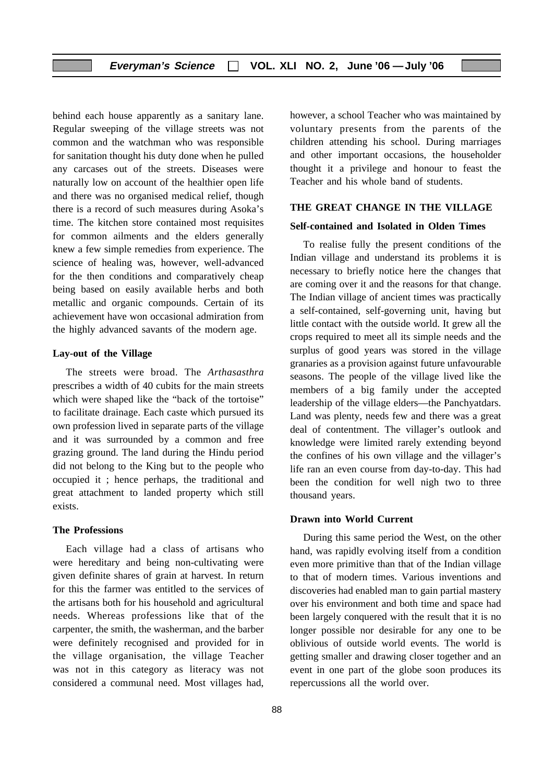behind each house apparently as a sanitary lane. Regular sweeping of the village streets was not common and the watchman who was responsible for sanitation thought his duty done when he pulled any carcases out of the streets. Diseases were naturally low on account of the healthier open life and there was no organised medical relief, though there is a record of such measures during Asoka's time. The kitchen store contained most requisites for common ailments and the elders generally knew a few simple remedies from experience. The science of healing was, however, well-advanced for the then conditions and comparatively cheap being based on easily available herbs and both metallic and organic compounds. Certain of its achievement have won occasional admiration from the highly advanced savants of the modern age.

#### **Lay-out of the Village**

The streets were broad. The *Arthasasthra* prescribes a width of 40 cubits for the main streets which were shaped like the "back of the tortoise" to facilitate drainage. Each caste which pursued its own profession lived in separate parts of the village and it was surrounded by a common and free grazing ground. The land during the Hindu period did not belong to the King but to the people who occupied it ; hence perhaps, the traditional and great attachment to landed property which still exists.

#### **The Professions**

Each village had a class of artisans who were hereditary and being non-cultivating were given definite shares of grain at harvest. In return for this the farmer was entitled to the services of the artisans both for his household and agricultural needs. Whereas professions like that of the carpenter, the smith, the washerman, and the barber were definitely recognised and provided for in the village organisation, the village Teacher was not in this category as literacy was not considered a communal need. Most villages had,

however, a school Teacher who was maintained by voluntary presents from the parents of the children attending his school. During marriages and other important occasions, the householder thought it a privilege and honour to feast the Teacher and his whole band of students.

#### **THE GREAT CHANGE IN THE VILLAGE**

#### **Self-contained and Isolated in Olden Times**

To realise fully the present conditions of the Indian village and understand its problems it is necessary to briefly notice here the changes that are coming over it and the reasons for that change. The Indian village of ancient times was practically a self-contained, self-governing unit, having but little contact with the outside world. It grew all the crops required to meet all its simple needs and the surplus of good years was stored in the village granaries as a provision against future unfavourable seasons. The people of the village lived like the members of a big family under the accepted leadership of the village elders—the Panchyatdars. Land was plenty, needs few and there was a great deal of contentment. The villager's outlook and knowledge were limited rarely extending beyond the confines of his own village and the villager's life ran an even course from day-to-day. This had been the condition for well nigh two to three thousand years.

#### **Drawn into World Current**

During this same period the West, on the other hand, was rapidly evolving itself from a condition even more primitive than that of the Indian village to that of modern times. Various inventions and discoveries had enabled man to gain partial mastery over his environment and both time and space had been largely conquered with the result that it is no longer possible nor desirable for any one to be oblivious of outside world events. The world is getting smaller and drawing closer together and an event in one part of the globe soon produces its repercussions all the world over.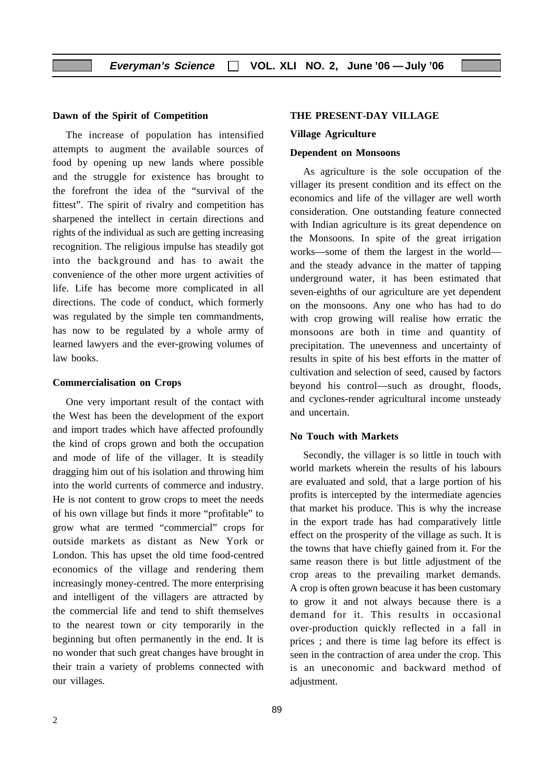#### **Dawn of the Spirit of Competition**

The increase of population has intensified attempts to augment the available sources of food by opening up new lands where possible and the struggle for existence has brought to the forefront the idea of the "survival of the fittest". The spirit of rivalry and competition has sharpened the intellect in certain directions and rights of the individual as such are getting increasing recognition. The religious impulse has steadily got into the background and has to await the convenience of the other more urgent activities of life. Life has become more complicated in all directions. The code of conduct, which formerly was regulated by the simple ten commandments, has now to be regulated by a whole army of learned lawyers and the ever-growing volumes of law books.

#### **Commercialisation on Crops**

One very important result of the contact with the West has been the development of the export and import trades which have affected profoundly the kind of crops grown and both the occupation and mode of life of the villager. It is steadily dragging him out of his isolation and throwing him into the world currents of commerce and industry. He is not content to grow crops to meet the needs of his own village but finds it more "profitable" to grow what are termed "commercial" crops for outside markets as distant as New York or London. This has upset the old time food-centred economics of the village and rendering them increasingly money-centred. The more enterprising and intelligent of the villagers are attracted by the commercial life and tend to shift themselves to the nearest town or city temporarily in the beginning but often permanently in the end. It is no wonder that such great changes have brought in their train a variety of problems connected with our villages.

#### **THE PRESENT-DAY VILLAGE**

#### **Village Agriculture**

#### **Dependent on Monsoons**

As agriculture is the sole occupation of the villager its present condition and its effect on the economics and life of the villager are well worth consideration. One outstanding feature connected with Indian agriculture is its great dependence on the Monsoons. In spite of the great irrigation works—some of them the largest in the world and the steady advance in the matter of tapping underground water, it has been estimated that seven-eighths of our agriculture are yet dependent on the monsoons. Any one who has had to do with crop growing will realise how erratic the monsoons are both in time and quantity of precipitation. The unevenness and uncertainty of results in spite of his best efforts in the matter of cultivation and selection of seed, caused by factors beyond his control—such as drought, floods, and cyclones-render agricultural income unsteady and uncertain.

#### **No Touch with Markets**

Secondly, the villager is so little in touch with world markets wherein the results of his labours are evaluated and sold, that a large portion of his profits is intercepted by the intermediate agencies that market his produce. This is why the increase in the export trade has had comparatively little effect on the prosperity of the village as such. It is the towns that have chiefly gained from it. For the same reason there is but little adjustment of the crop areas to the prevailing market demands. A crop is often grown beacuse it has been customary to grow it and not always because there is a demand for it. This results in occasional over-production quickly reflected in a fall in prices ; and there is time lag before its effect is seen in the contraction of area under the crop. This is an uneconomic and backward method of adjustment.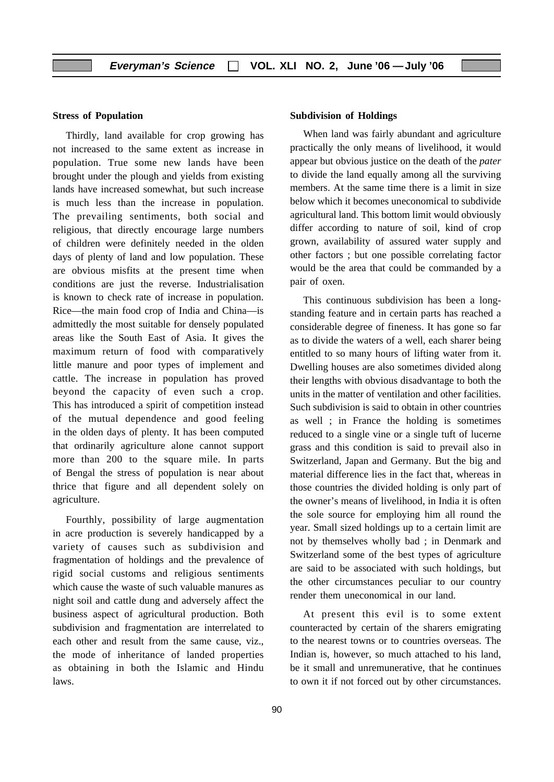#### **Stress of Population**

Thirdly, land available for crop growing has not increased to the same extent as increase in population. True some new lands have been brought under the plough and yields from existing lands have increased somewhat, but such increase is much less than the increase in population. The prevailing sentiments, both social and religious, that directly encourage large numbers of children were definitely needed in the olden days of plenty of land and low population. These are obvious misfits at the present time when conditions are just the reverse. Industrialisation is known to check rate of increase in population. Rice—the main food crop of India and China—is admittedly the most suitable for densely populated areas like the South East of Asia. It gives the maximum return of food with comparatively little manure and poor types of implement and cattle. The increase in population has proved beyond the capacity of even such a crop. This has introduced a spirit of competition instead of the mutual dependence and good feeling in the olden days of plenty. It has been computed that ordinarily agriculture alone cannot support more than 200 to the square mile. In parts of Bengal the stress of population is near about thrice that figure and all dependent solely on agriculture.

Fourthly, possibility of large augmentation in acre production is severely handicapped by a variety of causes such as subdivision and fragmentation of holdings and the prevalence of rigid social customs and religious sentiments which cause the waste of such valuable manures as night soil and cattle dung and adversely affect the business aspect of agricultural production. Both subdivision and fragmentation are interrelated to each other and result from the same cause, viz., the mode of inheritance of landed properties as obtaining in both the Islamic and Hindu laws.

#### **Subdivision of Holdings**

When land was fairly abundant and agriculture practically the only means of livelihood, it would appear but obvious justice on the death of the *pater* to divide the land equally among all the surviving members. At the same time there is a limit in size below which it becomes uneconomical to subdivide agricultural land. This bottom limit would obviously differ according to nature of soil, kind of crop grown, availability of assured water supply and other factors ; but one possible correlating factor would be the area that could be commanded by a pair of oxen.

This continuous subdivision has been a longstanding feature and in certain parts has reached a considerable degree of fineness. It has gone so far as to divide the waters of a well, each sharer being entitled to so many hours of lifting water from it. Dwelling houses are also sometimes divided along their lengths with obvious disadvantage to both the units in the matter of ventilation and other facilities. Such subdivision is said to obtain in other countries as well ; in France the holding is sometimes reduced to a single vine or a single tuft of lucerne grass and this condition is said to prevail also in Switzerland, Japan and Germany. But the big and material difference lies in the fact that, whereas in those countries the divided holding is only part of the owner's means of livelihood, in India it is often the sole source for employing him all round the year. Small sized holdings up to a certain limit are not by themselves wholly bad ; in Denmark and Switzerland some of the best types of agriculture are said to be associated with such holdings, but the other circumstances peculiar to our country render them uneconomical in our land.

At present this evil is to some extent counteracted by certain of the sharers emigrating to the nearest towns or to countries overseas. The Indian is, however, so much attached to his land, be it small and unremunerative, that he continues to own it if not forced out by other circumstances.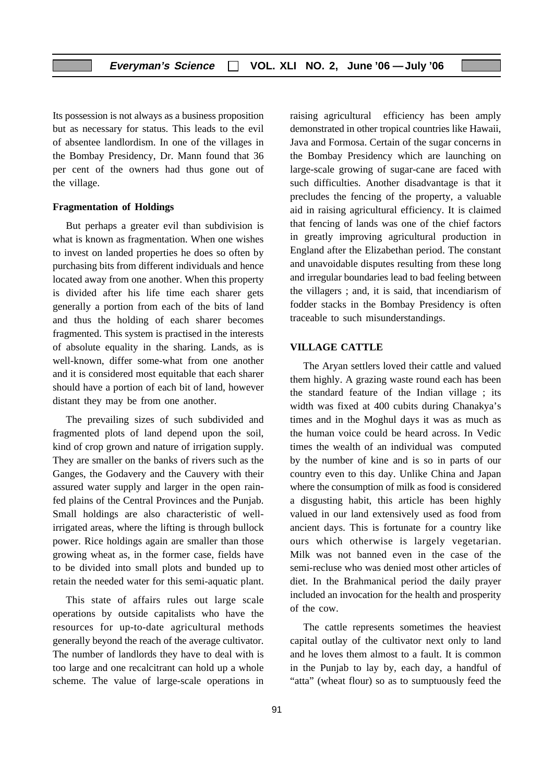Its possession is not always as a business proposition but as necessary for status. This leads to the evil of absentee landlordism. In one of the villages in the Bombay Presidency, Dr. Mann found that 36 per cent of the owners had thus gone out of the village.

#### **Fragmentation of Holdings**

But perhaps a greater evil than subdivision is what is known as fragmentation. When one wishes to invest on landed properties he does so often by purchasing bits from different individuals and hence located away from one another. When this property is divided after his life time each sharer gets generally a portion from each of the bits of land and thus the holding of each sharer becomes fragmented. This system is practised in the interests of absolute equality in the sharing. Lands, as is well-known, differ some-what from one another and it is considered most equitable that each sharer should have a portion of each bit of land, however distant they may be from one another.

The prevailing sizes of such subdivided and fragmented plots of land depend upon the soil, kind of crop grown and nature of irrigation supply. They are smaller on the banks of rivers such as the Ganges, the Godavery and the Cauvery with their assured water supply and larger in the open rainfed plains of the Central Provinces and the Punjab. Small holdings are also characteristic of wellirrigated areas, where the lifting is through bullock power. Rice holdings again are smaller than those growing wheat as, in the former case, fields have to be divided into small plots and bunded up to retain the needed water for this semi-aquatic plant.

This state of affairs rules out large scale operations by outside capitalists who have the resources for up-to-date agricultural methods generally beyond the reach of the average cultivator. The number of landlords they have to deal with is too large and one recalcitrant can hold up a whole scheme. The value of large-scale operations in raising agricultural efficiency has been amply demonstrated in other tropical countries like Hawaii, Java and Formosa. Certain of the sugar concerns in the Bombay Presidency which are launching on large-scale growing of sugar-cane are faced with such difficulties. Another disadvantage is that it precludes the fencing of the property, a valuable aid in raising agricultural efficiency. It is claimed that fencing of lands was one of the chief factors in greatly improving agricultural production in England after the Elizabethan period. The constant and unavoidable disputes resulting from these long and irregular boundaries lead to bad feeling between the villagers ; and, it is said, that incendiarism of fodder stacks in the Bombay Presidency is often traceable to such misunderstandings.

#### **VILLAGE CATTLE**

The Aryan settlers loved their cattle and valued them highly. A grazing waste round each has been the standard feature of the Indian village ; its width was fixed at 400 cubits during Chanakya's times and in the Moghul days it was as much as the human voice could be heard across. In Vedic times the wealth of an individual was computed by the number of kine and is so in parts of our country even to this day. Unlike China and Japan where the consumption of milk as food is considered a disgusting habit, this article has been highly valued in our land extensively used as food from ancient days. This is fortunate for a country like ours which otherwise is largely vegetarian. Milk was not banned even in the case of the semi-recluse who was denied most other articles of diet. In the Brahmanical period the daily prayer included an invocation for the health and prosperity of the cow.

The cattle represents sometimes the heaviest capital outlay of the cultivator next only to land and he loves them almost to a fault. It is common in the Punjab to lay by, each day, a handful of "atta" (wheat flour) so as to sumptuously feed the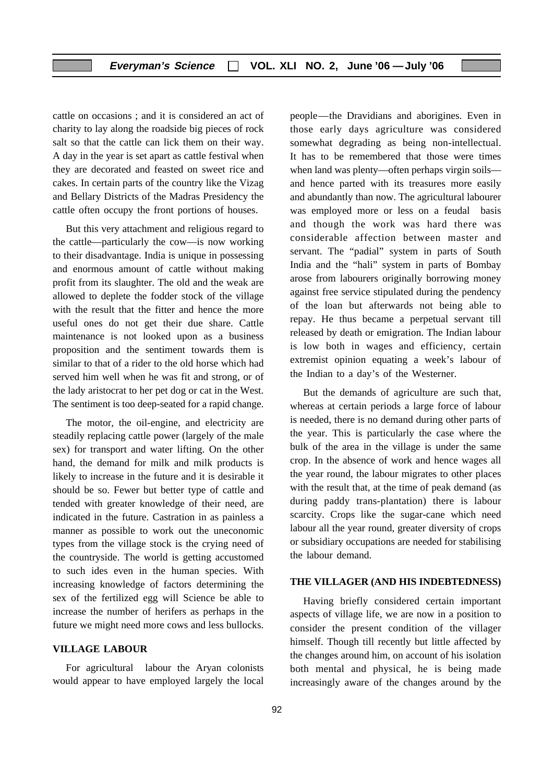cattle on occasions ; and it is considered an act of charity to lay along the roadside big pieces of rock salt so that the cattle can lick them on their way. A day in the year is set apart as cattle festival when they are decorated and feasted on sweet rice and cakes. In certain parts of the country like the Vizag and Bellary Districts of the Madras Presidency the cattle often occupy the front portions of houses.

But this very attachment and religious regard to the cattle—particularly the cow—is now working to their disadvantage. India is unique in possessing and enormous amount of cattle without making profit from its slaughter. The old and the weak are allowed to deplete the fodder stock of the village with the result that the fitter and hence the more useful ones do not get their due share. Cattle maintenance is not looked upon as a business proposition and the sentiment towards them is similar to that of a rider to the old horse which had served him well when he was fit and strong, or of the lady aristocrat to her pet dog or cat in the West. The sentiment is too deep-seated for a rapid change.

The motor, the oil-engine, and electricity are steadily replacing cattle power (largely of the male sex) for transport and water lifting. On the other hand, the demand for milk and milk products is likely to increase in the future and it is desirable it should be so. Fewer but better type of cattle and tended with greater knowledge of their need, are indicated in the future. Castration in as painless a manner as possible to work out the uneconomic types from the village stock is the crying need of the countryside. The world is getting accustomed to such ides even in the human species. With increasing knowledge of factors determining the sex of the fertilized egg will Science be able to increase the number of herifers as perhaps in the future we might need more cows and less bullocks.

#### **VILLAGE LABOUR**

For agricultural labour the Aryan colonists would appear to have employed largely the local people—the Dravidians and aborigines. Even in those early days agriculture was considered somewhat degrading as being non-intellectual. It has to be remembered that those were times when land was plenty—often perhaps virgin soils and hence parted with its treasures more easily and abundantly than now. The agricultural labourer was employed more or less on a feudal basis and though the work was hard there was considerable affection between master and servant. The "padial" system in parts of South India and the "hali" system in parts of Bombay arose from labourers originally borrowing money against free service stipulated during the pendency of the loan but afterwards not being able to repay. He thus became a perpetual servant till released by death or emigration. The Indian labour is low both in wages and efficiency, certain extremist opinion equating a week's labour of the Indian to a day's of the Westerner.

But the demands of agriculture are such that, whereas at certain periods a large force of labour is needed, there is no demand during other parts of the year. This is particularly the case where the bulk of the area in the village is under the same crop. In the absence of work and hence wages all the year round, the labour migrates to other places with the result that, at the time of peak demand (as during paddy trans-plantation) there is labour scarcity. Crops like the sugar-cane which need labour all the year round, greater diversity of crops or subsidiary occupations are needed for stabilising the labour demand.

#### **THE VILLAGER (AND HIS INDEBTEDNESS)**

Having briefly considered certain important aspects of village life, we are now in a position to consider the present condition of the villager himself. Though till recently but little affected by the changes around him, on account of his isolation both mental and physical, he is being made increasingly aware of the changes around by the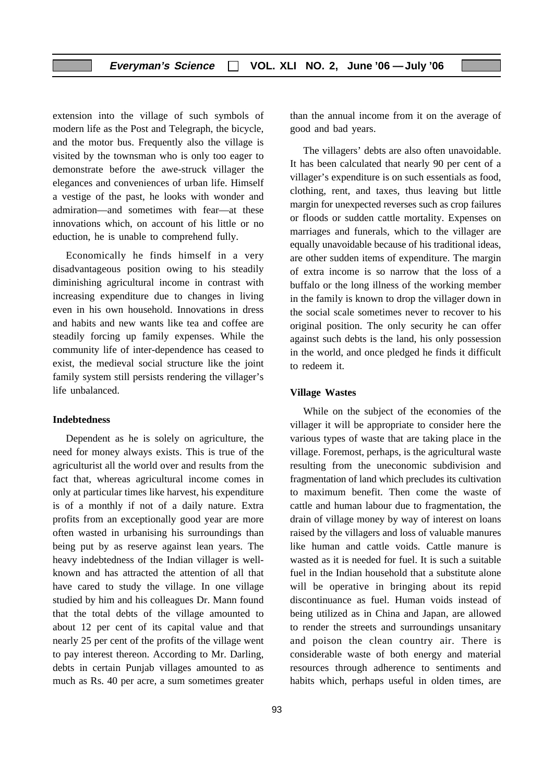extension into the village of such symbols of modern life as the Post and Telegraph, the bicycle, and the motor bus. Frequently also the village is visited by the townsman who is only too eager to demonstrate before the awe-struck villager the elegances and conveniences of urban life. Himself a vestige of the past, he looks with wonder and admiration—and sometimes with fear—at these innovations which, on account of his little or no eduction, he is unable to comprehend fully.

Economically he finds himself in a very disadvantageous position owing to his steadily diminishing agricultural income in contrast with increasing expenditure due to changes in living even in his own household. Innovations in dress and habits and new wants like tea and coffee are steadily forcing up family expenses. While the community life of inter-dependence has ceased to exist, the medieval social structure like the joint family system still persists rendering the villager's life unbalanced.

#### **Indebtedness**

Dependent as he is solely on agriculture, the need for money always exists. This is true of the agriculturist all the world over and results from the fact that, whereas agricultural income comes in only at particular times like harvest, his expenditure is of a monthly if not of a daily nature. Extra profits from an exceptionally good year are more often wasted in urbanising his surroundings than being put by as reserve against lean years. The heavy indebtedness of the Indian villager is wellknown and has attracted the attention of all that have cared to study the village. In one village studied by him and his colleagues Dr. Mann found that the total debts of the village amounted to about 12 per cent of its capital value and that nearly 25 per cent of the profits of the village went to pay interest thereon. According to Mr. Darling, debts in certain Punjab villages amounted to as much as Rs. 40 per acre, a sum sometimes greater

93

than the annual income from it on the average of good and bad years.

The villagers' debts are also often unavoidable. It has been calculated that nearly 90 per cent of a villager's expenditure is on such essentials as food, clothing, rent, and taxes, thus leaving but little margin for unexpected reverses such as crop failures or floods or sudden cattle mortality. Expenses on marriages and funerals, which to the villager are equally unavoidable because of his traditional ideas, are other sudden items of expenditure. The margin of extra income is so narrow that the loss of a buffalo or the long illness of the working member in the family is known to drop the villager down in the social scale sometimes never to recover to his original position. The only security he can offer against such debts is the land, his only possession in the world, and once pledged he finds it difficult to redeem it.

#### **Village Wastes**

While on the subject of the economies of the villager it will be appropriate to consider here the various types of waste that are taking place in the village. Foremost, perhaps, is the agricultural waste resulting from the uneconomic subdivision and fragmentation of land which precludes its cultivation to maximum benefit. Then come the waste of cattle and human labour due to fragmentation, the drain of village money by way of interest on loans raised by the villagers and loss of valuable manures like human and cattle voids. Cattle manure is wasted as it is needed for fuel. It is such a suitable fuel in the Indian household that a substitute alone will be operative in bringing about its repid discontinuance as fuel. Human voids instead of being utilized as in China and Japan, are allowed to render the streets and surroundings unsanitary and poison the clean country air. There is considerable waste of both energy and material resources through adherence to sentiments and habits which, perhaps useful in olden times, are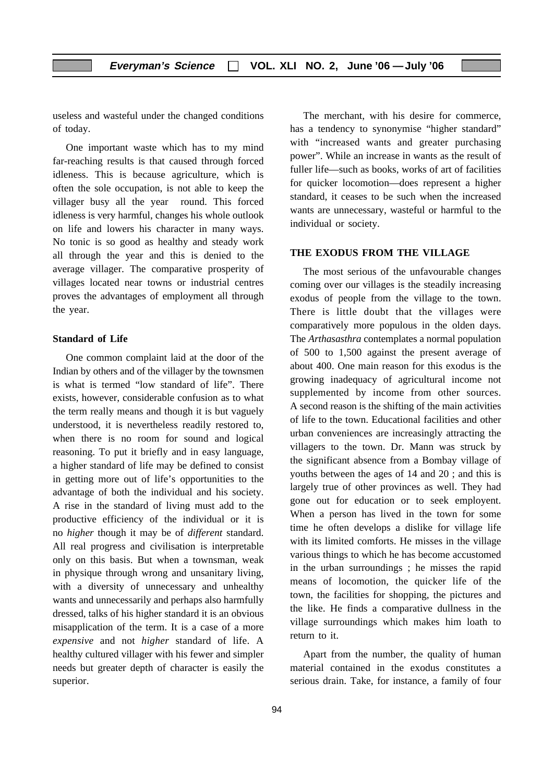useless and wasteful under the changed conditions of today.

One important waste which has to my mind far-reaching results is that caused through forced idleness. This is because agriculture, which is often the sole occupation, is not able to keep the villager busy all the year round. This forced idleness is very harmful, changes his whole outlook on life and lowers his character in many ways. No tonic is so good as healthy and steady work all through the year and this is denied to the average villager. The comparative prosperity of villages located near towns or industrial centres proves the advantages of employment all through the year.

#### **Standard of Life**

One common complaint laid at the door of the Indian by others and of the villager by the townsmen is what is termed "low standard of life". There exists, however, considerable confusion as to what the term really means and though it is but vaguely understood, it is nevertheless readily restored to, when there is no room for sound and logical reasoning. To put it briefly and in easy language, a higher standard of life may be defined to consist in getting more out of life's opportunities to the advantage of both the individual and his society. A rise in the standard of living must add to the productive efficiency of the individual or it is no *higher* though it may be of *different* standard. All real progress and civilisation is interpretable only on this basis. But when a townsman, weak in physique through wrong and unsanitary living, with a diversity of unnecessary and unhealthy wants and unnecessarily and perhaps also harmfully dressed, talks of his higher standard it is an obvious misapplication of the term. It is a case of a more *expensive* and not *higher* standard of life. A healthy cultured villager with his fewer and simpler needs but greater depth of character is easily the superior.

The merchant, with his desire for commerce, has a tendency to synonymise "higher standard" with "increased wants and greater purchasing power". While an increase in wants as the result of fuller life—such as books, works of art of facilities for quicker locomotion—does represent a higher standard, it ceases to be such when the increased wants are unnecessary, wasteful or harmful to the individual or society.

#### **THE EXODUS FROM THE VILLAGE**

The most serious of the unfavourable changes coming over our villages is the steadily increasing exodus of people from the village to the town. There is little doubt that the villages were comparatively more populous in the olden days. The *Arthasasthra* contemplates a normal population of 500 to 1,500 against the present average of about 400. One main reason for this exodus is the growing inadequacy of agricultural income not supplemented by income from other sources. A second reason is the shifting of the main activities of life to the town. Educational facilities and other urban conveniences are increasingly attracting the villagers to the town. Dr. Mann was struck by the significant absence from a Bombay village of youths between the ages of 14 and 20 ; and this is largely true of other provinces as well. They had gone out for education or to seek employent. When a person has lived in the town for some time he often develops a dislike for village life with its limited comforts. He misses in the village various things to which he has become accustomed in the urban surroundings ; he misses the rapid means of locomotion, the quicker life of the town, the facilities for shopping, the pictures and the like. He finds a comparative dullness in the village surroundings which makes him loath to return to it.

Apart from the number, the quality of human material contained in the exodus constitutes a serious drain. Take, for instance, a family of four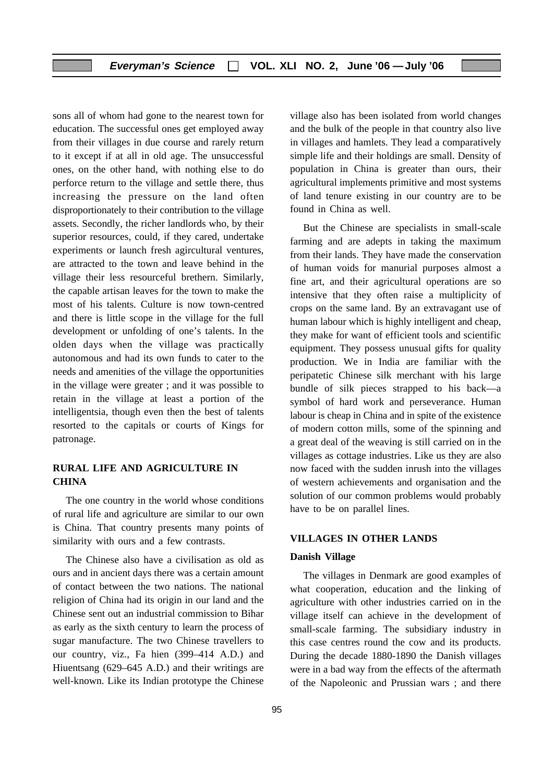sons all of whom had gone to the nearest town for education. The successful ones get employed away from their villages in due course and rarely return to it except if at all in old age. The unsuccessful ones, on the other hand, with nothing else to do perforce return to the village and settle there, thus increasing the pressure on the land often disproportionately to their contribution to the village assets. Secondly, the richer landlords who, by their superior resources, could, if they cared, undertake experiments or launch fresh agircultural ventures, are attracted to the town and leave behind in the village their less resourceful brethern. Similarly, the capable artisan leaves for the town to make the most of his talents. Culture is now town-centred and there is little scope in the village for the full development or unfolding of one's talents. In the olden days when the village was practically autonomous and had its own funds to cater to the needs and amenities of the village the opportunities in the village were greater ; and it was possible to retain in the village at least a portion of the intelligentsia, though even then the best of talents resorted to the capitals or courts of Kings for patronage.

#### **RURAL LIFE AND AGRICULTURE IN CHINA**

The one country in the world whose conditions of rural life and agriculture are similar to our own is China. That country presents many points of similarity with ours and a few contrasts.

The Chinese also have a civilisation as old as ours and in ancient days there was a certain amount of contact between the two nations. The national religion of China had its origin in our land and the Chinese sent out an industrial commission to Bihar as early as the sixth century to learn the process of sugar manufacture. The two Chinese travellers to our country, viz., Fa hien (399–414 A.D.) and Hiuentsang (629–645 A.D.) and their writings are well-known. Like its Indian prototype the Chinese

village also has been isolated from world changes and the bulk of the people in that country also live in villages and hamlets. They lead a comparatively simple life and their holdings are small. Density of population in China is greater than ours, their agricultural implements primitive and most systems of land tenure existing in our country are to be found in China as well.

But the Chinese are specialists in small-scale farming and are adepts in taking the maximum from their lands. They have made the conservation of human voids for manurial purposes almost a fine art, and their agricultural operations are so intensive that they often raise a multiplicity of crops on the same land. By an extravagant use of human labour which is highly intelligent and cheap, they make for want of efficient tools and scientific equipment. They possess unusual gifts for quality production. We in India are familiar with the peripatetic Chinese silk merchant with his large bundle of silk pieces strapped to his back—a symbol of hard work and perseverance. Human labour is cheap in China and in spite of the existence of modern cotton mills, some of the spinning and a great deal of the weaving is still carried on in the villages as cottage industries. Like us they are also now faced with the sudden inrush into the villages of western achievements and organisation and the solution of our common problems would probably have to be on parallel lines.

#### **VILLAGES IN OTHER LANDS**

#### **Danish Village**

The villages in Denmark are good examples of what cooperation, education and the linking of agriculture with other industries carried on in the village itself can achieve in the development of small-scale farming. The subsidiary industry in this case centres round the cow and its products. During the decade 1880-1890 the Danish villages were in a bad way from the effects of the aftermath of the Napoleonic and Prussian wars ; and there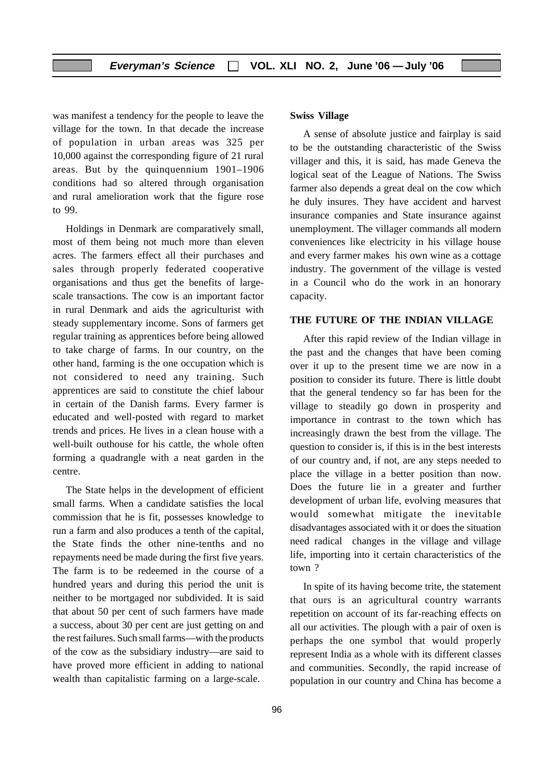was manifest a tendency for the people to leave the village for the town. In that decade the increase of population in urban areas was 325 per 10,000 against the corresponding figure of 21 rural areas. But by the quinquennium 1901–1906 conditions had so altered through organisation and rural amelioration work that the figure rose to 99.

Holdings in Denmark are comparatively small, most of them being not much more than eleven acres. The farmers effect all their purchases and sales through properly federated cooperative organisations and thus get the benefits of largescale transactions. The cow is an important factor in rural Denmark and aids the agriculturist with steady supplementary income. Sons of farmers get regular training as apprentices before being allowed to take charge of farms. In our country, on the other hand, farming is the one occupation which is not considered to need any training. Such apprentices are said to constitute the chief labour in certain of the Danish farms. Every farmer is educated and well-posted with regard to market trends and prices. He lives in a clean house with a well-built outhouse for his cattle, the whole often forming a quadrangle with a neat garden in the centre.

The State helps in the development of efficient small farms. When a candidate satisfies the local commission that he is fit, possesses knowledge to run a farm and also produces a tenth of the capital, the State finds the other nine-tenths and no repayments need be made during the first five years. The farm is to be redeemed in the course of a hundred years and during this period the unit is neither to be mortgaged nor subdivided. It is said that about 50 per cent of such farmers have made a success, about 30 per cent are just getting on and the rest failures. Such small farms—with the products of the cow as the subsidiary industry—are said to have proved more efficient in adding to national wealth than capitalistic farming on a large-scale.

#### **Swiss Village**

A sense of absolute justice and fairplay is said to be the outstanding characteristic of the Swiss villager and this, it is said, has made Geneva the logical seat of the League of Nations. The Swiss farmer also depends a great deal on the cow which he duly insures. They have accident and harvest insurance companies and State insurance against unemployment. The villager commands all modern conveniences like electricity in his village house and every farmer makes his own wine as a cottage industry. The government of the village is vested in a Council who do the work in an honorary capacity.

#### **THE FUTURE OF THE INDIAN VILLAGE**

After this rapid review of the Indian village in the past and the changes that have been coming over it up to the present time we are now in a position to consider its future. There is little doubt that the general tendency so far has been for the village to steadily go down in prosperity and importance in contrast to the town which has increasingly drawn the best from the village. The question to consider is, if this is in the best interests of our country and, if not, are any steps needed to place the village in a better position than now. Does the future lie in a greater and further development of urban life, evolving measures that would somewhat mitigate the inevitable disadvantages associated with it or does the situation need radical changes in the village and village life, importing into it certain characteristics of the town ?

In spite of its having become trite, the statement that ours is an agricultural country warrants repetition on account of its far-reaching effects on all our activities. The plough with a pair of oxen is perhaps the one symbol that would properly represent India as a whole with its different classes and communities. Secondly, the rapid increase of population in our country and China has become a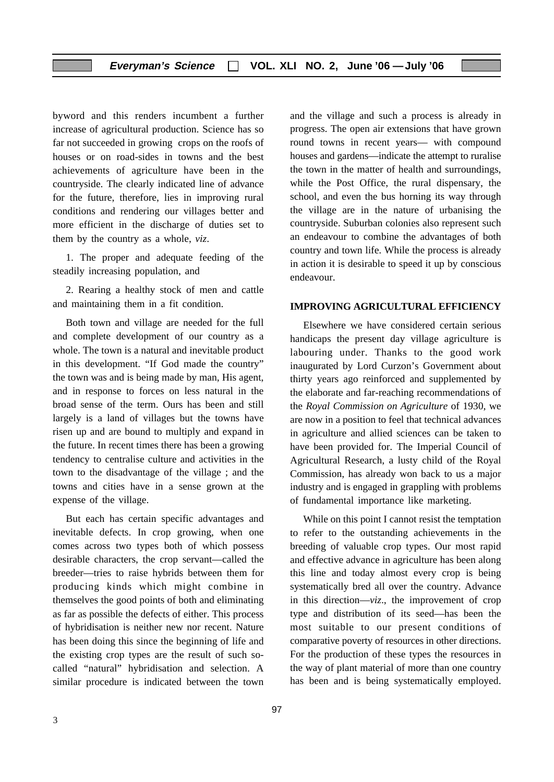byword and this renders incumbent a further increase of agricultural production. Science has so far not succeeded in growing crops on the roofs of houses or on road-sides in towns and the best achievements of agriculture have been in the countryside. The clearly indicated line of advance for the future, therefore, lies in improving rural conditions and rendering our villages better and more efficient in the discharge of duties set to them by the country as a whole, *viz*.

1. The proper and adequate feeding of the steadily increasing population, and

2. Rearing a healthy stock of men and cattle and maintaining them in a fit condition.

Both town and village are needed for the full and complete development of our country as a whole. The town is a natural and inevitable product in this development. "If God made the country" the town was and is being made by man, His agent, and in response to forces on less natural in the broad sense of the term. Ours has been and still largely is a land of villages but the towns have risen up and are bound to multiply and expand in the future. In recent times there has been a growing tendency to centralise culture and activities in the town to the disadvantage of the village ; and the towns and cities have in a sense grown at the expense of the village.

But each has certain specific advantages and inevitable defects. In crop growing, when one comes across two types both of which possess desirable characters, the crop servant—called the breeder—tries to raise hybrids between them for producing kinds which might combine in themselves the good points of both and eliminating as far as possible the defects of either. This process of hybridisation is neither new nor recent. Nature has been doing this since the beginning of life and the existing crop types are the result of such socalled "natural" hybridisation and selection. A similar procedure is indicated between the town

and the village and such a process is already in progress. The open air extensions that have grown round towns in recent years— with compound houses and gardens—indicate the attempt to ruralise the town in the matter of health and surroundings, while the Post Office, the rural dispensary, the school, and even the bus horning its way through the village are in the nature of urbanising the countryside. Suburban colonies also represent such an endeavour to combine the advantages of both country and town life. While the process is already in action it is desirable to speed it up by conscious endeavour.

#### **IMPROVING AGRICULTURAL EFFICIENCY**

Elsewhere we have considered certain serious handicaps the present day village agriculture is labouring under. Thanks to the good work inaugurated by Lord Curzon's Government about thirty years ago reinforced and supplemented by the elaborate and far-reaching recommendations of the *Royal Commission on Agriculture* of 1930, we are now in a position to feel that technical advances in agriculture and allied sciences can be taken to have been provided for. The Imperial Council of Agricultural Research, a lusty child of the Royal Commission, has already won back to us a major industry and is engaged in grappling with problems of fundamental importance like marketing.

While on this point I cannot resist the temptation to refer to the outstanding achievements in the breeding of valuable crop types. Our most rapid and effective advance in agriculture has been along this line and today almost every crop is being systematically bred all over the country. Advance in this direction—*viz*., the improvement of crop type and distribution of its seed—has been the most suitable to our present conditions of comparative poverty of resources in other directions. For the production of these types the resources in the way of plant material of more than one country has been and is being systematically employed.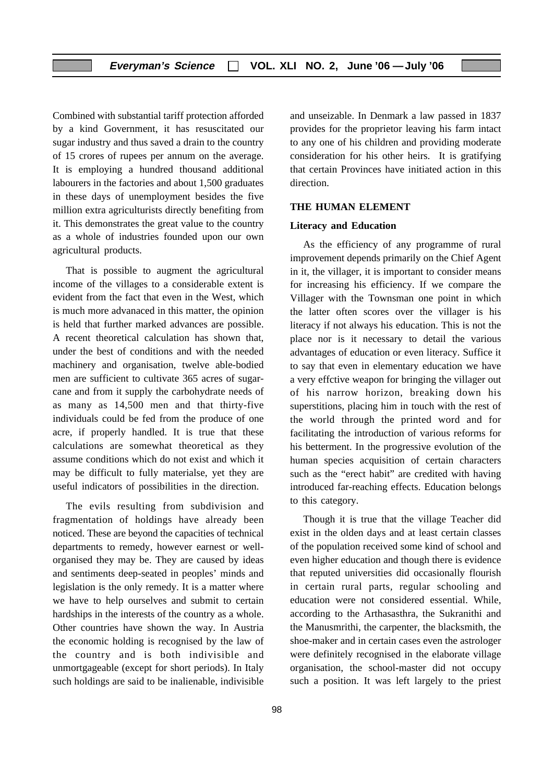Combined with substantial tariff protection afforded by a kind Government, it has resuscitated our sugar industry and thus saved a drain to the country of 15 crores of rupees per annum on the average. It is employing a hundred thousand additional labourers in the factories and about 1,500 graduates in these days of unemployment besides the five million extra agriculturists directly benefiting from it. This demonstrates the great value to the country as a whole of industries founded upon our own agricultural products.

That is possible to augment the agricultural income of the villages to a considerable extent is evident from the fact that even in the West, which is much more advanaced in this matter, the opinion is held that further marked advances are possible. A recent theoretical calculation has shown that, under the best of conditions and with the needed machinery and organisation, twelve able-bodied men are sufficient to cultivate 365 acres of sugarcane and from it supply the carbohydrate needs of as many as 14,500 men and that thirty-five individuals could be fed from the produce of one acre, if properly handled. It is true that these calculations are somewhat theoretical as they assume conditions which do not exist and which it may be difficult to fully materialse, yet they are useful indicators of possibilities in the direction.

The evils resulting from subdivision and fragmentation of holdings have already been noticed. These are beyond the capacities of technical departments to remedy, however earnest or wellorganised they may be. They are caused by ideas and sentiments deep-seated in peoples' minds and legislation is the only remedy. It is a matter where we have to help ourselves and submit to certain hardships in the interests of the country as a whole. Other countries have shown the way. In Austria the economic holding is recognised by the law of the country and is both indivisible and unmortgageable (except for short periods). In Italy such holdings are said to be inalienable, indivisible and unseizable. In Denmark a law passed in 1837 provides for the proprietor leaving his farm intact to any one of his children and providing moderate consideration for his other heirs. It is gratifying that certain Provinces have initiated action in this direction.

#### **THE HUMAN ELEMENT**

#### **Literacy and Education**

As the efficiency of any programme of rural improvement depends primarily on the Chief Agent in it, the villager, it is important to consider means for increasing his efficiency. If we compare the Villager with the Townsman one point in which the latter often scores over the villager is his literacy if not always his education. This is not the place nor is it necessary to detail the various advantages of education or even literacy. Suffice it to say that even in elementary education we have a very effctive weapon for bringing the villager out of his narrow horizon, breaking down his superstitions, placing him in touch with the rest of the world through the printed word and for facilitating the introduction of various reforms for his betterment. In the progressive evolution of the human species acquisition of certain characters such as the "erect habit" are credited with having introduced far-reaching effects. Education belongs to this category.

Though it is true that the village Teacher did exist in the olden days and at least certain classes of the population received some kind of school and even higher education and though there is evidence that reputed universities did occasionally flourish in certain rural parts, regular schooling and education were not considered essential. While, according to the Arthasasthra, the Sukranithi and the Manusmrithi, the carpenter, the blacksmith, the shoe-maker and in certain cases even the astrologer were definitely recognised in the elaborate village organisation, the school-master did not occupy such a position. It was left largely to the priest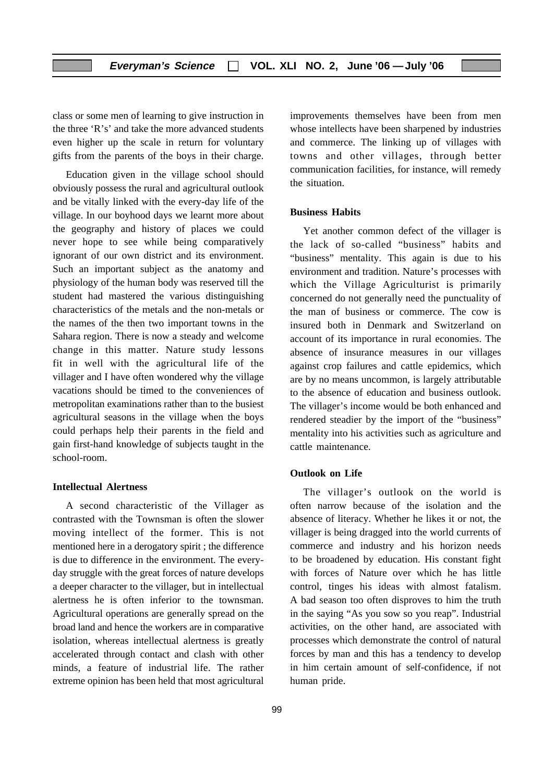class or some men of learning to give instruction in the three 'R's' and take the more advanced students even higher up the scale in return for voluntary gifts from the parents of the boys in their charge.

Education given in the village school should obviously possess the rural and agricultural outlook and be vitally linked with the every-day life of the village. In our boyhood days we learnt more about the geography and history of places we could never hope to see while being comparatively ignorant of our own district and its environment. Such an important subject as the anatomy and physiology of the human body was reserved till the student had mastered the various distinguishing characteristics of the metals and the non-metals or the names of the then two important towns in the Sahara region. There is now a steady and welcome change in this matter. Nature study lessons fit in well with the agricultural life of the villager and I have often wondered why the village vacations should be timed to the conveniences of metropolitan examinations rather than to the busiest agricultural seasons in the village when the boys could perhaps help their parents in the field and gain first-hand knowledge of subjects taught in the school-room.

#### **Intellectual Alertness**

A second characteristic of the Villager as contrasted with the Townsman is often the slower moving intellect of the former. This is not mentioned here in a derogatory spirit ; the difference is due to difference in the environment. The everyday struggle with the great forces of nature develops a deeper character to the villager, but in intellectual alertness he is often inferior to the townsman. Agricultural operations are generally spread on the broad land and hence the workers are in comparative isolation, whereas intellectual alertness is greatly accelerated through contact and clash with other minds, a feature of industrial life. The rather extreme opinion has been held that most agricultural

99

improvements themselves have been from men whose intellects have been sharpened by industries and commerce. The linking up of villages with towns and other villages, through better communication facilities, for instance, will remedy the situation.

#### **Business Habits**

Yet another common defect of the villager is the lack of so-called "business" habits and "business" mentality. This again is due to his environment and tradition. Nature's processes with which the Village Agriculturist is primarily concerned do not generally need the punctuality of the man of business or commerce. The cow is insured both in Denmark and Switzerland on account of its importance in rural economies. The absence of insurance measures in our villages against crop failures and cattle epidemics, which are by no means uncommon, is largely attributable to the absence of education and business outlook. The villager's income would be both enhanced and rendered steadier by the import of the "business" mentality into his activities such as agriculture and cattle maintenance.

#### **Outlook on Life**

The villager's outlook on the world is often narrow because of the isolation and the absence of literacy. Whether he likes it or not, the villager is being dragged into the world currents of commerce and industry and his horizon needs to be broadened by education. His constant fight with forces of Nature over which he has little control, tinges his ideas with almost fatalism. A bad season too often disproves to him the truth in the saying "As you sow so you reap". Industrial activities, on the other hand, are associated with processes which demonstrate the control of natural forces by man and this has a tendency to develop in him certain amount of self-confidence, if not human pride.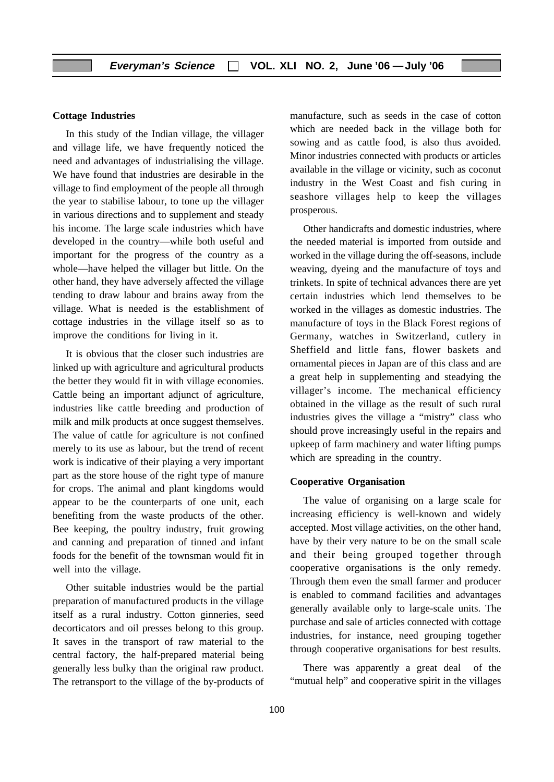#### **Cottage Industries**

In this study of the Indian village, the villager and village life, we have frequently noticed the need and advantages of industrialising the village. We have found that industries are desirable in the village to find employment of the people all through the year to stabilise labour, to tone up the villager in various directions and to supplement and steady his income. The large scale industries which have developed in the country—while both useful and important for the progress of the country as a whole—have helped the villager but little. On the other hand, they have adversely affected the village tending to draw labour and brains away from the village. What is needed is the establishment of cottage industries in the village itself so as to improve the conditions for living in it.

It is obvious that the closer such industries are linked up with agriculture and agricultural products the better they would fit in with village economies. Cattle being an important adjunct of agriculture, industries like cattle breeding and production of milk and milk products at once suggest themselves. The value of cattle for agriculture is not confined merely to its use as labour, but the trend of recent work is indicative of their playing a very important part as the store house of the right type of manure for crops. The animal and plant kingdoms would appear to be the counterparts of one unit, each benefiting from the waste products of the other. Bee keeping, the poultry industry, fruit growing and canning and preparation of tinned and infant foods for the benefit of the townsman would fit in well into the village.

Other suitable industries would be the partial preparation of manufactured products in the village itself as a rural industry. Cotton ginneries, seed decorticators and oil presses belong to this group. It saves in the transport of raw material to the central factory, the half-prepared material being generally less bulky than the original raw product. The retransport to the village of the by-products of manufacture, such as seeds in the case of cotton which are needed back in the village both for sowing and as cattle food, is also thus avoided. Minor industries connected with products or articles available in the village or vicinity, such as coconut industry in the West Coast and fish curing in seashore villages help to keep the villages prosperous.

Other handicrafts and domestic industries, where the needed material is imported from outside and worked in the village during the off-seasons, include weaving, dyeing and the manufacture of toys and trinkets. In spite of technical advances there are yet certain industries which lend themselves to be worked in the villages as domestic industries. The manufacture of toys in the Black Forest regions of Germany, watches in Switzerland, cutlery in Sheffield and little fans, flower baskets and ornamental pieces in Japan are of this class and are a great help in supplementing and steadying the villager's income. The mechanical efficiency obtained in the village as the result of such rural industries gives the village a "mistry" class who should prove increasingly useful in the repairs and upkeep of farm machinery and water lifting pumps which are spreading in the country.

#### **Cooperative Organisation**

The value of organising on a large scale for increasing efficiency is well-known and widely accepted. Most village activities, on the other hand, have by their very nature to be on the small scale and their being grouped together through cooperative organisations is the only remedy. Through them even the small farmer and producer is enabled to command facilities and advantages generally available only to large-scale units. The purchase and sale of articles connected with cottage industries, for instance, need grouping together through cooperative organisations for best results.

There was apparently a great deal of the "mutual help" and cooperative spirit in the villages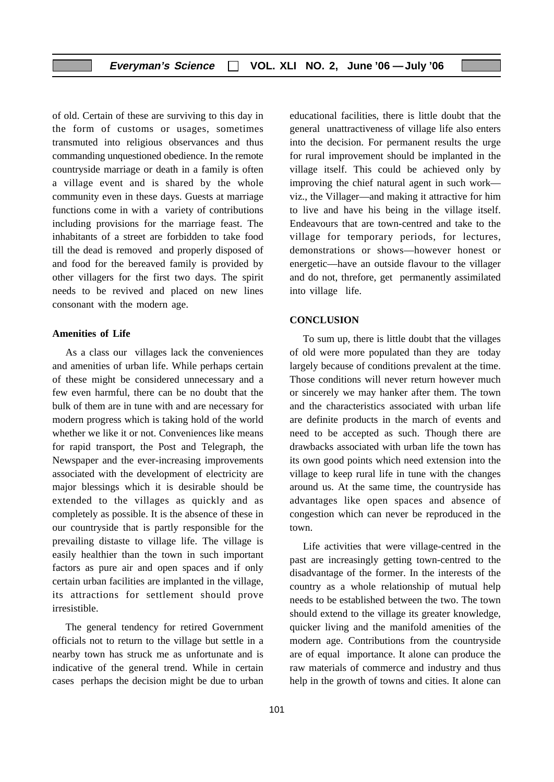of old. Certain of these are surviving to this day in the form of customs or usages, sometimes transmuted into religious observances and thus commanding unquestioned obedience. In the remote countryside marriage or death in a family is often a village event and is shared by the whole community even in these days. Guests at marriage functions come in with a variety of contributions including provisions for the marriage feast. The inhabitants of a street are forbidden to take food till the dead is removed and properly disposed of and food for the bereaved family is provided by other villagers for the first two days. The spirit needs to be revived and placed on new lines consonant with the modern age.

#### **Amenities of Life**

As a class our villages lack the conveniences and amenities of urban life. While perhaps certain of these might be considered unnecessary and a few even harmful, there can be no doubt that the bulk of them are in tune with and are necessary for modern progress which is taking hold of the world whether we like it or not. Conveniences like means for rapid transport, the Post and Telegraph, the Newspaper and the ever-increasing improvements associated with the development of electricity are major blessings which it is desirable should be extended to the villages as quickly and as completely as possible. It is the absence of these in our countryside that is partly responsible for the prevailing distaste to village life. The village is easily healthier than the town in such important factors as pure air and open spaces and if only certain urban facilities are implanted in the village, its attractions for settlement should prove irresistible.

The general tendency for retired Government officials not to return to the village but settle in a nearby town has struck me as unfortunate and is indicative of the general trend. While in certain cases perhaps the decision might be due to urban

educational facilities, there is little doubt that the general unattractiveness of village life also enters into the decision. For permanent results the urge for rural improvement should be implanted in the village itself. This could be achieved only by improving the chief natural agent in such work viz., the Villager—and making it attractive for him to live and have his being in the village itself. Endeavours that are town-centred and take to the village for temporary periods, for lectures, demonstrations or shows—however honest or energetic—have an outside flavour to the villager and do not, threfore, get permanently assimilated into village life.

#### **CONCLUSION**

To sum up, there is little doubt that the villages of old were more populated than they are today largely because of conditions prevalent at the time. Those conditions will never return however much or sincerely we may hanker after them. The town and the characteristics associated with urban life are definite products in the march of events and need to be accepted as such. Though there are drawbacks associated with urban life the town has its own good points which need extension into the village to keep rural life in tune with the changes around us. At the same time, the countryside has advantages like open spaces and absence of congestion which can never be reproduced in the town.

Life activities that were village-centred in the past are increasingly getting town-centred to the disadvantage of the former. In the interests of the country as a whole relationship of mutual help needs to be established between the two. The town should extend to the village its greater knowledge, quicker living and the manifold amenities of the modern age. Contributions from the countryside are of equal importance. It alone can produce the raw materials of commerce and industry and thus help in the growth of towns and cities. It alone can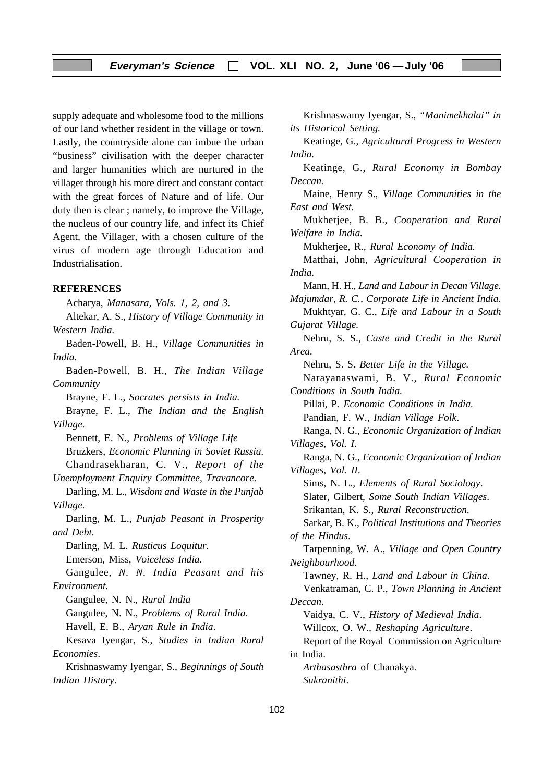supply adequate and wholesome food to the millions of our land whether resident in the village or town. Lastly, the countryside alone can imbue the urban "business" civilisation with the deeper character and larger humanities which are nurtured in the villager through his more direct and constant contact with the great forces of Nature and of life. Our duty then is clear ; namely, to improve the Village, the nucleus of our country life, and infect its Chief Agent, the Villager, with a chosen culture of the virus of modern age through Education and Industrialisation.

#### **REFERENCES**

Acharya, *Manasara, Vols. 1, 2, and 3*. Altekar, A. S., *History of Village Community in Western India.* Baden-Powell, B. H., *Village Communities in India*. Baden-Powell, B. H., *The Indian Village Community* Brayne, F. L., *Socrates persists in India.* Brayne, F. L., *The Indian and the English Village.* Bennett, E. N., *Problems of Village Life* Bruzkers, *Economic Planning in Soviet Russia.* Chandrasekharan, C. V., *Report of the Unemployment Enquiry Committee, Travancore.* Darling, M. L., *Wisdom and Waste in the Punjab Village.* Darling, M. L., *Punjab Peasant in Prosperity and Debt.* Darling, M. L. *Rusticus Loquitur.* Emerson, Miss, *Voiceless India.* Gangulee, *N. N. India Peasant and his Environment.* Gangulee*,* N. N.*, Rural India* Gangulee, N. N., *Problems of Rural India*. Havell, E. B., *Aryan Rule in India*. Kesava Iyengar, S., *Studies in Indian Rural Economies*. Krishnaswamy lyengar, S., *Beginnings of South Indian History*.

Keatinge, G., *Agricultural Progress in Western India.* Keatinge, G., *Rural Economy in Bombay Deccan.* Maine, Henry S., *Village Communities in the East and West.* Mukherjee, B. B., *Cooperation and Rural Welfare in India.* Mukherjee, R.*, Rural Economy of India.* Matthai, John, *Agricultural Cooperation in India.* Mann, H. H., *Land and Labour in Decan Village. Majumdar, R. C., Corporate Life in Ancient India.* Mukhtyar, G. C., *Life and Labour in a South Gujarat Village.* Nehru, S. S., *Caste and Credit in the Rural Area.* Nehru, S. S. *Better Life in the Village.* Narayanaswami, B. V., *Rural Economic Conditions in South India.* Pillai, P*. Economic Conditions in India.* Pandian, F. W., *Indian Village Folk*. Ranga, N. G., *Economic Organization of Indian Villages, Vol. I*. Ranga, N. G., *Economic Organization of Indian*

Krishnaswamy Iyengar, S., *"Manimekhalai" in*

*its Historical Setting.*

*Villages, Vol. II*. Sims, N. L., *Elements of Rural Sociology*. Slater, Gilbert, *Some South Indian Villages*. Srikantan, K. S., *Rural Reconstruction*. Sarkar, B. K., *Political Institutions and Theories of the Hindus*. Tarpenning, W. A., *Village and Open Country Neighbourhood*. Tawney, R. H., *Land and Labour in China*. Venkatraman, C. P., *Town Planning in Ancient Deccan*. Vaidya, C. V., *History of Medieval India*. Willcox, O. W., *Reshaping Agriculture*. Report of the Royal Commission on Agriculture in India.

*Arthasasthra* of Chanakya. *Sukranithi*.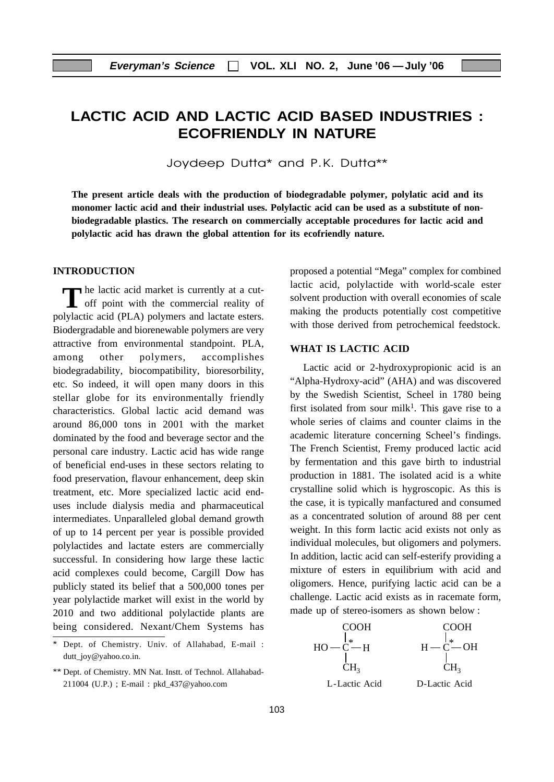# **LACTIC ACID AND LACTIC ACID BASED INDUSTRIES : ECOFRIENDLY IN NATURE**

Joydeep Dutta\* and P.K. Dutta\*\*

**The present article deals with the production of biodegradable polymer, polylatic acid and its monomer lactic acid and their industrial uses. Polylactic acid can be used as a substitute of nonbiodegradable plastics. The research on commercially acceptable procedures for lactic acid and polylactic acid has drawn the global attention for its ecofriendly nature.**

#### **INTRODUCTION**

**THE LACTE ACTE 12** he lactic acid market is currently at a cut-The lactic acid market is currently at a cut-<br>off point with the commercial reality of polylactic acid (PLA) polymers and lactate esters. Biodergradable and biorenewable polymers are very attractive from environmental standpoint. PLA, among other polymers, accomplishes biodegradability, biocompatibility, bioresorbility, etc. So indeed, it will open many doors in this stellar globe for its environmentally friendly characteristics. Global lactic acid demand was around 86,000 tons in 2001 with the market dominated by the food and beverage sector and the personal care industry. Lactic acid has wide range of beneficial end-uses in these sectors relating to food preservation, flavour enhancement, deep skin treatment, etc. More specialized lactic acid enduses include dialysis media and pharmaceutical intermediates. Unparalleled global demand growth of up to 14 percent per year is possible provided polylactides and lactate esters are commercially successful. In considering how large these lactic acid complexes could become, Cargill Dow has publicly stated its belief that a 500,000 tones per year polylactide market will exist in the world by 2010 and two additional polylactide plants are being considered. Nexant/Chem Systems has proposed a potential "Mega" complex for combined lactic acid, polylactide with world-scale ester solvent production with overall economies of scale making the products potentially cost competitive with those derived from petrochemical feedstock.

#### **WHAT IS LACTIC ACID**

Lactic acid or 2-hydroxypropionic acid is an "Alpha-Hydroxy-acid" (AHA) and was discovered by the Swedish Scientist, Scheel in 1780 being first isolated from sour milk<sup>1</sup>. This gave rise to a whole series of claims and counter claims in the academic literature concerning Scheel's findings. The French Scientist, Fremy produced lactic acid by fermentation and this gave birth to industrial production in 1881. The isolated acid is a white crystalline solid which is hygroscopic. As this is the case, it is typically manfactured and consumed as a concentrated solution of around 88 per cent weight. In this form lactic acid exists not only as individual molecules, but oligomers and polymers. In addition, lactic acid can self-esterify providing a mixture of esters in equilibrium with acid and oligomers. Hence, purifying lactic acid can be a challenge. Lactic acid exists as in racemate form, made up of stereo-isomers as shown below :



 Dept. of Chemistry. Univ. of Allahabad, E-mail : dutt\_joy@yahoo.co.in.

<sup>\*\*</sup> Dept. of Chemistry. MN Nat. Instt. of Technol. Allahabad-211004 (U.P.) ; E-mail : pkd\_437@yahoo.com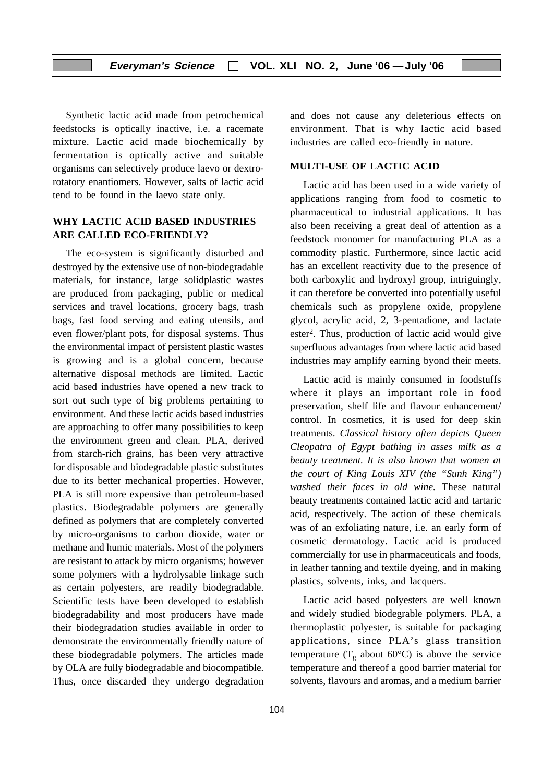Synthetic lactic acid made from petrochemical feedstocks is optically inactive, i.e. a racemate mixture. Lactic acid made biochemically by fermentation is optically active and suitable organisms can selectively produce laevo or dextrorotatory enantiomers. However, salts of lactic acid tend to be found in the laevo state only.

#### **WHY LACTIC ACID BASED INDUSTRIES ARE CALLED ECO-FRIENDLY?**

The eco-system is significantly disturbed and destroyed by the extensive use of non-biodegradable materials, for instance, large solidplastic wastes are produced from packaging, public or medical services and travel locations, grocery bags, trash bags, fast food serving and eating utensils, and even flower/plant pots, for disposal systems. Thus the environmental impact of persistent plastic wastes is growing and is a global concern, because alternative disposal methods are limited. Lactic acid based industries have opened a new track to sort out such type of big problems pertaining to environment. And these lactic acids based industries are approaching to offer many possibilities to keep the environment green and clean. PLA, derived from starch-rich grains, has been very attractive for disposable and biodegradable plastic substitutes due to its better mechanical properties. However, PLA is still more expensive than petroleum-based plastics. Biodegradable polymers are generally defined as polymers that are completely converted by micro-organisms to carbon dioxide, water or methane and humic materials. Most of the polymers are resistant to attack by micro organisms; however some polymers with a hydrolysable linkage such as certain polyesters, are readily biodegradable. Scientific tests have been developed to establish biodegradability and most producers have made their biodegradation studies available in order to demonstrate the environmentally friendly nature of these biodegradable polymers. The articles made by OLA are fully biodegradable and biocompatible. Thus, once discarded they undergo degradation

104

and does not cause any deleterious effects on environment. That is why lactic acid based industries are called eco-friendly in nature.

#### **MULTI-USE OF LACTIC ACID**

Lactic acid has been used in a wide variety of applications ranging from food to cosmetic to pharmaceutical to industrial applications. It has also been receiving a great deal of attention as a feedstock monomer for manufacturing PLA as a commodity plastic. Furthermore, since lactic acid has an excellent reactivity due to the presence of both carboxylic and hydroxyl group, intriguingly, it can therefore be converted into potentially useful chemicals such as propylene oxide, propylene glycol, acrylic acid, 2, 3-pentadione, and lactate ester2. Thus, production of lactic acid would give superfluous advantages from where lactic acid based industries may amplify earning byond their meets.

Lactic acid is mainly consumed in foodstuffs where it plays an important role in food preservation, shelf life and flavour enhancement/ control. In cosmetics, it is used for deep skin treatments. *Classical history often depicts Queen Cleopatra of Egypt bathing in asses milk as a beauty treatment. It is also known that women at the court of King Louis XIV (the "Sunh King") washed their faces in old wine.* These natural beauty treatments contained lactic acid and tartaric acid, respectively. The action of these chemicals was of an exfoliating nature, i.e. an early form of cosmetic dermatology. Lactic acid is produced commercially for use in pharmaceuticals and foods, in leather tanning and textile dyeing, and in making plastics, solvents, inks, and lacquers.

Lactic acid based polyesters are well known and widely studied biodegrable polymers. PLA, a thermoplastic polyester, is suitable for packaging applications, since PLA's glass transition temperature ( $T_g$  about 60°C) is above the service temperature and thereof a good barrier material for solvents, flavours and aromas, and a medium barrier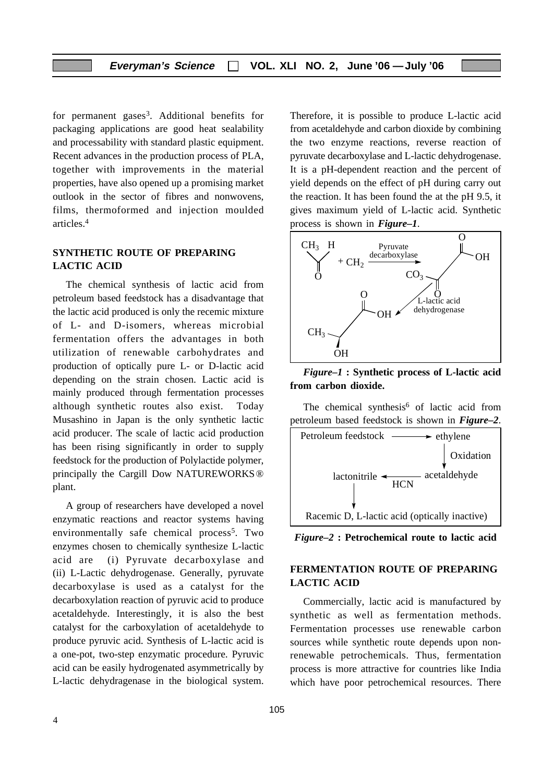for permanent gases3. Additional benefits for packaging applications are good heat sealability and processability with standard plastic equipment. Recent advances in the production process of PLA, together with improvements in the material properties, have also opened up a promising market outlook in the sector of fibres and nonwovens, films, thermoformed and injection moulded articles.4

#### **SYNTHETIC ROUTE OF PREPARING LACTIC ACID**

The chemical synthesis of lactic acid from petroleum based feedstock has a disadvantage that the lactic acid produced is only the recemic mixture of L- and D-isomers, whereas microbial fermentation offers the advantages in both utilization of renewable carbohydrates and production of optically pure L- or D-lactic acid depending on the strain chosen. Lactic acid is mainly produced through fermentation processes although synthetic routes also exist. Today Musashino in Japan is the only synthetic lactic acid producer. The scale of lactic acid production has been rising significantly in order to supply feedstock for the production of Polylactide polymer, principally the Cargill Dow NATUREWORKS® plant.

A group of researchers have developed a novel enzymatic reactions and reactor systems having environmentally safe chemical process<sup>5</sup>. Two enzymes chosen to chemically synthesize L-lactic acid are (i) Pyruvate decarboxylase and (ii) L-Lactic dehydrogenase. Generally, pyruvate decarboxylase is used as a catalyst for the decarboxylation reaction of pyruvic acid to produce acetaldehyde. Interestingly, it is also the best catalyst for the carboxylation of acetaldehyde to produce pyruvic acid. Synthesis of L-lactic acid is a one-pot, two-step enzymatic procedure. Pyruvic acid can be easily hydrogenated asymmetrically by L-lactic dehydragenase in the biological system. Therefore, it is possible to produce L-lactic acid from acetaldehyde and carbon dioxide by combining the two enzyme reactions, reverse reaction of pyruvate decarboxylase and L-lactic dehydrogenase. It is a pH-dependent reaction and the percent of yield depends on the effect of pH during carry out the reaction. It has been found the at the pH 9.5, it gives maximum yield of L-lactic acid. Synthetic process is shown in *Figure–1*.



*Figure–1* **: Synthetic process of L-lactic acid from carbon dioxide.**

The chemical synthesis<sup>6</sup> of lactic acid from petroleum based feedstock is shown in *Figure–2*.



*Figure–2* **: Petrochemical route to lactic acid**

#### **FERMENTATION ROUTE OF PREPARING LACTIC ACID**

Commercially, lactic acid is manufactured by synthetic as well as fermentation methods. Fermentation processes use renewable carbon sources while synthetic route depends upon nonrenewable petrochemicals. Thus, fermentation process is more attractive for countries like India which have poor petrochemical resources. There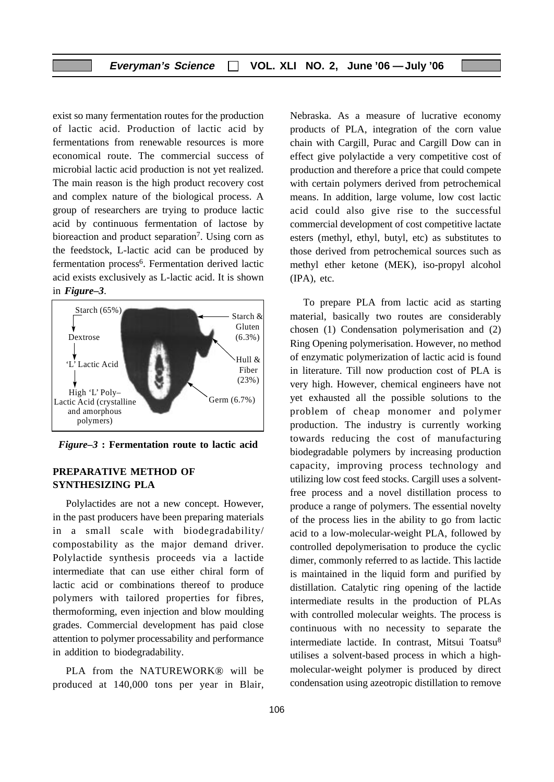exist so many fermentation routes for the production of lactic acid. Production of lactic acid by fermentations from renewable resources is more economical route. The commercial success of microbial lactic acid production is not yet realized. The main reason is the high product recovery cost and complex nature of the biological process. A group of researchers are trying to produce lactic acid by continuous fermentation of lactose by bioreaction and product separation<sup>7</sup>. Using corn as the feedstock, L-lactic acid can be produced by fermentation process<sup>6</sup>. Fermentation derived lactic acid exists exclusively as L-lactic acid. It is shown in *Figure–3*.



*Figure–3* **: Fermentation route to lactic acid**

#### **PREPARATIVE METHOD OF SYNTHESIZING PLA**

Polylactides are not a new concept. However, in the past producers have been preparing materials in a small scale with biodegradability/ compostability as the major demand driver. Polylactide synthesis proceeds via a lactide intermediate that can use either chiral form of lactic acid or combinations thereof to produce polymers with tailored properties for fibres, thermoforming, even injection and blow moulding grades. Commercial development has paid close attention to polymer processability and performance in addition to biodegradability.

PLA from the NATUREWORK® will be produced at 140,000 tons per year in Blair, Nebraska. As a measure of lucrative economy products of PLA, integration of the corn value chain with Cargill, Purac and Cargill Dow can in effect give polylactide a very competitive cost of production and therefore a price that could compete with certain polymers derived from petrochemical means. In addition, large volume, low cost lactic acid could also give rise to the successful commercial development of cost competitive lactate esters (methyl, ethyl, butyl, etc) as substitutes to those derived from petrochemical sources such as methyl ether ketone (MEK), iso-propyl alcohol (IPA), etc.

To prepare PLA from lactic acid as starting material, basically two routes are considerably chosen (1) Condensation polymerisation and (2) Ring Opening polymerisation. However, no method of enzymatic polymerization of lactic acid is found in literature. Till now production cost of PLA is very high. However, chemical engineers have not yet exhausted all the possible solutions to the problem of cheap monomer and polymer production. The industry is currently working towards reducing the cost of manufacturing biodegradable polymers by increasing production capacity, improving process technology and utilizing low cost feed stocks. Cargill uses a solventfree process and a novel distillation process to produce a range of polymers. The essential novelty of the process lies in the ability to go from lactic acid to a low-molecular-weight PLA, followed by controlled depolymerisation to produce the cyclic dimer, commonly referred to as lactide. This lactide is maintained in the liquid form and purified by distillation. Catalytic ring opening of the lactide intermediate results in the production of PLAs with controlled molecular weights. The process is continuous with no necessity to separate the intermediate lactide. In contrast, Mitsui Toatsu<sup>8</sup> utilises a solvent-based process in which a highmolecular-weight polymer is produced by direct condensation using azeotropic distillation to remove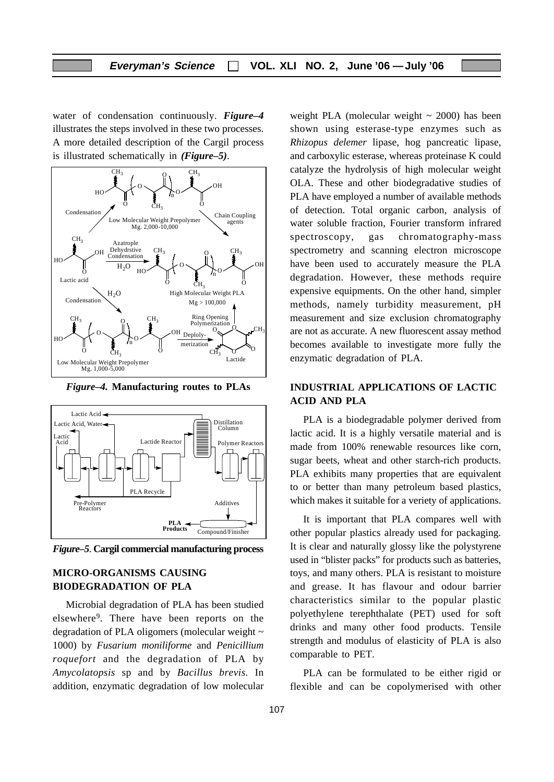water of condensation continuously. *Figure–4* illustrates the steps involved in these two processes. A more detailed description of the Cargil process is illustrated schematically in *(Figure–5)*.



*Figure–4.* **Manufacturing routes to PLAs**



*Figure–5*. **Cargil commercial manufacturing process**

#### **MICRO-ORGANISMS CAUSING BIODEGRADATION OF PLA**

Microbial degradation of PLA has been studied elsewhere9. There have been reports on the degradation of PLA oligomers (molecular weight ~ 1000) by *Fusarium moniliforme* and *Penicillium roquefort* and the degradation of PLA by *Amycolatopsis* sp and by *Bacillus brevis.* In addition, enzymatic degradation of low molecular weight PLA (molecular weight  $\sim$  2000) has been shown using esterase-type enzymes such as *Rhizopus delemer* lipase, hog pancreatic lipase, and carboxylic esterase, whereas proteinase K could catalyze the hydrolysis of high molecular weight OLA. These and other biodegradative studies of PLA have employed a number of available methods of detection. Total organic carbon, analysis of water soluble fraction, Fourier transform infrared spectroscopy, gas chromatography-mass spectrometry and scanning electron microscope have been used to accurately measure the PLA degradation. However, these methods require expensive equipments. On the other hand, simpler methods, namely turbidity measurement, pH measurement and size exclusion chromatography are not as accurate. A new fluorescent assay method becomes available to investigate more fully the enzymatic degradation of PLA.

#### **INDUSTRIAL APPLICATIONS OF LACTIC ACID AND PLA**

PLA is a biodegradable polymer derived from lactic acid. It is a highly versatile material and is made from 100% renewable resources like corn, sugar beets, wheat and other starch-rich products. PLA exhibits many properties that are equivalent to or better than many petroleum based plastics, which makes it suitable for a veriety of applications.

It is important that PLA compares well with other popular plastics already used for packaging. It is clear and naturally glossy like the polystyrene used in "blister packs" for products such as batteries, toys, and many others. PLA is resistant to moisture and grease. It has flavour and odour barrier characteristics similar to the popular plastic polyethylene terephthalate (PET) used for soft drinks and many other food products. Tensile strength and modulus of elasticity of PLA is also comparable to PET.

PLA can be formulated to be either rigid or flexible and can be copolymerised with other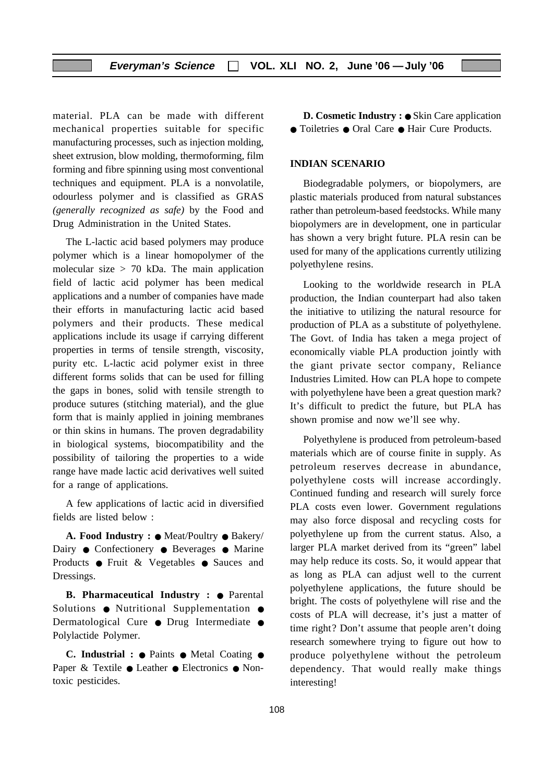material. PLA can be made with different mechanical properties suitable for specific manufacturing processes, such as injection molding, sheet extrusion, blow molding, thermoforming, film forming and fibre spinning using most conventional techniques and equipment. PLA is a nonvolatile, odourless polymer and is classified as GRAS *(generally recognized as safe)* by the Food and Drug Administration in the United States.

The L-lactic acid based polymers may produce polymer which is a linear homopolymer of the molecular size  $> 70$  kDa. The main application field of lactic acid polymer has been medical applications and a number of companies have made their efforts in manufacturing lactic acid based polymers and their products. These medical applications include its usage if carrying different properties in terms of tensile strength, viscosity, purity etc. L-lactic acid polymer exist in three different forms solids that can be used for filling the gaps in bones, solid with tensile strength to produce sutures (stitching material), and the glue form that is mainly applied in joining membranes or thin skins in humans. The proven degradability in biological systems, biocompatibility and the possibility of tailoring the properties to a wide range have made lactic acid derivatives well suited for a range of applications.

A few applications of lactic acid in diversified fields are listed below :

**A. Food Industry :** ● Meat/Poultry ● Bakery/ Dairy ● Confectionery ● Beverages ● Marine Products ● Fruit & Vegetables ● Sauces and Dressings.

**B. Pharmaceutical Industry :** ● Parental Solutions ● Nutritional Supplementation ● Dermatological Cure ● Drug Intermediate ● Polylactide Polymer.

**C. Industrial :** ● Paints ● Metal Coating ● Paper & Textile ● Leather ● Electronics ● Nontoxic pesticides.

**D. Cosmetic Industry :** ● Skin Care application ● Toiletries ● Oral Care ● Hair Cure Products.

#### **INDIAN SCENARIO**

Biodegradable polymers, or biopolymers, are plastic materials produced from natural substances rather than petroleum-based feedstocks. While many biopolymers are in development, one in particular has shown a very bright future. PLA resin can be used for many of the applications currently utilizing polyethylene resins.

Looking to the worldwide research in PLA production, the Indian counterpart had also taken the initiative to utilizing the natural resource for production of PLA as a substitute of polyethylene. The Govt. of India has taken a mega project of economically viable PLA production jointly with the giant private sector company, Reliance Industries Limited. How can PLA hope to compete with polyethylene have been a great question mark? It's difficult to predict the future, but PLA has shown promise and now we'll see why.

Polyethylene is produced from petroleum-based materials which are of course finite in supply. As petroleum reserves decrease in abundance, polyethylene costs will increase accordingly. Continued funding and research will surely force PLA costs even lower. Government regulations may also force disposal and recycling costs for polyethylene up from the current status. Also, a larger PLA market derived from its "green" label may help reduce its costs. So, it would appear that as long as PLA can adjust well to the current polyethylene applications, the future should be bright. The costs of polyethylene will rise and the costs of PLA will decrease, it's just a matter of time right? Don't assume that people aren't doing research somewhere trying to figure out how to produce polyethylene without the petroleum dependency. That would really make things interesting!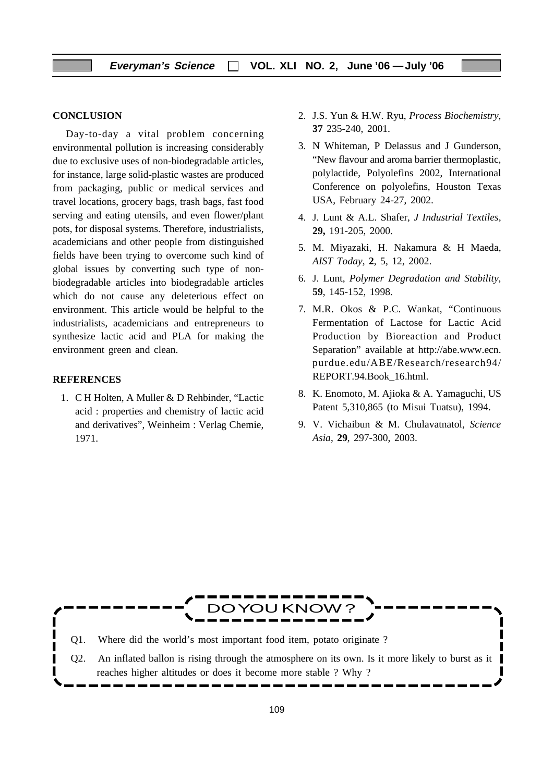#### **CONCLUSION**

Day-to-day a vital problem concerning environmental pollution is increasing considerably due to exclusive uses of non-biodegradable articles, for instance, large solid-plastic wastes are produced from packaging, public or medical services and travel locations, grocery bags, trash bags, fast food serving and eating utensils, and even flower/plant pots, for disposal systems. Therefore, industrialists, academicians and other people from distinguished fields have been trying to overcome such kind of global issues by converting such type of nonbiodegradable articles into biodegradable articles which do not cause any deleterious effect on environment. This article would be helpful to the industrialists, academicians and entrepreneurs to synthesize lactic acid and PLA for making the environment green and clean.

#### **REFERENCES**

1. C H Holten, A Muller & D Rehbinder, "Lactic acid : properties and chemistry of lactic acid and derivatives", Weinheim : Verlag Chemie, 1971.

- 2. J.S. Yun & H.W. Ryu, *Process Biochemistry*, **37** 235-240, 2001.
- 3. N Whiteman, P Delassus and J Gunderson, "New flavour and aroma barrier thermoplastic, polylactide, Polyolefins 2002, International Conference on polyolefins, Houston Texas USA, February 24-27, 2002.
- 4. J. Lunt & A.L. Shafer, *J Industrial Textiles,* **29,** 191-205, 2000.
- 5. M. Miyazaki, H. Nakamura & H Maeda, *AIST Today*, **2**, 5, 12, 2002.
- 6. J. Lunt, *Polymer Degradation and Stability*, **59**, 145-152, 1998.
- 7. M.R. Okos & P.C. Wankat, "Continuous Fermentation of Lactose for Lactic Acid Production by Bioreaction and Product Separation" available at http://abe.www.ecn. purdue.edu/ABE/Research/research94/ REPORT.94.Book\_16.html.
- 8. K. Enomoto, M. Ajioka & A. Yamaguchi, US Patent 5,310,865 (to Misui Tuatsu), 1994.
- 9. V. Vichaibun & M. Chulavatnatol, *Science Asia*, **29**, 297-300, 2003.

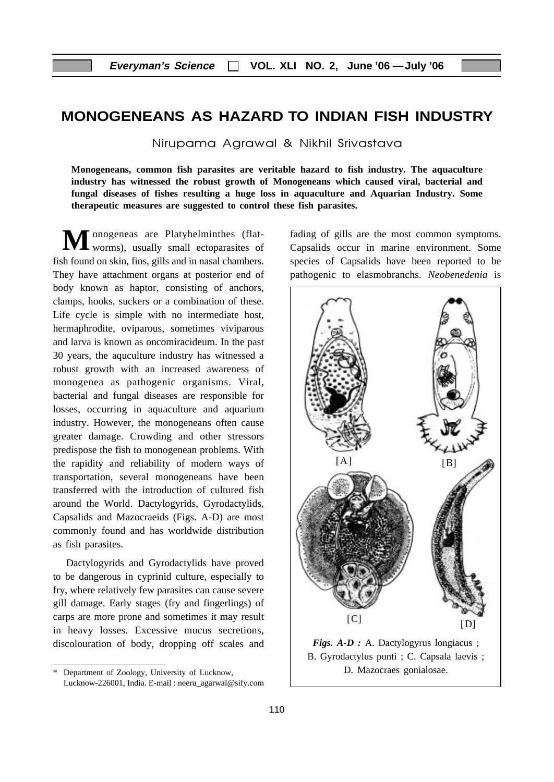# **MONOGENEANS AS HAZARD TO INDIAN FISH INDUSTRY**

Nirupama Agrawal & Nikhil Srivastava

**Monogeneans, common fish parasites are veritable hazard to fish industry. The aquaculture industry has witnessed the robust growth of Monogeneans which caused viral, bacterial and fungal diseases of fishes resulting a huge loss in aquaculture and Aquarian Industry. Some therapeutic measures are suggested to control these fish parasites.**

**M** onogeneas are Platyhelminthes (flat-<br> **M** fading of gills are the most common symptoms.<br>
Capsalids occur in marine environment. Some worms), usually small ectoparasites of fish found on skin, fins, gills and in nasal chambers. They have attachment organs at posterior end of body known as haptor, consisting of anchors, clamps, hooks, suckers or a combination of these. Life cycle is simple with no intermediate host, hermaphrodite, oviparous, sometimes viviparous and larva is known as oncomiracideum. In the past 30 years, the aquculture industry has witnessed a robust growth with an increased awareness of monogenea as pathogenic organisms. Viral, bacterial and fungal diseases are responsible for losses, occurring in aquaculture and aquarium industry. However, the monogeneans often cause greater damage. Crowding and other stressors predispose the fish to monogenean problems. With the rapidity and reliability of modern ways of transportation, several monogeneans have been transferred with the introduction of cultured fish around the World. Dactylogyrids, Gyrodactylids, Capsalids and Mazocraeids (Figs. A-D) are most commonly found and has worldwide distribution as fish parasites.

Dactylogyrids and Gyrodactylids have proved to be dangerous in cyprinid culture, especially to fry, where relatively few parasites can cause severe gill damage. Early stages (fry and fingerlings) of carps are more prone and sometimes it may result in heavy losses. Excessive mucus secretions, discolouration of body, dropping off scales and Capsalids occur in marine environment. Some species of Capsalids have been reported to be pathogenic to elasmobranchs. *Neobenedenia* is



D. Mazocraes gonialosae.

Department of Zoology, University of Lucknow, Lucknow-226001, India. E-mail : neeru\_agarwal@sify.com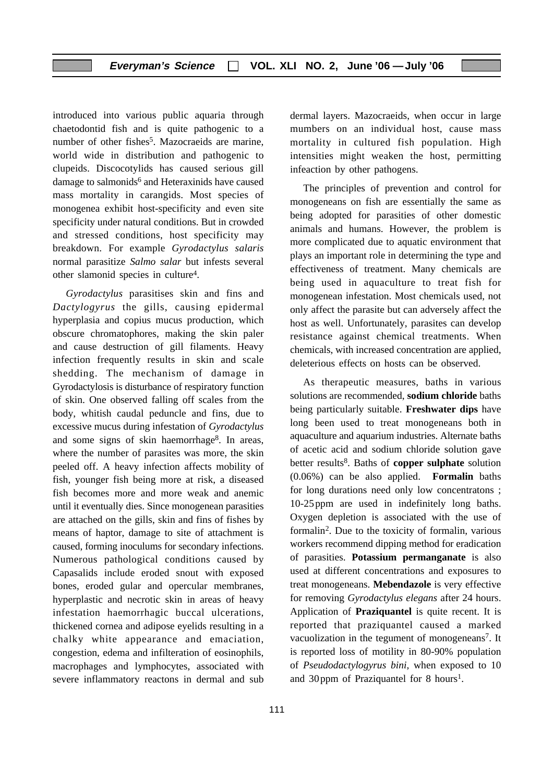introduced into various public aquaria through chaetodontid fish and is quite pathogenic to a number of other fishes<sup>5</sup>. Mazocraeids are marine, world wide in distribution and pathogenic to clupeids. Discocotylids has caused serious gill damage to salmonids<sup>6</sup> and Heteraxinids have caused mass mortality in carangids. Most species of monogenea exhibit host-specificity and even site specificity under natural conditions. But in crowded and stressed conditions, host specificity may breakdown. For example *Gyrodactylus salaris* normal parasitize *Salmo salar* but infests several other slamonid species in culture4.

*Gyrodactylus* parasitises skin and fins and *Dactylogyrus* the gills, causing epidermal hyperplasia and copius mucus production, which obscure chromatophores, making the skin paler and cause destruction of gill filaments. Heavy infection frequently results in skin and scale shedding. The mechanism of damage in Gyrodactylosis is disturbance of respiratory function of skin. One observed falling off scales from the body, whitish caudal peduncle and fins, due to excessive mucus during infestation of *Gyrodactylus* and some signs of skin haemorrhage<sup>8</sup>. In areas, where the number of parasites was more, the skin peeled off. A heavy infection affects mobility of fish, younger fish being more at risk, a diseased fish becomes more and more weak and anemic until it eventually dies. Since monogenean parasities are attached on the gills, skin and fins of fishes by means of haptor, damage to site of attachment is caused, forming inoculums for secondary infections. Numerous pathological conditions caused by Capasalids include eroded snout with exposed bones, eroded gular and opercular membranes, hyperplastic and necrotic skin in areas of heavy infestation haemorrhagic buccal ulcerations, thickened cornea and adipose eyelids resulting in a chalky white appearance and emaciation, congestion, edema and infilteration of eosinophils, macrophages and lymphocytes, associated with severe inflammatory reactons in dermal and sub

dermal layers. Mazocraeids, when occur in large mumbers on an individual host, cause mass mortality in cultured fish population. High intensities might weaken the host, permitting infeaction by other pathogens.

The principles of prevention and control for monogeneans on fish are essentially the same as being adopted for parasities of other domestic animals and humans. However, the problem is more complicated due to aquatic environment that plays an important role in determining the type and effectiveness of treatment. Many chemicals are being used in aquaculture to treat fish for monogenean infestation. Most chemicals used, not only affect the parasite but can adversely affect the host as well. Unfortunately, parasites can develop resistance against chemical treatments. When chemicals, with increased concentration are applied, deleterious effects on hosts can be observed.

As therapeutic measures, baths in various solutions are recommended, **sodium chloride** baths being particularly suitable. **Freshwater dips** have long been used to treat monogeneans both in aquaculture and aquarium industries. Alternate baths of acetic acid and sodium chloride solution gave better results8. Baths of **copper sulphate** solution (0.06%) can be also applied. **Formalin** baths for long durations need only low concentratons ; 10-25ppm are used in indefinitely long baths. Oxygen depletion is associated with the use of formalin2. Due to the toxicity of formalin, various workers recommend dipping method for eradication of parasities. **Potassium permanganate** is also used at different concentrations and exposures to treat monogeneans. **Mebendazole** is very effective for removing *Gyrodactylus elegans* after 24 hours. Application of **Praziquantel** is quite recent. It is reported that praziquantel caused a marked vacuolization in the tegument of monogeneans<sup>7</sup>. It is reported loss of motility in 80-90% population of *Pseudodactylogyrus bini,* when exposed to 10 and 30 ppm of Praziquantel for 8 hours<sup>1</sup>.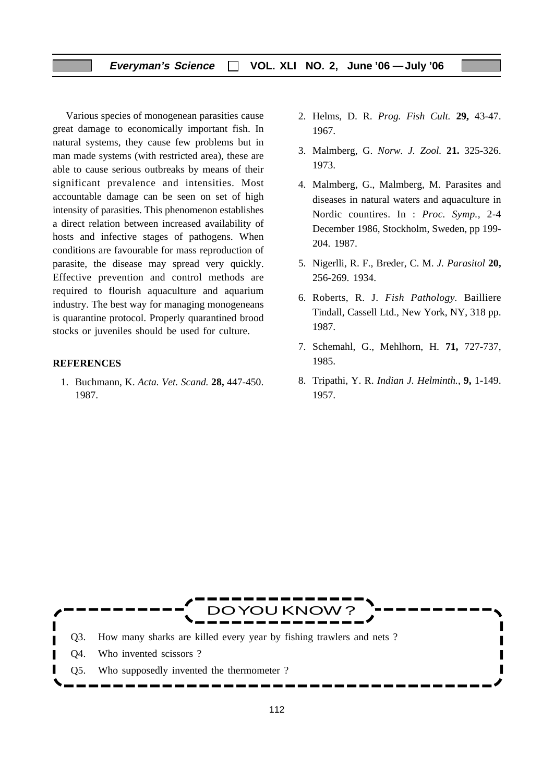#### **Everyman's Science VOL. XLI NO. 2, June '06 —July '06**

Various species of monogenean parasities cause great damage to economically important fish. In natural systems, they cause few problems but in man made systems (with restricted area), these are able to cause serious outbreaks by means of their significant prevalence and intensities. Most accountable damage can be seen on set of high intensity of parasities. This phenomenon establishes a direct relation between increased availability of hosts and infective stages of pathogens. When conditions are favourable for mass reproduction of parasite, the disease may spread very quickly. Effective prevention and control methods are required to flourish aquaculture and aquarium industry. The best way for managing monogeneans is quarantine protocol. Properly quarantined brood stocks or juveniles should be used for culture.

#### **REFERENCES**

1. Buchmann, K. *Acta. Vet. Scand.* **28,** 447-450. 1987.

- 2. Helms, D. R. *Prog. Fish Cult.* **29,** 43-47. 1967.
- 3. Malmberg, G. *Norw. J. Zool.* **21.** 325-326. 1973.
- 4. Malmberg, G., Malmberg, M. Parasites and diseases in natural waters and aquaculture in Nordic countires. In : *Proc. Symp.,* 2-4 December 1986, Stockholm, Sweden, pp 199- 204. 1987.
- 5. Nigerlli, R. F., Breder, C. M. *J. Parasitol* **20,** 256-269. 1934.
- 6. Roberts, R. J. *Fish Pathology.* Bailliere Tindall, Cassell Ltd., New York, NY, 318 pp. 1987.
- 7. Schemahl, G., Mehlhorn, H. **71,** 727-737, 1985.
- 8. Tripathi, Y. R. *Indian J. Helminth.*, **9,** 1-149. 1957.

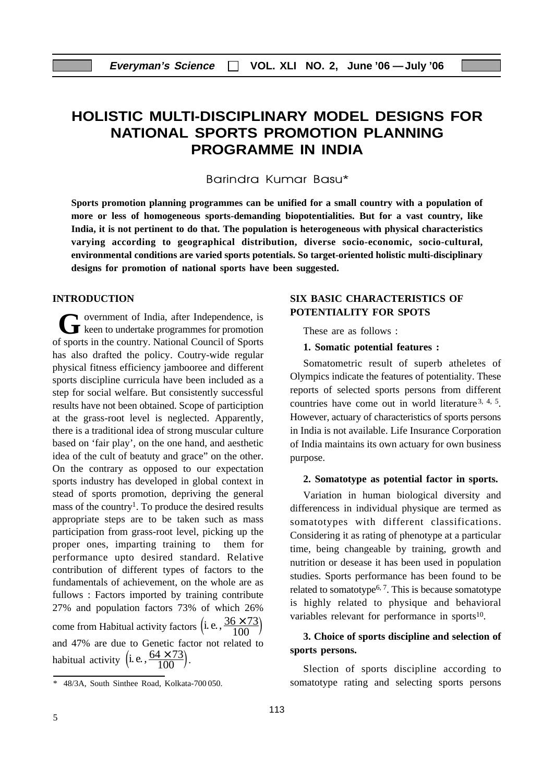# **HOLISTIC MULTI-DISCIPLINARY MODEL DESIGNS FOR NATIONAL SPORTS PROMOTION PLANNING PROGRAMME IN INDIA**

Barindra Kumar Basu\*

**Sports promotion planning programmes can be unified for a small country with a population of more or less of homogeneous sports-demanding biopotentialities. But for a vast country, like India, it is not pertinent to do that. The population is heterogeneous with physical characteristics varying according to geographical distribution, diverse socio-economic, socio-cultural, environmental conditions are varied sports potentials. So target-oriented holistic multi-disciplinary designs for promotion of national sports have been suggested.**

#### **INTRODUCTION**

overnment of India, after Independence, is **G** overnment of India, after Independence, is<br>
keen to undertake programmes for promotion of sports in the country. National Council of Sports has also drafted the policy. Coutry-wide regular physical fitness efficiency jambooree and different sports discipline curricula have been included as a step for social welfare. But consistently successful results have not been obtained. Scope of particiption at the grass-root level is neglected. Apparently, there is a traditional idea of strong muscular culture based on 'fair play', on the one hand, and aesthetic idea of the cult of beatuty and grace" on the other. On the contrary as opposed to our expectation sports industry has developed in global context in stead of sports promotion, depriving the general mass of the country<sup>1</sup>. To produce the desired results appropriate steps are to be taken such as mass participation from grass-root level, picking up the proper ones, imparting training to them for performance upto desired standard. Relative contribution of different types of factors to the fundamentals of achievement, on the whole are as fullows : Factors imported by training contribute 27% and population factors 73% of which 26% come from Habitual activity factors  $(i. e., \frac{36 \times 73}{100})$ and 47% are due to Genetic factor not related to habitual activity  $(i.e., \frac{64 \times 73}{100})$ .

#### **SIX BASIC CHARACTERISTICS OF POTENTIALITY FOR SPOTS**

These are as follows :

#### **1. Somatic potential features :**

Somatometric result of superb atheletes of Olympics indicate the features of potentiality. These reports of selected sports persons from different countries have come out in world literature<sup>3, 4, 5</sup>. However, actuary of characteristics of sports persons in India is not available. Life Insurance Corporation of India maintains its own actuary for own business purpose.

#### **2. Somatotype as potential factor in sports.**

Variation in human biological diversity and differencess in individual physique are termed as somatotypes with different classifications. Considering it as rating of phenotype at a particular time, being changeable by training, growth and nutrition or desease it has been used in population studies. Sports performance has been found to be related to somatotype<sup> $6, 7$ </sup>. This is because somatotype is highly related to physique and behavioral variables relevant for performance in sports<sup>10</sup>.

#### **3. Choice of sports discipline and selection of sports persons.**

Slection of sports discipline according to somatotype rating and selecting sports persons

<sup>\* 48/3</sup>A, South Sinthee Road, Kolkata-700 050.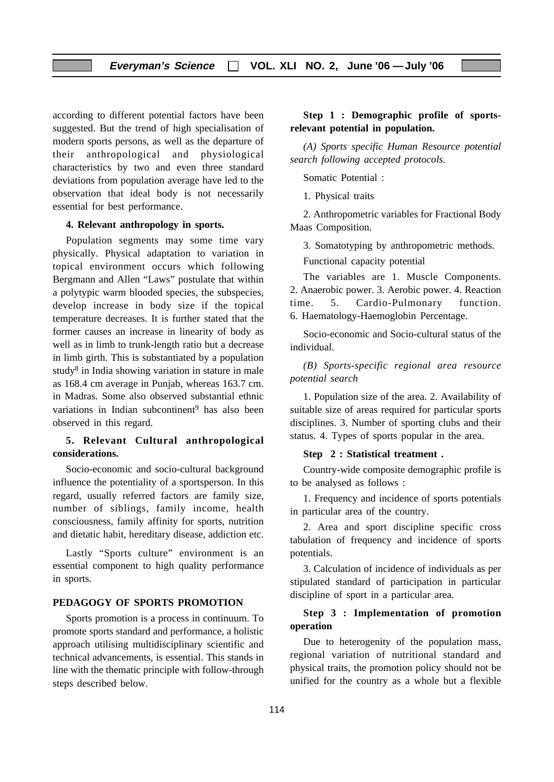according to different potential factors have been suggested. But the trend of high specialisation of modern sports persons, as well as the departure of their anthropological and physiological characteristics by two and even three standard deviations from population average have led to the observation that ideal body is not necessarily essential for best performance.

#### **4. Relevant anthropology in sports.**

Population segments may some time vary physically. Physical adaptation to variation in topical environment occurs which following Bergmann and Allen "Laws" postulate that within a polytypic warm blooded species, the subspecies, develop increase in body size if the topical temperature decreases. It is further stated that the former causes an increase in linearity of body as well as in limb to trunk-length ratio but a decrease in limb girth. This is substantiated by a population study8 in India showing variation in stature in male as 168.4 cm average in Punjab, whereas 163.7 cm. in Madras. Some also observed substantial ethnic variations in Indian subcontinent<sup>9</sup> has also been observed in this regard.

#### **5. Relevant Cultural anthropological considerations.**

Socio-economic and socio-cultural background influence the potentiality of a sportsperson. In this regard, usually referred factors are family size, number of siblings, family income, health consciousness, family affinity for sports, nutrition and dietatic habit, hereditary disease, addiction etc.

Lastly "Sports culture" environment is an essential component to high quality performance in sports.

#### **PEDAGOGY OF SPORTS PROMOTION**

Sports promotion is a process in continuum. To promote sports standard and performance, a holistic approach utilising multidisciplinary scientific and technical advancements, is essential. This stands in line with the thematic principle with follow-through steps described below.

#### **Step 1 : Demographic profile of sportsrelevant potential in population.**

*(A) Sports specific Human Resource potential search following accepted protocols.*

Somatic Potential :

1. Physical traits

2. Anthropometric variables for Fractional Body Maas Composition.

3. Somatotyping by anthropometric methods.

Functional capacity potential

The variables are 1. Muscle Components. 2. Anaerobic power. 3. Aerobic power. 4. Reaction time. 5. Cardio-Pulmonary function. 6. Haematology-Haemoglobin Percentage.

Socio-economic and Socio-cultural status of the individual.

*(B) Sports-specific regional area resource potential search*

1. Population size of the area. 2. Availability of suitable size of areas required for particular sports disciplines. 3. Number of sporting clubs and their status. 4. Types of sports popular in the area.

#### **Step 2 : Statistical treatment .**

Country-wide composite demographic profile is to be analysed as follows :

1. Frequency and incidence of sports potentials in particular area of the country.

2. Area and sport discipline specific cross tabulation of frequency and incidence of sports potentials.

3. Calculation of incidence of individuals as per stipulated standard of participation in particular discipline of sport in a particular area.

#### **Step 3 : Implementation of promotion operation**

Due to heterogenity of the population mass, regional variation of nutritional standard and physical traits, the promotion policy should not be unified for the country as a whole but a flexible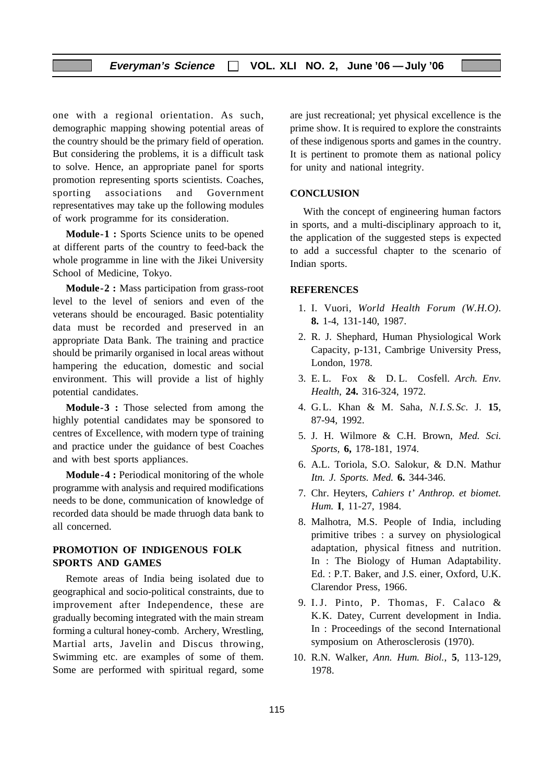one with a regional orientation. As such, demographic mapping showing potential areas of the country should be the primary field of operation. But considering the problems, it is a difficult task to solve. Hence, an appropriate panel for sports promotion representing sports scientists. Coaches, sporting associations and Government representatives may take up the following modules of work programme for its consideration.

**Module-1 :** Sports Science units to be opened at different parts of the country to feed-back the whole programme in line with the Jikei University School of Medicine, Tokyo.

**Module-2 :** Mass participation from grass-root level to the level of seniors and even of the veterans should be encouraged. Basic potentiality data must be recorded and preserved in an appropriate Data Bank. The training and practice should be primarily organised in local areas without hampering the education, domestic and social environment. This will provide a list of highly potential candidates.

**Module-3 :** Those selected from among the highly potential candidates may be sponsored to centres of Excellence, with modern type of training and practice under the guidance of best Coaches and with best sports appliances.

**Module-4 :** Periodical monitoring of the whole programme with analysis and required modifications needs to be done, communication of knowledge of recorded data should be made thruogh data bank to all concerned.

#### **PROMOTION OF INDIGENOUS FOLK SPORTS AND GAMES**

Remote areas of India being isolated due to geographical and socio-political constraints, due to improvement after Independence, these are gradually becoming integrated with the main stream forming a cultural honey-comb. Archery, Wrestling, Martial arts, Javelin and Discus throwing, Swimming etc. are examples of some of them. Some are performed with spiritual regard, some are just recreational; yet physical excellence is the prime show. It is required to explore the constraints of these indigenous sports and games in the country. It is pertinent to promote them as national policy for unity and national integrity.

#### **CONCLUSION**

With the concept of engineering human factors in sports, and a multi-disciplinary approach to it, the application of the suggested steps is expected to add a successful chapter to the scenario of Indian sports.

#### **REFERENCES**

- 1. I. Vuori, *World Health Forum (W.H.O)*. **8.** 1-4, 131-140, 1987.
- 2. R. J. Shephard, Human Physiological Work Capacity, p-131, Cambrige University Press, London, 1978.
- 3. E. L. Fox & D. L. Cosfell. *Arch. Env. Health*, **24.** 316-324, 1972.
- 4. G. L. Khan & M. Saha, *N.I.S.Sc.* J. **15**, 87-94, 1992.
- 5. J. H. Wilmore & C.H. Brown, *Med. Sci. Sports,* **6,** 178-181, 1974.
- 6. A.L. Toriola, S.O. Salokur, & D.N. Mathur *Itn. J. Sports. Med.* **6.** 344-346.
- 7. Chr. Heyters, *Cahiers t' Anthrop. et biomet. Hum.* **I**, 11-27, 1984.
- 8. Malhotra, M.S. People of India, including primitive tribes : a survey on physiological adaptation, physical fitness and nutrition. In : The Biology of Human Adaptability. Ed. : P.T. Baker, and J.S. einer, Oxford, U.K. Clarendor Press, 1966.
- 9. I.J. Pinto, P. Thomas, F. Calaco & K.K. Datey, Current development in India. In : Proceedings of the second International symposium on Atherosclerosis (1970).
- 10. R.N. Walker, *Ann. Hum. Biol.*, **5**, 113-129, 1978.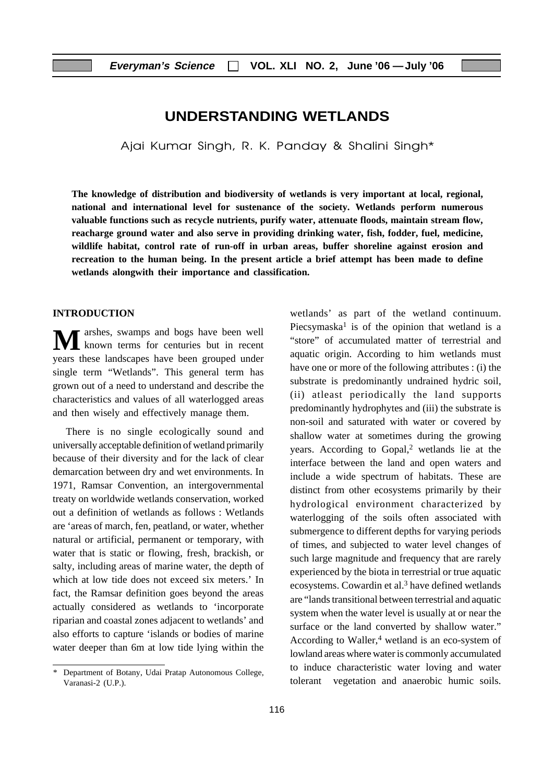## **UNDERSTANDING WETLANDS**

Ajai Kumar Singh, R. K. Panday & Shalini Singh\*

**The knowledge of distribution and biodiversity of wetlands is very important at local, regional, national and international level for sustenance of the society. Wetlands perform numerous valuable functions such as recycle nutrients, purify water, attenuate floods, maintain stream flow, reacharge ground water and also serve in providing drinking water, fish, fodder, fuel, medicine, wildlife habitat, control rate of run-off in urban areas, buffer shoreline against erosion and recreation to the human being. In the present article a brief attempt has been made to define wetlands alongwith their importance and classification.**

#### **INTRODUCTION**

**M** arshes, swamps and bogs have been well known terms for centuries but in recent years these landscapes have been grouped under single term "Wetlands". This general term has grown out of a need to understand and describe the characteristics and values of all waterlogged areas and then wisely and effectively manage them.

There is no single ecologically sound and universally acceptable definition of wetland primarily because of their diversity and for the lack of clear demarcation between dry and wet environments. In 1971, Ramsar Convention, an intergovernmental treaty on worldwide wetlands conservation, worked out a definition of wetlands as follows : Wetlands are 'areas of march, fen, peatland, or water, whether natural or artificial, permanent or temporary, with water that is static or flowing, fresh, brackish, or salty, including areas of marine water, the depth of which at low tide does not exceed six meters.' In fact, the Ramsar definition goes beyond the areas actually considered as wetlands to 'incorporate riparian and coastal zones adjacent to wetlands' and also efforts to capture 'islands or bodies of marine water deeper than 6m at low tide lying within the

wetlands' as part of the wetland continuum. Piecsymaska<sup>1</sup> is of the opinion that wetland is a "store" of accumulated matter of terrestrial and aquatic origin. According to him wetlands must have one or more of the following attributes : (i) the substrate is predominantly undrained hydric soil, (ii) atleast periodically the land supports predominantly hydrophytes and (iii) the substrate is non-soil and saturated with water or covered by shallow water at sometimes during the growing years. According to Gopal,<sup>2</sup> wetlands lie at the interface between the land and open waters and include a wide spectrum of habitats. These are distinct from other ecosystems primarily by their hydrological environment characterized by waterlogging of the soils often associated with submergence to different depths for varying periods of times, and subjected to water level changes of such large magnitude and frequency that are rarely experienced by the biota in terrestrial or true aquatic ecosystems. Cowardin et al.3 have defined wetlands are "lands transitional between terrestrial and aquatic system when the water level is usually at or near the surface or the land converted by shallow water." According to Waller,<sup>4</sup> wetland is an eco-system of lowland areas where water is commonly accumulated to induce characteristic water loving and water tolerant vegetation and anaerobic humic soils.

Department of Botany, Udai Pratap Autonomous College, Varanasi-2 (U.P.).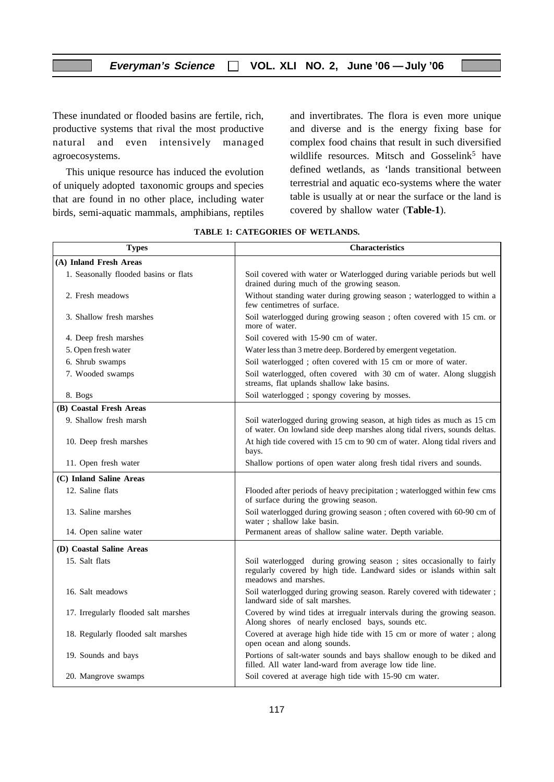These inundated or flooded basins are fertile, rich, productive systems that rival the most productive natural and even intensively managed agroecosystems.

This unique resource has induced the evolution of uniquely adopted taxonomic groups and species that are found in no other place, including water birds, semi-aquatic mammals, amphibians, reptiles

and invertibrates. The flora is even more unique and diverse and is the energy fixing base for complex food chains that result in such diversified wildlife resources. Mitsch and Gosselink<sup>5</sup> have defined wetlands, as 'lands transitional between terrestrial and aquatic eco-systems where the water table is usually at or near the surface or the land is covered by shallow water (**Table-1**).

| <b>Types</b>                          | <b>Characteristics</b>                                                                                                                                                 |
|---------------------------------------|------------------------------------------------------------------------------------------------------------------------------------------------------------------------|
| (A) Inland Fresh Areas                |                                                                                                                                                                        |
| 1. Seasonally flooded basins or flats | Soil covered with water or Waterlogged during variable periods but well<br>drained during much of the growing season.                                                  |
| 2. Fresh meadows                      | Without standing water during growing season ; waterlogged to within a<br>few centimetres of surface.                                                                  |
| 3. Shallow fresh marshes              | Soil waterlogged during growing season ; often covered with 15 cm. or<br>more of water.                                                                                |
| 4. Deep fresh marshes                 | Soil covered with 15-90 cm of water.                                                                                                                                   |
| 5. Open fresh water                   | Water less than 3 metre deep. Bordered by emergent vegetation.                                                                                                         |
| 6. Shrub swamps                       | Soil waterlogged; often covered with 15 cm or more of water.                                                                                                           |
| 7. Wooded swamps                      | Soil waterlogged, often covered with 30 cm of water. Along sluggish<br>streams, flat uplands shallow lake basins.                                                      |
| 8. Bogs                               | Soil waterlogged ; spongy covering by mosses.                                                                                                                          |
| (B) Coastal Fresh Areas               |                                                                                                                                                                        |
| 9. Shallow fresh marsh                | Soil waterlogged during growing season, at high tides as much as 15 cm<br>of water. On lowland side deep marshes along tidal rivers, sounds deltas.                    |
| 10. Deep fresh marshes                | At high tide covered with 15 cm to 90 cm of water. Along tidal rivers and<br>bays.                                                                                     |
| 11. Open fresh water                  | Shallow portions of open water along fresh tidal rivers and sounds.                                                                                                    |
| (C) Inland Saline Areas               |                                                                                                                                                                        |
| 12. Saline flats                      | Flooded after periods of heavy precipitation ; waterlogged within few cms<br>of surface during the growing season.                                                     |
| 13. Saline marshes                    | Soil waterlogged during growing season ; often covered with 60-90 cm of<br>water; shallow lake basin.                                                                  |
| 14. Open saline water                 | Permanent areas of shallow saline water. Depth variable.                                                                                                               |
| (D) Coastal Saline Areas              |                                                                                                                                                                        |
| 15. Salt flats                        | Soil waterlogged during growing season ; sites occasionally to fairly<br>regularly covered by high tide. Landward sides or islands within salt<br>meadows and marshes. |
| 16. Salt meadows                      | Soil waterlogged during growing season. Rarely covered with tidewater;<br>landward side of salt marshes.                                                               |
| 17. Irregularly flooded salt marshes  | Covered by wind tides at irregualr intervals during the growing season.<br>Along shores of nearly enclosed bays, sounds etc.                                           |
| 18. Regularly flooded salt marshes    | Covered at average high hide tide with 15 cm or more of water; along<br>open ocean and along sounds.                                                                   |
| 19. Sounds and bays                   | Portions of salt-water sounds and bays shallow enough to be diked and<br>filled. All water land-ward from average low tide line.                                       |
| 20. Mangrove swamps                   | Soil covered at average high tide with 15-90 cm water.                                                                                                                 |

#### **TABLE 1: CATEGORIES OF WETLANDS.**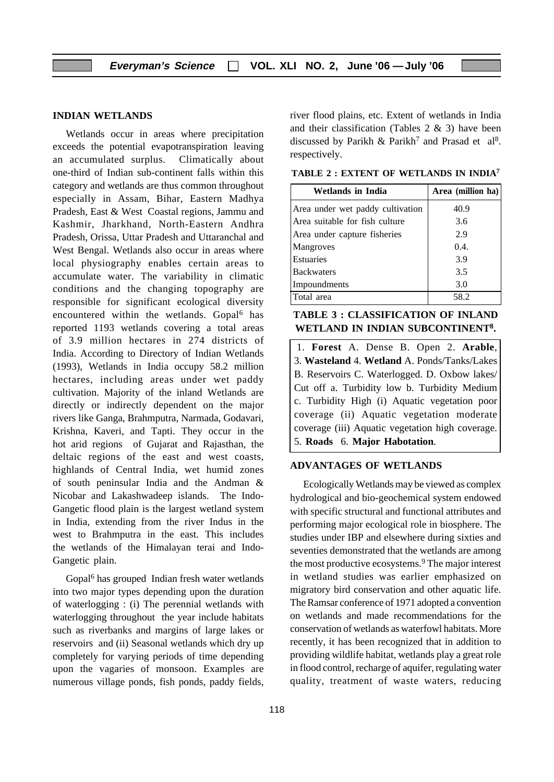#### **INDIAN WETLANDS**

Wetlands occur in areas where precipitation exceeds the potential evapotranspiration leaving an accumulated surplus. Climatically about one-third of Indian sub-continent falls within this category and wetlands are thus common throughout especially in Assam, Bihar, Eastern Madhya Pradesh, East & West Coastal regions, Jammu and Kashmir, Jharkhand, North-Eastern Andhra Pradesh, Orissa, Uttar Pradesh and Uttaranchal and West Bengal. Wetlands also occur in areas where local physiography enables certain areas to accumulate water. The variability in climatic conditions and the changing topography are responsible for significant ecological diversity encountered within the wetlands. Gopal<sup>6</sup> has reported 1193 wetlands covering a total areas of 3.9 million hectares in 274 districts of India. According to Directory of Indian Wetlands (1993), Wetlands in India occupy 58.2 million hectares, including areas under wet paddy cultivation. Majority of the inland Wetlands are directly or indirectly dependent on the major rivers like Ganga, Brahmputra, Narmada, Godavari, Krishna, Kaveri, and Tapti. They occur in the hot arid regions of Gujarat and Rajasthan, the deltaic regions of the east and west coasts, highlands of Central India, wet humid zones of south peninsular India and the Andman & Nicobar and Lakashwadeep islands. The Indo-Gangetic flood plain is the largest wetland system in India, extending from the river Indus in the west to Brahmputra in the east. This includes the wetlands of the Himalayan terai and Indo-Gangetic plain.

Gopal6 has grouped Indian fresh water wetlands into two major types depending upon the duration of waterlogging : (i) The perennial wetlands with waterlogging throughout the year include habitats such as riverbanks and margins of large lakes or reservoirs and (ii) Seasonal wetlands which dry up completely for varying periods of time depending upon the vagaries of monsoon. Examples are numerous village ponds, fish ponds, paddy fields,

river flood plains, etc. Extent of wetlands in India and their classification (Tables 2 & 3) have been discussed by Parikh & Parikh<sup>7</sup> and Prasad et al<sup>8</sup>. respectively.

**TABLE 2 : EXTENT OF WETLANDS IN INDIA7**

| Wetlands in India                | Area (million ha) |
|----------------------------------|-------------------|
| Area under wet paddy cultivation | 40.9              |
| Area suitable for fish culture   | 3.6               |
| Area under capture fisheries     | 2.9               |
| Mangroves                        | 0.4.              |
| <b>Estuaries</b>                 | 3.9               |
| Backwaters                       | 3.5               |
| Impoundments                     | 3.0               |
| Total area                       | 58.2              |

| <b>TABLE 3 : CLASSIFICATION OF INLAND</b>     |
|-----------------------------------------------|
| WETLAND IN INDIAN SUBCONTINENT <sup>8</sup> . |

1. **Forest** A. Dense B. Open 2. **Arable**, 3. **Wasteland** 4. **Wetland** A. Ponds/Tanks/Lakes B. Reservoirs C. Waterlogged. D. Oxbow lakes/ Cut off a. Turbidity low b. Turbidity Medium c. Turbidity High (i) Aquatic vegetation poor coverage (ii) Aquatic vegetation moderate coverage (iii) Aquatic vegetation high coverage. 5. **Roads** 6. **Major Habotation**.

#### **ADVANTAGES OF WETLANDS**

Ecologically Wetlands may be viewed as complex hydrological and bio-geochemical system endowed with specific structural and functional attributes and performing major ecological role in biosphere. The studies under IBP and elsewhere during sixties and seventies demonstrated that the wetlands are among the most productive ecosystems.9 The major interest in wetland studies was earlier emphasized on migratory bird conservation and other aquatic life. The Ramsar conference of 1971 adopted a convention on wetlands and made recommendations for the conservation of wetlands as waterfowl habitats. More recently, it has been recognized that in addition to providing wildlife habitat, wetlands play a great role in flood control, recharge of aquifer, regulating water quality, treatment of waste waters, reducing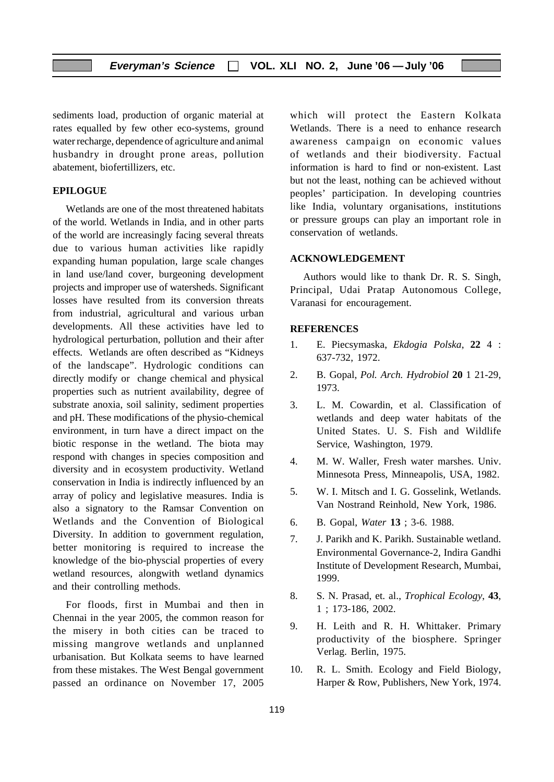sediments load, production of organic material at rates equalled by few other eco-systems, ground water recharge, dependence of agriculture and animal husbandry in drought prone areas, pollution abatement, biofertillizers, etc.

#### **EPILOGUE**

Wetlands are one of the most threatened habitats of the world. Wetlands in India, and in other parts of the world are increasingly facing several threats due to various human activities like rapidly expanding human population, large scale changes in land use/land cover, burgeoning development projects and improper use of watersheds. Significant losses have resulted from its conversion threats from industrial, agricultural and various urban developments. All these activities have led to hydrological perturbation, pollution and their after effects. Wetlands are often described as "Kidneys of the landscape". Hydrologic conditions can directly modify or change chemical and physical properties such as nutrient availability, degree of substrate anoxia, soil salinity, sediment properties and pH. These modifications of the physio-chemical environment, in turn have a direct impact on the biotic response in the wetland. The biota may respond with changes in species composition and diversity and in ecosystem productivity. Wetland conservation in India is indirectly influenced by an array of policy and legislative measures. India is also a signatory to the Ramsar Convention on Wetlands and the Convention of Biological Diversity. In addition to government regulation, better monitoring is required to increase the knowledge of the bio-physcial properties of every wetland resources, alongwith wetland dynamics and their controlling methods.

For floods, first in Mumbai and then in Chennai in the year 2005, the common reason for the misery in both cities can be traced to missing mangrove wetlands and unplanned urbanisation. But Kolkata seems to have learned from these mistakes. The West Bengal government passed an ordinance on November 17, 2005

which will protect the Eastern Kolkata Wetlands. There is a need to enhance research awareness campaign on economic values of wetlands and their biodiversity. Factual information is hard to find or non-existent. Last but not the least, nothing can be achieved without peoples' participation. In developing countries like India, voluntary organisations, institutions or pressure groups can play an important role in conservation of wetlands.

#### **ACKNOWLEDGEMENT**

Authors would like to thank Dr. R. S. Singh, Principal, Udai Pratap Autonomous College, Varanasi for encouragement.

#### **REFERENCES**

- 1. E. Piecsymaska, *Ekdogia Polska*, **22** 4 : 637-732, 1972.
- 2. B. Gopal, *Pol. Arch. Hydrobiol* **20** 1 21-29, 1973.
- 3. L. M. Cowardin, et al. Classification of wetlands and deep water habitats of the United States. U. S. Fish and Wildlife Service, Washington, 1979.
- 4. M. W. Waller, Fresh water marshes. Univ. Minnesota Press, Minneapolis, USA, 1982.
- 5. W. I. Mitsch and I. G. Gosselink, Wetlands. Van Nostrand Reinhold, New York, 1986.
- 6. B. Gopal, *Water* **13** ; 3-6. 1988.
- 7. J. Parikh and K. Parikh. Sustainable wetland. Environmental Governance-2, Indira Gandhi Institute of Development Research, Mumbai, 1999.
- 8. S. N. Prasad, et. al., *Trophical Ecology*, **43**, 1 ; 173-186, 2002.
- 9. H. Leith and R. H. Whittaker. Primary productivity of the biosphere. Springer Verlag. Berlin, 1975.
- 10. R. L. Smith. Ecology and Field Biology, Harper & Row, Publishers, New York, 1974.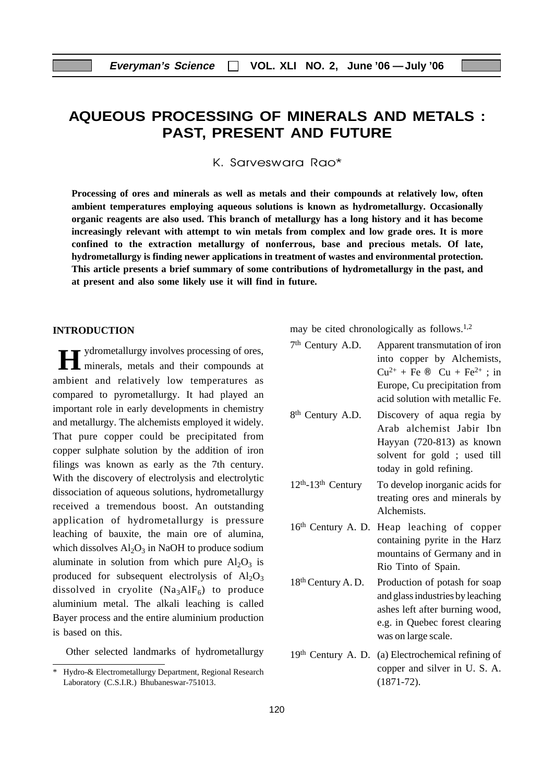# **AQUEOUS PROCESSING OF MINERALS AND METALS : PAST, PRESENT AND FUTURE**

K. Sarveswara Rao\*

**Processing of ores and minerals as well as metals and their compounds at relatively low, often ambient temperatures employing aqueous solutions is known as hydrometallurgy. Occasionally organic reagents are also used. This branch of metallurgy has a long history and it has become increasingly relevant with attempt to win metals from complex and low grade ores. It is more confined to the extraction metallurgy of nonferrous, base and precious metals. Of late, hydrometallurgy is finding newer applications in treatment of wastes and environmental protection. This article presents a brief summary of some contributions of hydrometallurgy in the past, and at present and also some likely use it will find in future.**

#### **INTRODUCTION**

**H** ydrometallurgy involves processing of ores, minerals, metals and their compounds at ambient and relatively low temperatures as compared to pyrometallurgy. It had played an important role in early developments in chemistry and metallurgy. The alchemists employed it widely. That pure copper could be precipitated from copper sulphate solution by the addition of iron filings was known as early as the 7th century. With the discovery of electrolysis and electrolytic dissociation of aqueous solutions, hydrometallurgy received a tremendous boost. An outstanding application of hydrometallurgy is pressure leaching of bauxite, the main ore of alumina, which dissolves  $Al_2O_3$  in NaOH to produce sodium aluminate in solution from which pure  $Al_2O_3$  is produced for subsequent electrolysis of  $Al_2O_3$ dissolved in cryolite  $(Na_3AlF_6)$  to produce aluminium metal. The alkali leaching is called Bayer process and the entire aluminium production is based on this.

Other selected landmarks of hydrometallurgy

may be cited chronologically as follows.1,2

| 7 <sup>th</sup> Century A.D.  | Apparent transmutation of iron<br>into copper by Alchemists,<br>$Cu^{2+} + Fe \otimes Cu + Fe^{2+}$ ; in<br>Europe, Cu precipitation from<br>acid solution with metallic Fe. |
|-------------------------------|------------------------------------------------------------------------------------------------------------------------------------------------------------------------------|
| 8 <sup>th</sup> Century A.D.  | Discovery of aqua regia by<br>Arab alchemist Jabir Ibn<br>Hayyan (720-813) as known<br>solvent for gold; used till<br>today in gold refining.                                |
| $12th - 13th$ Century         | To develop inorganic acids for<br>treating ores and minerals by<br>Alchemists.                                                                                               |
|                               | 16th Century A. D. Heap leaching of copper<br>containing pyrite in the Harz<br>mountains of Germany and in<br>Rio Tinto of Spain.                                            |
| 18 <sup>th</sup> Century A.D. | Production of potash for soap<br>and glass industries by leaching<br>ashes left after burning wood,<br>e.g. in Quebec forest clearing<br>was on large scale.                 |

19th Century A. D. (a) Electrochemical refining of copper and silver in U. S. A. (1871-72).

<sup>\*</sup> Hydro-& Electrometallurgy Department, Regional Research Laboratory (C.S.I.R.) Bhubaneswar-751013.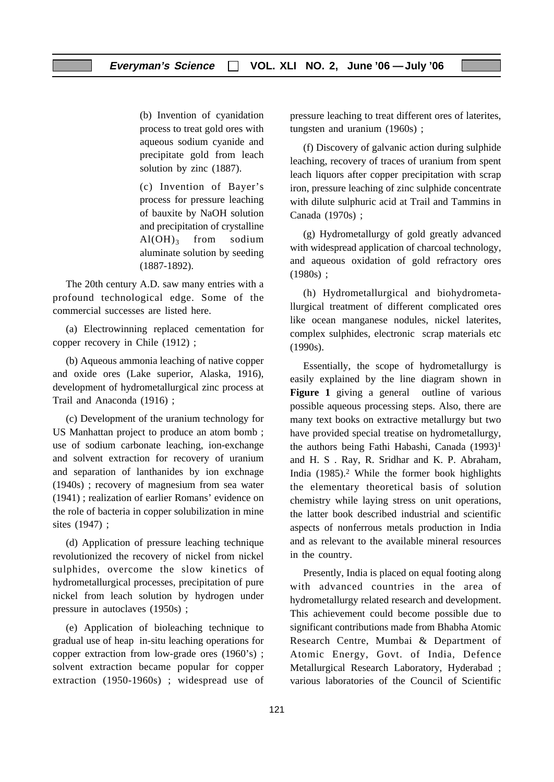(b) Invention of cyanidation process to treat gold ores with aqueous sodium cyanide and precipitate gold from leach solution by zinc (1887).

(c) Invention of Bayer's process for pressure leaching of bauxite by NaOH solution and precipitation of crystalline  $Al(OH)_{3}$  from sodium aluminate solution by seeding (1887-1892).

The 20th century A.D. saw many entries with a profound technological edge. Some of the commercial successes are listed here.

(a) Electrowinning replaced cementation for copper recovery in Chile (1912) ;

(b) Aqueous ammonia leaching of native copper and oxide ores (Lake superior, Alaska, 1916), development of hydrometallurgical zinc process at Trail and Anaconda (1916) ;

(c) Development of the uranium technology for US Manhattan project to produce an atom bomb ; use of sodium carbonate leaching, ion-exchange and solvent extraction for recovery of uranium and separation of lanthanides by ion exchnage (1940s) ; recovery of magnesium from sea water (1941) ; realization of earlier Romans' evidence on the role of bacteria in copper solubilization in mine sites (1947) ;

(d) Application of pressure leaching technique revolutionized the recovery of nickel from nickel sulphides, overcome the slow kinetics of hydrometallurgical processes, precipitation of pure nickel from leach solution by hydrogen under pressure in autoclaves (1950s) ;

(e) Application of bioleaching technique to gradual use of heap in-situ leaching operations for copper extraction from low-grade ores (1960's) ; solvent extraction became popular for copper extraction (1950-1960s) ; widespread use of pressure leaching to treat different ores of laterites, tungsten and uranium (1960s) ;

(f) Discovery of galvanic action during sulphide leaching, recovery of traces of uranium from spent leach liquors after copper precipitation with scrap iron, pressure leaching of zinc sulphide concentrate with dilute sulphuric acid at Trail and Tammins in Canada (1970s) ;

(g) Hydrometallurgy of gold greatly advanced with widespread application of charcoal technology, and aqueous oxidation of gold refractory ores (1980s) ;

(h) Hydrometallurgical and biohydrometallurgical treatment of different complicated ores like ocean manganese nodules, nickel laterites, complex sulphides, electronic scrap materials etc (1990s).

Essentially, the scope of hydrometallurgy is easily explained by the line diagram shown in **Figure 1** giving a general outline of various possible aqueous processing steps. Also, there are many text books on extractive metallurgy but two have provided special treatise on hydrometallurgy, the authors being Fathi Habashi, Canada (1993)<sup>1</sup> and H. S . Ray, R. Sridhar and K. P. Abraham, India  $(1985)^2$ . While the former book highlights the elementary theoretical basis of solution chemistry while laying stress on unit operations, the latter book described industrial and scientific aspects of nonferrous metals production in India and as relevant to the available mineral resources in the country.

Presently, India is placed on equal footing along with advanced countries in the area of hydrometallurgy related research and development. This achievement could become possible due to significant contributions made from Bhabha Atomic Research Centre, Mumbai & Department of Atomic Energy, Govt. of India, Defence Metallurgical Research Laboratory, Hyderabad ; various laboratories of the Council of Scientific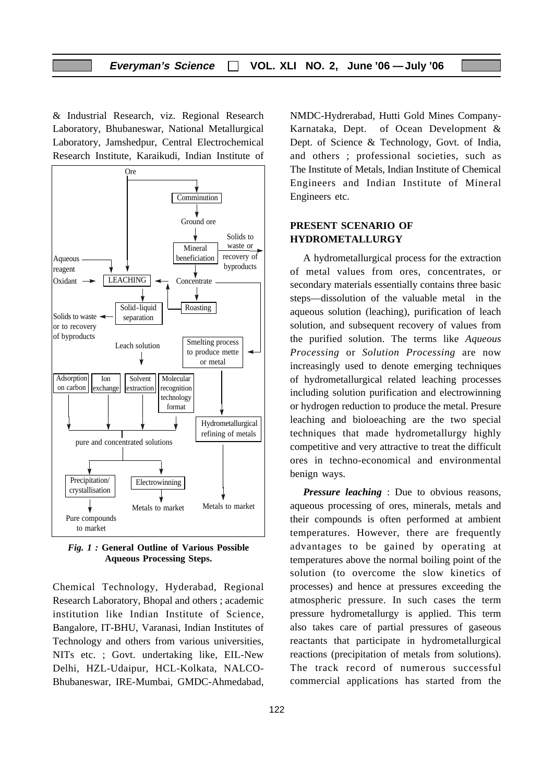& Industrial Research, viz. Regional Research Laboratory, Bhubaneswar, National Metallurgical Laboratory, Jamshedpur, Central Electrochemical Research Institute, Karaikudi, Indian Institute of



*Fig. 1 :* **General Outline of Various Possible Aqueous Processing Steps.**

Chemical Technology, Hyderabad, Regional Research Laboratory, Bhopal and others ; academic institution like Indian Institute of Science, Bangalore, IT-BHU, Varanasi, Indian Institutes of Technology and others from various universities, NITs etc. ; Govt. undertaking like, EIL-New Delhi, HZL-Udaipur, HCL-Kolkata, NALCO-Bhubaneswar, IRE-Mumbai, GMDC-Ahmedabad,

NMDC-Hydrerabad, Hutti Gold Mines Company-Karnataka, Dept. of Ocean Development & Dept. of Science & Technology, Govt. of India, and others ; professional societies, such as The Institute of Metals, Indian Institute of Chemical Engineers and Indian Institute of Mineral Engineers etc.

#### **PRESENT SCENARIO OF HYDROMETALLURGY**

A hydrometallurgical process for the extraction of metal values from ores, concentrates, or secondary materials essentially contains three basic steps—dissolution of the valuable metal in the aqueous solution (leaching), purification of leach solution, and subsequent recovery of values from the purified solution. The terms like *Aqueous Processing* or *Solution Processing* are now increasingly used to denote emerging techniques of hydrometallurgical related leaching processes including solution purification and electrowinning or hydrogen reduction to produce the metal. Presure leaching and bioloeaching are the two special techniques that made hydrometallurgy highly competitive and very attractive to treat the difficult ores in techno-economical and environmental benign ways.

*Pressure leaching* : Due to obvious reasons, aqueous processing of ores, minerals, metals and their compounds is often performed at ambient temperatures. However, there are frequently advantages to be gained by operating at temperatures above the normal boiling point of the solution (to overcome the slow kinetics of processes) and hence at pressures exceeding the atmospheric pressure. In such cases the term pressure hydrometallurgy is applied. This term also takes care of partial pressures of gaseous reactants that participate in hydrometallurgical reactions (precipitation of metals from solutions). The track record of numerous successful commercial applications has started from the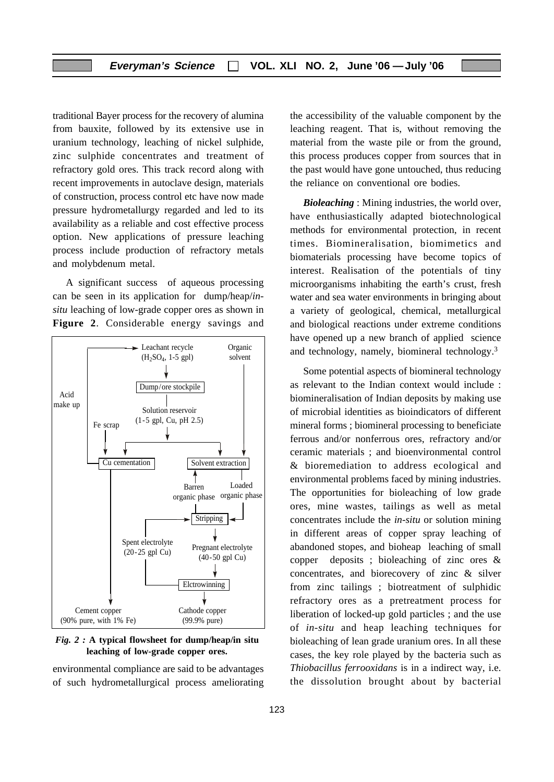traditional Bayer process for the recovery of alumina from bauxite, followed by its extensive use in uranium technology, leaching of nickel sulphide, zinc sulphide concentrates and treatment of refractory gold ores. This track record along with recent improvements in autoclave design, materials of construction, process control etc have now made pressure hydrometallurgy regarded and led to its availability as a reliable and cost effective process option. New applications of pressure leaching process include production of refractory metals and molybdenum metal.

A significant success of aqueous processing can be seen in its application for dump/heap/*insitu* leaching of low-grade copper ores as shown in **Figure 2**. Considerable energy savings and



*Fig. 2 :* **A typical flowsheet for dump/heap/in situ leaching of low-grade copper ores.**

environmental compliance are said to be advantages of such hydrometallurgical process ameliorating the accessibility of the valuable component by the leaching reagent. That is, without removing the material from the waste pile or from the ground, this process produces copper from sources that in the past would have gone untouched, thus reducing the reliance on conventional ore bodies.

*Bioleaching* : Mining industries, the world over, have enthusiastically adapted biotechnological methods for environmental protection, in recent times. Biomineralisation, biomimetics and biomaterials processing have become topics of interest. Realisation of the potentials of tiny microorganisms inhabiting the earth's crust, fresh water and sea water environments in bringing about a variety of geological, chemical, metallurgical and biological reactions under extreme conditions have opened up a new branch of applied science and technology, namely, biomineral technology.3

Some potential aspects of biomineral technology as relevant to the Indian context would include : biomineralisation of Indian deposits by making use of microbial identities as bioindicators of different mineral forms ; biomineral processing to beneficiate ferrous and/or nonferrous ores, refractory and/or ceramic materials ; and bioenvironmental control & bioremediation to address ecological and environmental problems faced by mining industries. The opportunities for bioleaching of low grade ores, mine wastes, tailings as well as metal concentrates include the *in-situ* or solution mining in different areas of copper spray leaching of abandoned stopes, and bioheap leaching of small copper deposits ; bioleaching of zinc ores & concentrates, and biorecovery of zinc & silver from zinc tailings ; biotreatment of sulphidic refractory ores as a pretreatment process for liberation of locked-up gold particles ; and the use of *in-situ* and heap leaching techniques for bioleaching of lean grade uranium ores. In all these cases, the key role played by the bacteria such as *Thiobacillus ferrooxidans* is in a indirect way, i.e. the dissolution brought about by bacterial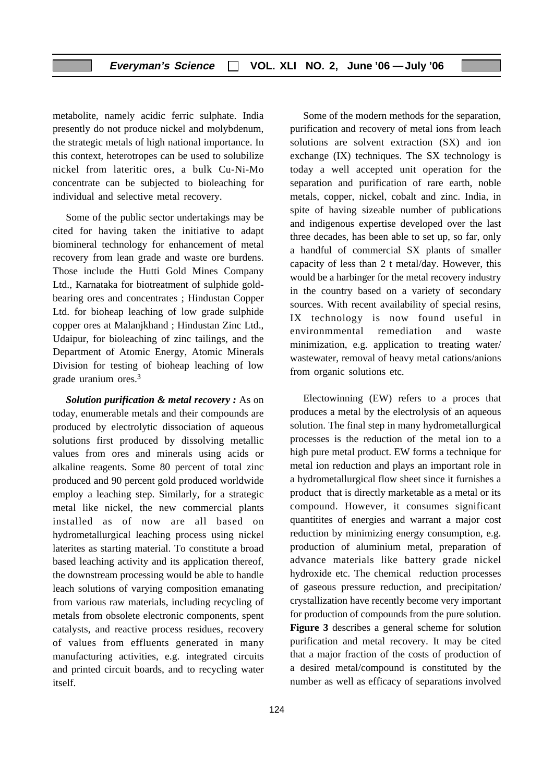metabolite, namely acidic ferric sulphate. India presently do not produce nickel and molybdenum, the strategic metals of high national importance. In this context, heterotropes can be used to solubilize nickel from lateritic ores, a bulk Cu-Ni-Mo concentrate can be subjected to bioleaching for individual and selective metal recovery.

Some of the public sector undertakings may be cited for having taken the initiative to adapt biomineral technology for enhancement of metal recovery from lean grade and waste ore burdens. Those include the Hutti Gold Mines Company Ltd., Karnataka for biotreatment of sulphide goldbearing ores and concentrates ; Hindustan Copper Ltd. for bioheap leaching of low grade sulphide copper ores at Malanjkhand ; Hindustan Zinc Ltd., Udaipur, for bioleaching of zinc tailings, and the Department of Atomic Energy, Atomic Minerals Division for testing of bioheap leaching of low grade uranium ores.3

*Solution purification & metal recovery :* As on today, enumerable metals and their compounds are produced by electrolytic dissociation of aqueous solutions first produced by dissolving metallic values from ores and minerals using acids or alkaline reagents. Some 80 percent of total zinc produced and 90 percent gold produced worldwide employ a leaching step. Similarly, for a strategic metal like nickel, the new commercial plants installed as of now are all based on hydrometallurgical leaching process using nickel laterites as starting material. To constitute a broad based leaching activity and its application thereof, the downstream processing would be able to handle leach solutions of varying composition emanating from various raw materials, including recycling of metals from obsolete electronic components, spent catalysts, and reactive process residues, recovery of values from effluents generated in many manufacturing activities, e.g. integrated circuits and printed circuit boards, and to recycling water itself.

Some of the modern methods for the separation, purification and recovery of metal ions from leach solutions are solvent extraction (SX) and ion exchange (IX) techniques. The SX technology is today a well accepted unit operation for the separation and purification of rare earth, noble metals, copper, nickel, cobalt and zinc. India, in spite of having sizeable number of publications and indigenous expertise developed over the last three decades, has been able to set up, so far, only a handful of commercial SX plants of smaller capacity of less than 2 t metal/day. However, this would be a harbinger for the metal recovery industry in the country based on a variety of secondary sources. With recent availability of special resins, IX technology is now found useful in environmmental remediation and waste minimization, e.g. application to treating water/ wastewater, removal of heavy metal cations/anions from organic solutions etc.

Electowinning (EW) refers to a proces that produces a metal by the electrolysis of an aqueous solution. The final step in many hydrometallurgical processes is the reduction of the metal ion to a high pure metal product. EW forms a technique for metal ion reduction and plays an important role in a hydrometallurgical flow sheet since it furnishes a product that is directly marketable as a metal or its compound. However, it consumes significant quantitites of energies and warrant a major cost reduction by minimizing energy consumption, e.g. production of aluminium metal, preparation of advance materials like battery grade nickel hydroxide etc. The chemical reduction processes of gaseous pressure reduction, and precipitation/ crystallization have recently become very important for production of compounds from the pure solution. **Figure 3** describes a general scheme for solution purification and metal recovery. It may be cited that a major fraction of the costs of production of a desired metal/compound is constituted by the number as well as efficacy of separations involved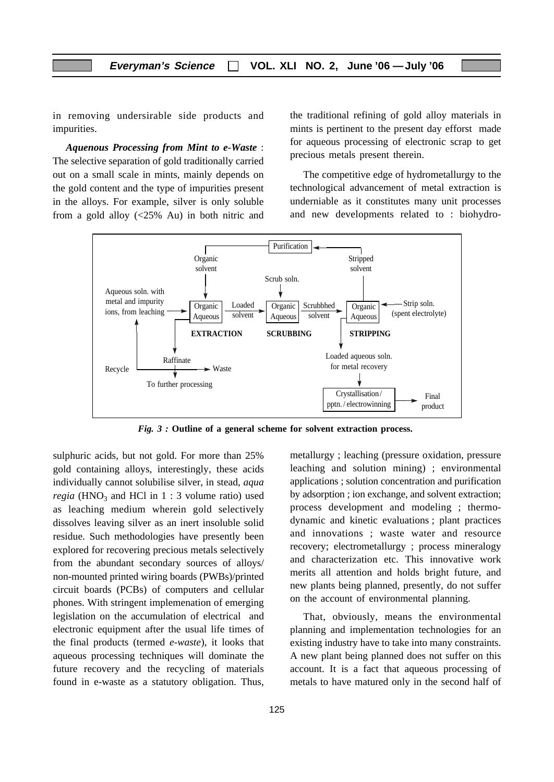in removing undersirable side products and impurities.

*Aquenous Processing from Mint to e-Waste* : The selective separation of gold traditionally carried out on a small scale in mints, mainly depends on the gold content and the type of impurities present in the alloys. For example, silver is only soluble from a gold alloy (<25% Au) in both nitric and the traditional refining of gold alloy materials in mints is pertinent to the present day efforst made for aqueous processing of electronic scrap to get precious metals present therein.

The competitive edge of hydrometallurgy to the technological advancement of metal extraction is underniable as it constitutes many unit processes and new developments related to : biohydro-



*Fig. 3 :* **Outline of a general scheme for solvent extraction process.**

sulphuric acids, but not gold. For more than 25% gold containing alloys, interestingly, these acids individually cannot solubilise silver, in stead, *aqua regia* (HNO<sub>3</sub> and HCl in 1 : 3 volume ratio) used as leaching medium wherein gold selectively dissolves leaving silver as an inert insoluble solid residue. Such methodologies have presently been explored for recovering precious metals selectively from the abundant secondary sources of alloys/ non-mounted printed wiring boards (PWBs)/printed circuit boards (PCBs) of computers and cellular phones. With stringent implemenation of emerging legislation on the accumulation of electrical and electronic equipment after the usual life times of the final products (termed *e-waste*), it looks that aqueous processing techniques will dominate the future recovery and the recycling of materials found in e-waste as a statutory obligation. Thus,

metallurgy ; leaching (pressure oxidation, pressure leaching and solution mining) ; environmental applications ; solution concentration and purification by adsorption ; ion exchange, and solvent extraction; process development and modeling ; thermodynamic and kinetic evaluations ; plant practices and innovations ; waste water and resource recovery; electrometallurgy ; process mineralogy and characterization etc. This innovative work merits all attention and holds bright future, and new plants being planned, presently, do not suffer on the account of environmental planning.

That, obviously, means the environmental planning and implementation technologies for an existing industry have to take into many constraints. A new plant being planned does not suffer on this account. It is a fact that aqueous processing of metals to have matured only in the second half of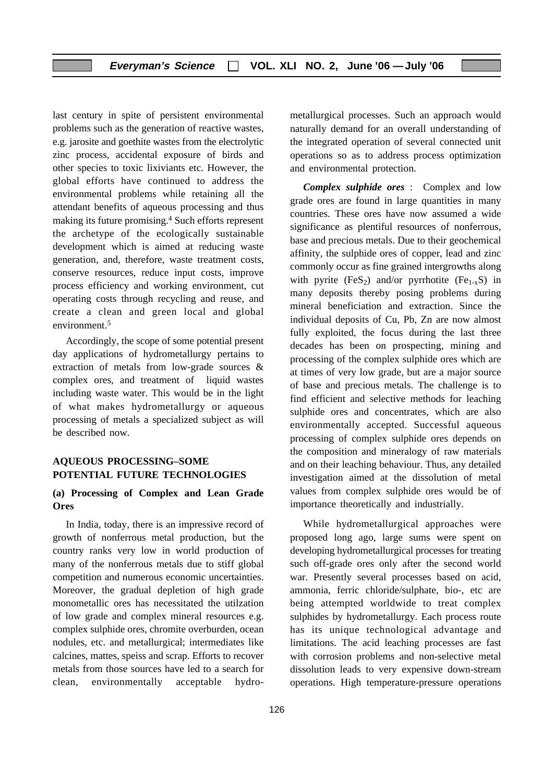last century in spite of persistent environmental problems such as the generation of reactive wastes, e.g. jarosite and goethite wastes from the electrolytic zinc process, accidental exposure of birds and other species to toxic lixiviants etc. However, the global efforts have continued to address the environmental problems while retaining all the attendant benefits of aqueous processing and thus making its future promising.4 Such efforts represent the archetype of the ecologically sustainable development which is aimed at reducing waste generation, and, therefore, waste treatment costs, conserve resources, reduce input costs, improve process efficiency and working environment, cut operating costs through recycling and reuse, and create a clean and green local and global environment.<sup>5</sup>

Accordingly, the scope of some potential present day applications of hydrometallurgy pertains to extraction of metals from low-grade sources & complex ores, and treatment of liquid wastes including waste water. This would be in the light of what makes hydrometallurgy or aqueous processing of metals a specialized subject as will be described now.

#### **AQUEOUS PROCESSING–SOME POTENTIAL FUTURE TECHNOLOGIES**

#### **(a) Processing of Complex and Lean Grade Ores**

In India, today, there is an impressive record of growth of nonferrous metal production, but the country ranks very low in world production of many of the nonferrous metals due to stiff global competition and numerous economic uncertainties. Moreover, the gradual depletion of high grade monometallic ores has necessitated the utilzation of low grade and complex mineral resources e.g. complex sulphide ores, chromite overburden, ocean nodules, etc. and metallurgical; intermediates like calcines, mattes, speiss and scrap. Efforts to recover metals from those sources have led to a search for clean, environmentally acceptable hydrometallurgical processes. Such an approach would naturally demand for an overall understanding of the integrated operation of several connected unit operations so as to address process optimization and environmental protection.

*Complex sulphide ores* : Complex and low grade ores are found in large quantities in many countries. These ores have now assumed a wide significance as plentiful resources of nonferrous, base and precious metals. Due to their geochemical affinity, the sulphide ores of copper, lead and zinc commonly occur as fine grained intergrowths along with pyrite  $(FeS_2)$  and/or pyrrhotite  $(Fe_{1-x}S)$  in many deposits thereby posing problems during mineral beneficiation and extraction. Since the individual deposits of Cu, Pb, Zn are now almost fully exploited, the focus during the last three decades has been on prospecting, mining and processing of the complex sulphide ores which are at times of very low grade, but are a major source of base and precious metals. The challenge is to find efficient and selective methods for leaching sulphide ores and concentrates, which are also environmentally accepted. Successful aqueous processing of complex sulphide ores depends on the composition and mineralogy of raw materials and on their leaching behaviour. Thus, any detailed investigation aimed at the dissolution of metal values from complex sulphide ores would be of importance theoretically and industrially.

While hydrometallurgical approaches were proposed long ago, large sums were spent on developing hydrometallurgical processes for treating such off-grade ores only after the second world war. Presently several processes based on acid, ammonia, ferric chloride/sulphate, bio-, etc are being attempted worldwide to treat complex sulphides by hydrometallurgy. Each process route has its unique technological advantage and limitations. The acid leaching processes are fast with corrosion problems and non-selective metal dissolution leads to very expensive down-stream operations. High temperature-pressure operations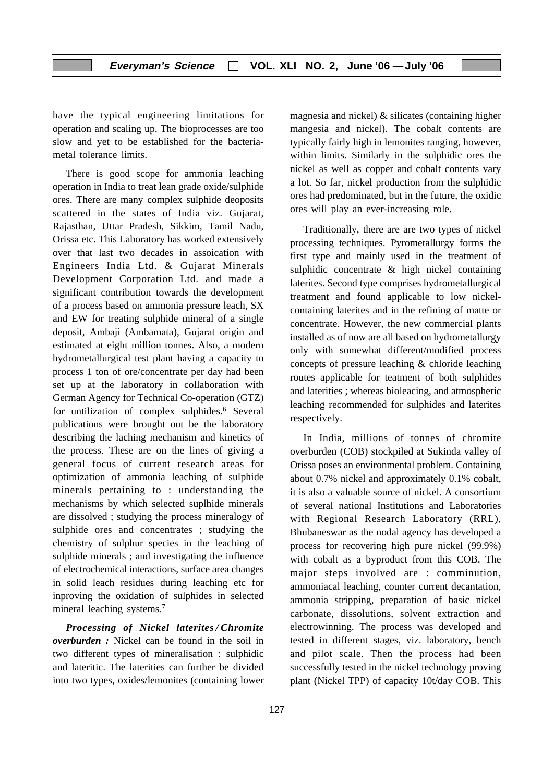have the typical engineering limitations for operation and scaling up. The bioprocesses are too slow and yet to be established for the bacteriametal tolerance limits.

There is good scope for ammonia leaching operation in India to treat lean grade oxide/sulphide ores. There are many complex sulphide deoposits scattered in the states of India viz. Gujarat, Rajasthan, Uttar Pradesh, Sikkim, Tamil Nadu, Orissa etc. This Laboratory has worked extensively over that last two decades in assoication with Engineers India Ltd. & Gujarat Minerals Development Corporation Ltd. and made a significant contribution towards the development of a process based on ammonia pressure leach, SX and EW for treating sulphide mineral of a single deposit, Ambaji (Ambamata), Gujarat origin and estimated at eight million tonnes. Also, a modern hydrometallurgical test plant having a capacity to process 1 ton of ore/concentrate per day had been set up at the laboratory in collaboration with German Agency for Technical Co-operation (GTZ) for untilization of complex sulphides.<sup>6</sup> Several publications were brought out be the laboratory describing the laching mechanism and kinetics of the process. These are on the lines of giving a general focus of current research areas for optimization of ammonia leaching of sulphide minerals pertaining to : understanding the mechanisms by which selected suplhide minerals are dissolved ; studying the process mineralogy of sulphide ores and concentrates ; studying the chemistry of sulphur species in the leaching of sulphide minerals ; and investigating the influence of electrochemical interactions, surface area changes in solid leach residues during leaching etc for inproving the oxidation of sulphides in selected mineral leaching systems.7

*Processing of Nickel laterites / Chromite overburden :* Nickel can be found in the soil in two different types of mineralisation : sulphidic and lateritic. The laterities can further be divided into two types, oxides/lemonites (containing lower magnesia and nickel) & silicates (containing higher mangesia and nickel). The cobalt contents are typically fairly high in lemonites ranging, however, within limits. Similarly in the sulphidic ores the nickel as well as copper and cobalt contents vary a lot. So far, nickel production from the sulphidic ores had predominated, but in the future, the oxidic ores will play an ever-increasing role.

Traditionally, there are are two types of nickel processing techniques. Pyrometallurgy forms the first type and mainly used in the treatment of sulphidic concentrate & high nickel containing laterites. Second type comprises hydrometallurgical treatment and found applicable to low nickelcontaining laterites and in the refining of matte or concentrate. However, the new commercial plants installed as of now are all based on hydrometallurgy only with somewhat different/modified process concepts of pressure leaching & chloride leaching routes applicable for teatment of both sulphides and laterities ; whereas bioleacing, and atmospheric leaching recommended for sulphides and laterites respectively.

In India, millions of tonnes of chromite overburden (COB) stockpiled at Sukinda valley of Orissa poses an environmental problem. Containing about 0.7% nickel and approximately 0.1% cobalt, it is also a valuable source of nickel. A consortium of several national Institutions and Laboratories with Regional Research Laboratory (RRL), Bhubaneswar as the nodal agency has developed a process for recovering high pure nickel (99.9%) with cobalt as a byproduct from this COB. The major steps involved are : comminution, ammoniacal leaching, counter current decantation, ammonia stripping, preparation of basic nickel carbonate, dissolutions, solvent extraction and electrowinning. The process was developed and tested in different stages, viz. laboratory, bench and pilot scale. Then the process had been successfully tested in the nickel technology proving plant (Nickel TPP) of capacity 10t/day COB. This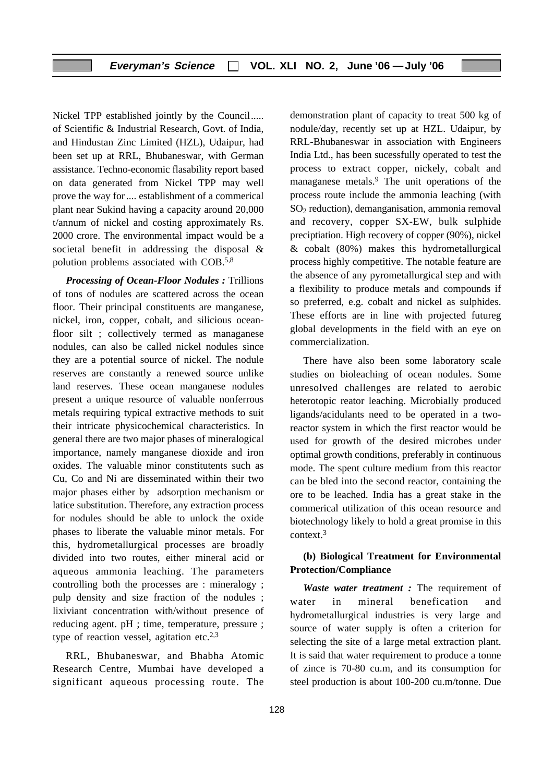Nickel TPP established jointly by the Council..... of Scientific & Industrial Research, Govt. of India, and Hindustan Zinc Limited (HZL), Udaipur, had been set up at RRL, Bhubaneswar, with German assistance. Techno-economic flasability report based on data generated from Nickel TPP may well prove the way for .... establishment of a commerical plant near Sukind having a capacity around 20,000 t/annum of nickel and costing approximately Rs. 2000 crore. The environmental impact would be a societal benefit in addressing the disposal & polution problems associated with COB.5,8

*Processing of Ocean-Floor Nodules :* Trillions of tons of nodules are scattered across the ocean floor. Their principal constituents are manganese, nickel, iron, copper, cobalt, and silicious oceanfloor silt ; collectively termed as managanese nodules, can also be called nickel nodules since they are a potential source of nickel. The nodule reserves are constantly a renewed source unlike land reserves. These ocean manganese nodules present a unique resource of valuable nonferrous metals requiring typical extractive methods to suit their intricate physicochemical characteristics. In general there are two major phases of mineralogical importance, namely manganese dioxide and iron oxides. The valuable minor constitutents such as Cu, Co and Ni are disseminated within their two major phases either by adsorption mechanism or latice substitution. Therefore, any extraction process for nodules should be able to unlock the oxide phases to liberate the valuable minor metals. For this, hydrometallurgical processes are broadly divided into two routes, either mineral acid or aqueous ammonia leaching. The parameters controlling both the processes are : mineralogy ; pulp density and size fraction of the nodules ; lixiviant concentration with/without presence of reducing agent. pH ; time, temperature, pressure ; type of reaction vessel, agitation etc.2,3

RRL, Bhubaneswar, and Bhabha Atomic Research Centre, Mumbai have developed a significant aqueous processing route. The

demonstration plant of capacity to treat 500 kg of nodule/day, recently set up at HZL. Udaipur, by RRL-Bhubaneswar in association with Engineers India Ltd., has been sucessfully operated to test the process to extract copper, nickely, cobalt and managanese metals.<sup>9</sup> The unit operations of the process route include the ammonia leaching (with  $SO<sub>2</sub>$  reduction), demanganisation, ammonia removal and recovery, copper SX-EW, bulk sulphide preciptiation. High recovery of copper (90%), nickel  $& cobalt (80%)$  makes this hydrometallurgical process highly competitive. The notable feature are the absence of any pyrometallurgical step and with a flexibility to produce metals and compounds if so preferred, e.g. cobalt and nickel as sulphides. These efforts are in line with projected futureg global developments in the field with an eye on commercialization.

There have also been some laboratory scale studies on bioleaching of ocean nodules. Some unresolved challenges are related to aerobic heterotopic reator leaching. Microbially produced ligands/acidulants need to be operated in a tworeactor system in which the first reactor would be used for growth of the desired microbes under optimal growth conditions, preferably in continuous mode. The spent culture medium from this reactor can be bled into the second reactor, containing the ore to be leached. India has a great stake in the commerical utilization of this ocean resource and biotechnology likely to hold a great promise in this context.3

#### **(b) Biological Treatment for Environmental Protection/Compliance**

*Waste water treatment :* The requirement of water in mineral benefication and hydrometallurgical industries is very large and source of water supply is often a criterion for selecting the site of a large metal extraction plant. It is said that water requirement to produce a tonne of zince is 70-80 cu.m, and its consumption for steel production is about 100-200 cu.m/tonne. Due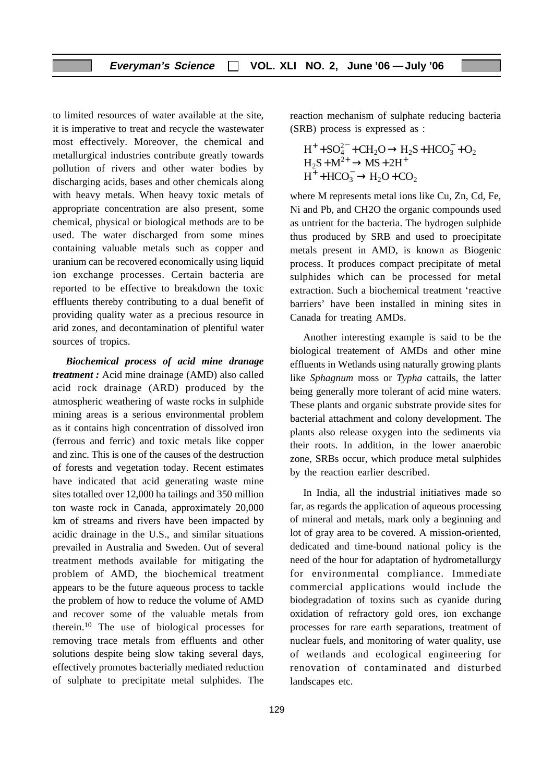to limited resources of water available at the site, it is imperative to treat and recycle the wastewater most effectively. Moreover, the chemical and metallurgical industries contribute greatly towards pollution of rivers and other water bodies by discharging acids, bases and other chemicals along with heavy metals. When heavy toxic metals of appropriate concentration are also present, some chemical, physical or biological methods are to be used. The water discharged from some mines containing valuable metals such as copper and uranium can be recovered economically using liquid ion exchange processes. Certain bacteria are reported to be effective to breakdown the toxic effluents thereby contributing to a dual benefit of providing quality water as a precious resource in arid zones, and decontamination of plentiful water sources of tropics.

*Biochemical process of acid mine dranage treatment :* Acid mine drainage (AMD) also called acid rock drainage (ARD) produced by the atmospheric weathering of waste rocks in sulphide mining areas is a serious environmental problem as it contains high concentration of dissolved iron (ferrous and ferric) and toxic metals like copper and zinc. This is one of the causes of the destruction of forests and vegetation today. Recent estimates have indicated that acid generating waste mine sites totalled over 12,000 ha tailings and 350 million ton waste rock in Canada, approximately 20,000 km of streams and rivers have been impacted by acidic drainage in the U.S., and similar situations prevailed in Australia and Sweden. Out of several treatment methods available for mitigating the problem of AMD, the biochemical treatment appears to be the future aqueous process to tackle the problem of how to reduce the volume of AMD and recover some of the valuable metals from therein.10 The use of biological processes for removing trace metals from effluents and other solutions despite being slow taking several days, effectively promotes bacterially mediated reduction of sulphate to precipitate metal sulphides. The

reaction mechanism of sulphate reducing bacteria (SRB) process is expressed as :

$$
H^+ + SO_4^{2-} + CH_2O \rightarrow H_2S + HCO_3^- + O_2
$$
  
\n
$$
H_2S + M^{2+} \rightarrow MS + 2H^+
$$
  
\n
$$
H^+ + HCO_3^- \rightarrow H_2O + CO_2
$$

where M represents metal ions like Cu, Zn, Cd, Fe, Ni and Pb, and CH2O the organic compounds used as untrient for the bacteria. The hydrogen sulphide thus produced by SRB and used to proecipitate metals present in AMD, is known as Biogenic process. It produces compact precipitate of metal sulphides which can be processed for metal extraction. Such a biochemical treatment 'reactive barriers' have been installed in mining sites in Canada for treating AMDs.

Another interesting example is said to be the biological treatement of AMDs and other mine effluents in Wetlands using naturally growing plants like *Sphagnum* moss or *Typha* cattails, the latter being generally more tolerant of acid mine waters. These plants and organic substrate provide sites for bacterial attachment and colony development. The plants also release oxygen into the sediments via their roots. In addition, in the lower anaerobic zone, SRBs occur, which produce metal sulphides by the reaction earlier described.

In India, all the industrial initiatives made so far, as regards the application of aqueous processing of mineral and metals, mark only a beginning and lot of gray area to be covered. A mission-oriented, dedicated and time-bound national policy is the need of the hour for adaptation of hydrometallurgy for environmental compliance. Immediate commercial applications would include the biodegradation of toxins such as cyanide during oxidation of refractory gold ores, ion exchange processes for rare earth separations, treatment of nuclear fuels, and monitoring of water quality, use of wetlands and ecological engineering for renovation of contaminated and disturbed landscapes etc.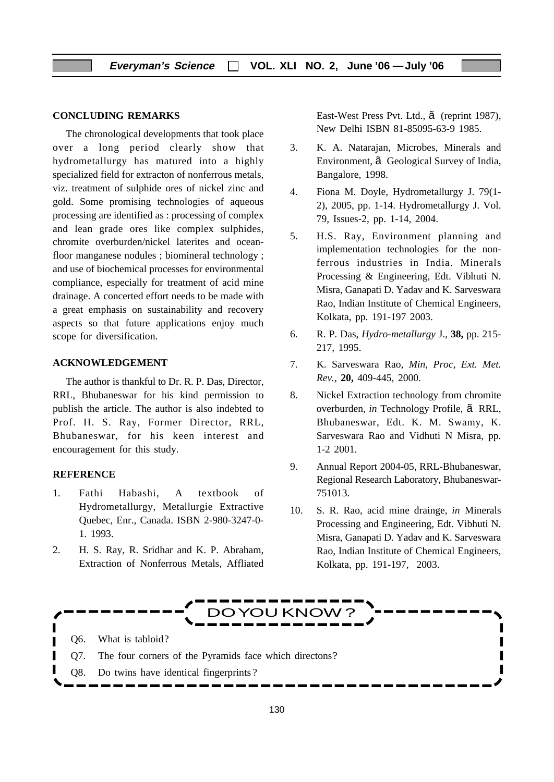#### **CONCLUDING REMARKS**

The chronological developments that took place over a long period clearly show that hydrometallurgy has matured into a highly specialized field for extracton of nonferrous metals, viz. treatment of sulphide ores of nickel zinc and gold. Some promising technologies of aqueous processing are identified as : processing of complex and lean grade ores like complex sulphides, chromite overburden/nickel laterites and oceanfloor manganese nodules ; biomineral technology ; and use of biochemical processes for environmental compliance, especially for treatment of acid mine drainage. A concerted effort needs to be made with a great emphasis on sustainability and recovery aspects so that future applications enjoy much scope for diversification.

#### **ACKNOWLEDGEMENT**

The author is thankful to Dr. R. P. Das, Director, RRL, Bhubaneswar for his kind permission to publish the article. The author is also indebted to Prof. H. S. Ray, Former Director, RRL, Bhubaneswar, for his keen interest and encouragement for this study.

#### **REFERENCE**

- 1. Fathi Habashi, A textbook of Hydrometallurgy, Metallurgie Extractive Quebec, Enr., Canada. ISBN 2-980-3247-0- 1. 1993.
- 2. H. S. Ray, R. Sridhar and K. P. Abraham, Extraction of Nonferrous Metals, Affliated

East-West Press Pvt. Ltd., ã (reprint 1987), New Delhi ISBN 81-85095-63-9 1985.

- 3. K. A. Natarajan, Microbes, Minerals and Environment, ã Geological Survey of India, Bangalore, 1998.
- 4. Fiona M. Doyle, Hydrometallurgy J. 79(1- 2), 2005, pp. 1-14. Hydrometallurgy J. Vol. 79, Issues-2, pp. 1-14, 2004.
- 5. H.S. Ray, Environment planning and implementation technologies for the nonferrous industries in India. Minerals Processing & Engineering, Edt. Vibhuti N. Misra, Ganapati D. Yadav and K. Sarveswara Rao, Indian Institute of Chemical Engineers, Kolkata, pp. 191-197 2003.
- 6. R. P. Das, *Hydro-metallurgy* J., **38,** pp. 215- 217, 1995.
- 7. K. Sarveswara Rao, *Min, Proc, Ext. Met. Rev.,* **20,** 409-445, 2000.
- 8. Nickel Extraction technology from chromite overburden, *in* Technology Profile, ã RRL, Bhubaneswar, Edt. K. M. Swamy, K. Sarveswara Rao and Vidhuti N Misra, pp. 1-2 2001.
- 9. Annual Report 2004-05, RRL-Bhubaneswar, Regional Research Laboratory, Bhubaneswar-751013.
- 10. S. R. Rao, acid mine drainge, *in* Minerals Processing and Engineering, Edt. Vibhuti N. Misra, Ganapati D. Yadav and K. Sarveswara Rao, Indian Institute of Chemical Engineers, Kolkata, pp. 191-197, 2003.

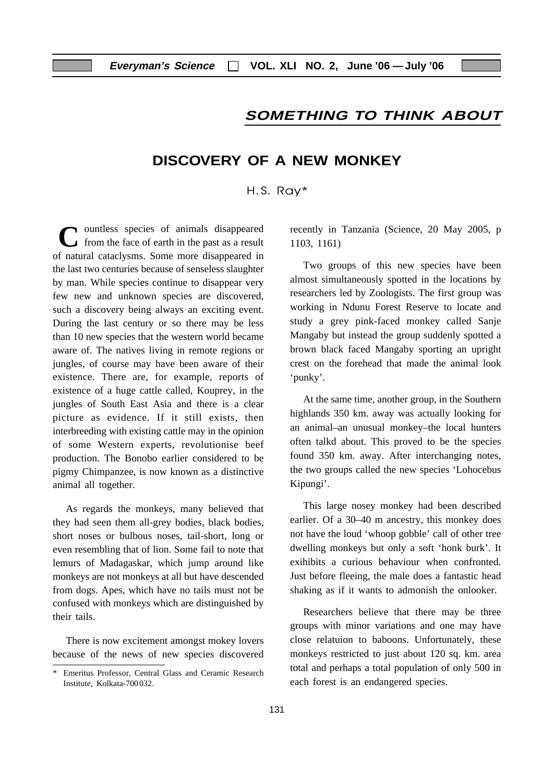# **SOMETHING TO THINK ABOUT**

# **DISCOVERY OF A NEW MONKEY**

#### $H.S. R$ ay\*

C ountless species of animals disappeared<br>from the face of earth in the past as a result of natural cataclysms. Some more disappeared in the last two centuries because of senseless slaughter by man. While species continue to disappear very few new and unknown species are discovered, such a discovery being always an exciting event. During the last century or so there may be less than 10 new species that the western world became aware of. The natives living in remote regions or jungles, of course may have been aware of their existence. There are, for example, reports of existence of a huge cattle called, Kouprey, in the jungles of South East Asia and there is a clear picture as evidence. If it still exists, then interbreeding with existing cattle may in the opinion of some Western experts, revolutionise beef production. The Bonobo earlier considered to be pigmy Chimpanzee, is now known as a distinctive animal all together.

As regards the monkeys, many believed that they had seen them all-grey bodies, black bodies, short noses or bulbous noses, tail-short, long or even resembling that of lion. Some fail to note that lemurs of Madagaskar, which jump around like monkeys are not monkeys at all but have descended from dogs. Apes, which have no tails must not be confused with monkeys which are distinguished by their tails.

There is now excitement amongst mokey lovers because of the news of new species discovered recently in Tanzania (Science, 20 May 2005, p 1103, 1161)

Two groups of this new species have been almost simultaneously spotted in the locations by researchers led by Zoologists. The first group was working in Ndunu Forest Reserve to locate and study a grey pink-faced monkey called Sanje Mangaby but instead the group suddenly spotted a brown black faced Mangaby sporting an upright crest on the forehead that made the animal look 'punky'.

At the same time, another group, in the Southern highlands 350 km. away was actually looking for an animal–an unusual monkey–the local hunters often talkd about. This proved to be the species found 350 km. away. After interchanging notes, the two groups called the new species 'Lohocebus Kipungi'.

This large nosey monkey had been described earlier. Of a 30–40 m ancestry, this monkey does not have the loud 'whoop gobble' call of other tree dwelling monkeys but only a soft 'honk burk'. It exihibits a curious behaviour when confronted. Just before fleeing, the male does a fantastic head shaking as if it wants to admonish the onlooker.

Researchers believe that there may be three groups with minor variations and one may have close relatuion to baboons. Unfortunately, these monkeys restricted to just about 120 sq. km. area total and perhaps a total population of only 500 in each forest is an endangered species.

<sup>\*</sup> Emeritus Professor, Central Glass and Ceramic Research Institute, Kolkata-700 032.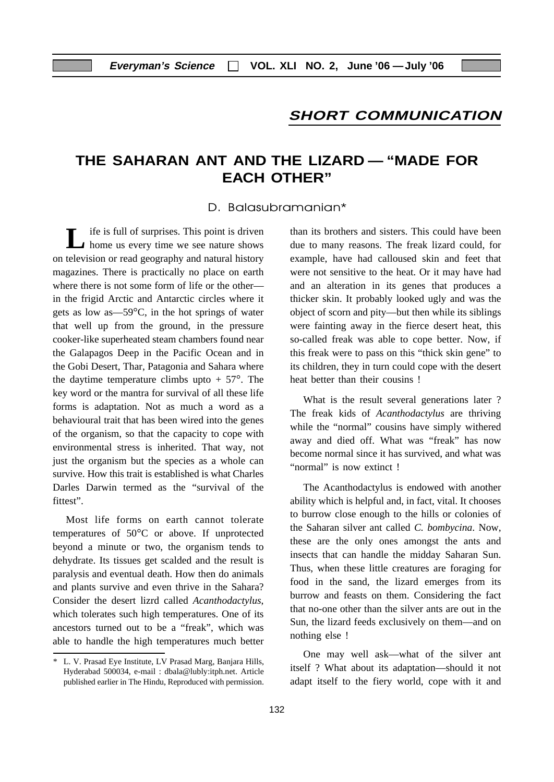# **SHORT COMMUNICATION**

# **THE SAHARAN ANT AND THE LIZARD — "MADE FOR EACH OTHER"**

#### D. Balasubramanian\*

**L** ife is full of surprises. This point is driven home us every time we see nature shows on television or read geography and natural history magazines. There is practically no place on earth where there is not some form of life or the other in the frigid Arctic and Antarctic circles where it gets as low as—59°C, in the hot springs of water that well up from the ground, in the pressure cooker-like superheated steam chambers found near the Galapagos Deep in the Pacific Ocean and in the Gobi Desert, Thar, Patagonia and Sahara where the daytime temperature climbs upto  $+ 57^{\circ}$ . The key word or the mantra for survival of all these life forms is adaptation. Not as much a word as a behavioural trait that has been wired into the genes of the organism, so that the capacity to cope with environmental stress is inherited. That way, not just the organism but the species as a whole can survive. How this trait is established is what Charles Darles Darwin termed as the "survival of the fittest".

Most life forms on earth cannot tolerate temperatures of 50°C or above. If unprotected beyond a minute or two, the organism tends to dehydrate. Its tissues get scalded and the result is paralysis and eventual death. How then do animals and plants survive and even thrive in the Sahara? Consider the desert lizrd called *Acanthodactylus*, which tolerates such high temperatures. One of its ancestors turned out to be a "freak", which was able to handle the high temperatures much better than its brothers and sisters. This could have been due to many reasons. The freak lizard could, for example, have had calloused skin and feet that were not sensitive to the heat. Or it may have had and an alteration in its genes that produces a thicker skin. It probably looked ugly and was the object of scorn and pity—but then while its siblings were fainting away in the fierce desert heat, this so-called freak was able to cope better. Now, if this freak were to pass on this "thick skin gene" to its children, they in turn could cope with the desert heat better than their cousins !

What is the result several generations later ? The freak kids of *Acanthodactylus* are thriving while the "normal" cousins have simply withered away and died off. What was "freak" has now become normal since it has survived, and what was "normal" is now extinct!

The Acanthodactylus is endowed with another ability which is helpful and, in fact, vital. It chooses to burrow close enough to the hills or colonies of the Saharan silver ant called *C. bombycina*. Now, these are the only ones amongst the ants and insects that can handle the midday Saharan Sun. Thus, when these little creatures are foraging for food in the sand, the lizard emerges from its burrow and feasts on them. Considering the fact that no-one other than the silver ants are out in the Sun, the lizard feeds exclusively on them—and on nothing else !

One may well ask—what of the silver ant itself ? What about its adaptation—should it not adapt itself to the fiery world, cope with it and

<sup>\*</sup> L. V. Prasad Eye Institute, LV Prasad Marg, Banjara Hills, Hyderabad 500034, e-mail : dbala@lubly:itph.net. Article published earlier in The Hindu, Reproduced with permission.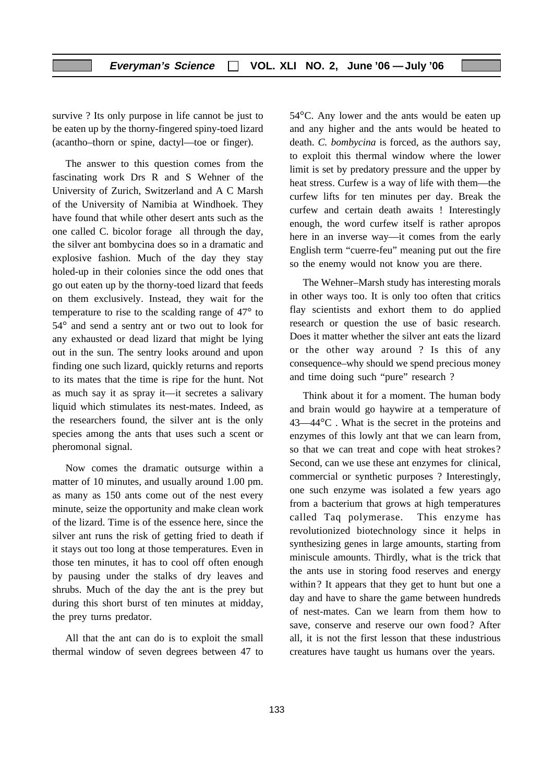survive ? Its only purpose in life cannot be just to be eaten up by the thorny-fingered spiny-toed lizard (acantho–thorn or spine, dactyl—toe or finger).

The answer to this question comes from the fascinating work Drs R and S Wehner of the University of Zurich, Switzerland and A C Marsh of the University of Namibia at Windhoek. They have found that while other desert ants such as the one called C. bicolor forage all through the day, the silver ant bombycina does so in a dramatic and explosive fashion. Much of the day they stay holed-up in their colonies since the odd ones that go out eaten up by the thorny-toed lizard that feeds on them exclusively. Instead, they wait for the temperature to rise to the scalding range of 47° to 54° and send a sentry ant or two out to look for any exhausted or dead lizard that might be lying out in the sun. The sentry looks around and upon finding one such lizard, quickly returns and reports to its mates that the time is ripe for the hunt. Not as much say it as spray it—it secretes a salivary liquid which stimulates its nest-mates. Indeed, as the researchers found, the silver ant is the only species among the ants that uses such a scent or pheromonal signal.

Now comes the dramatic outsurge within a matter of 10 minutes, and usually around 1.00 pm. as many as 150 ants come out of the nest every minute, seize the opportunity and make clean work of the lizard. Time is of the essence here, since the silver ant runs the risk of getting fried to death if it stays out too long at those temperatures. Even in those ten minutes, it has to cool off often enough by pausing under the stalks of dry leaves and shrubs. Much of the day the ant is the prey but during this short burst of ten minutes at midday, the prey turns predator.

All that the ant can do is to exploit the small thermal window of seven degrees between 47 to 54°C. Any lower and the ants would be eaten up and any higher and the ants would be heated to death. *C. bombycina* is forced, as the authors say, to exploit this thermal window where the lower limit is set by predatory pressure and the upper by heat stress. Curfew is a way of life with them—the curfew lifts for ten minutes per day. Break the curfew and certain death awaits ! Interestingly enough, the word curfew itself is rather apropos here in an inverse way—it comes from the early English term "cuerre-feu" meaning put out the fire so the enemy would not know you are there.

The Wehner–Marsh study has interesting morals in other ways too. It is only too often that critics flay scientists and exhort them to do applied research or question the use of basic research. Does it matter whether the silver ant eats the lizard or the other way around ? Is this of any consequence–why should we spend precious money and time doing such "pure" research ?

Think about it for a moment. The human body and brain would go haywire at a temperature of 43—44°C . What is the secret in the proteins and enzymes of this lowly ant that we can learn from, so that we can treat and cope with heat strokes? Second, can we use these ant enzymes for clinical, commercial or synthetic purposes ? Interestingly, one such enzyme was isolated a few years ago from a bacterium that grows at high temperatures called Taq polymerase. This enzyme has revolutionized biotechnology since it helps in synthesizing genes in large amounts, starting from miniscule amounts. Thirdly, what is the trick that the ants use in storing food reserves and energy within? It appears that they get to hunt but one a day and have to share the game between hundreds of nest-mates. Can we learn from them how to save, conserve and reserve our own food? After all, it is not the first lesson that these industrious creatures have taught us humans over the years.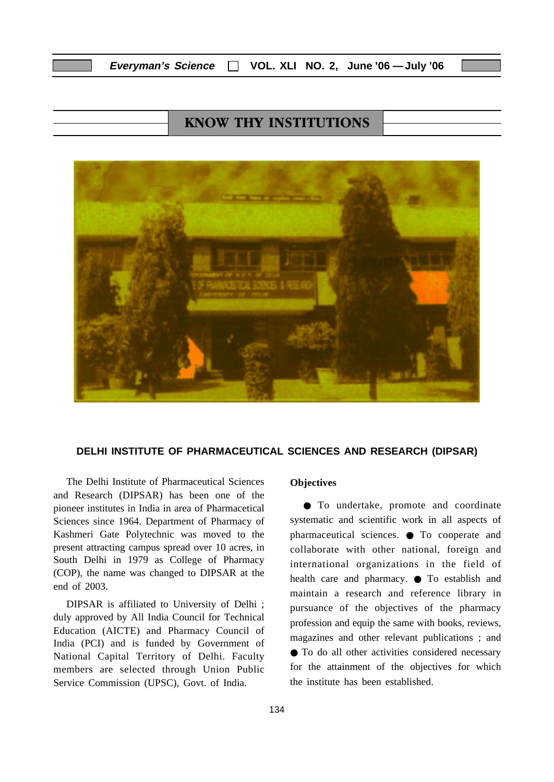# **KNOW THY INSTITUTIONS**



#### **DELHI INSTITUTE OF PHARMACEUTICAL SCIENCES AND RESEARCH (DIPSAR)**

The Delhi Institute of Pharmaceutical Sciences and Research (DIPSAR) has been one of the pioneer institutes in India in area of Pharmacetical Sciences since 1964. Department of Pharmacy of Kashmeri Gate Polytechnic was moved to the present attracting campus spread over 10 acres, in South Delhi in 1979 as College of Pharmacy (COP), the name was changed to DIPSAR at the end of 2003.

DIPSAR is affiliated to University of Delhi ; duly approved by All India Council for Technical Education (AICTE) and Pharmacy Council of India (PCI) and is funded by Government of National Capital Territory of Delhi. Faculty members are selected through Union Public Service Commission (UPSC), Govt. of India.

#### **Objectives**

● To undertake, promote and coordinate systematic and scientific work in all aspects of pharmaceutical sciences. ● To cooperate and collaborate with other national, foreign and international organizations in the field of health care and pharmacy. ● To establish and maintain a research and reference library in pursuance of the objectives of the pharmacy profession and equip the same with books, reviews, magazines and other relevant publications ; and ● To do all other activities considered necessary for the attainment of the objectives for which the institute has been established.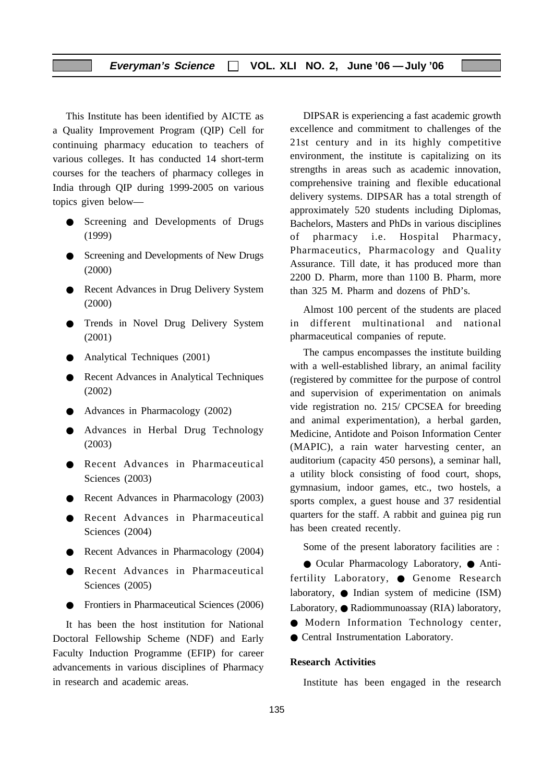This Institute has been identified by AICTE as a Quality Improvement Program (QIP) Cell for continuing pharmacy education to teachers of various colleges. It has conducted 14 short-term courses for the teachers of pharmacy colleges in India through QIP during 1999-2005 on various topics given below—

- Screening and Developments of Drugs (1999)
- Screening and Developments of New Drugs (2000)
- Recent Advances in Drug Delivery System (2000)
- Trends in Novel Drug Delivery System (2001)
- Analytical Techniques (2001)
- Recent Advances in Analytical Techniques (2002)
- Advances in Pharmacology (2002)
- Advances in Herbal Drug Technology (2003)
- Recent Advances in Pharmaceutical Sciences (2003)
- Recent Advances in Pharmacology (2003)
- Recent Advances in Pharmaceutical Sciences (2004)
- Recent Advances in Pharmacology (2004)
- Recent Advances in Pharmaceutical Sciences (2005)
- Frontiers in Pharmaceutical Sciences (2006)

It has been the host institution for National Doctoral Fellowship Scheme (NDF) and Early Faculty Induction Programme (EFIP) for career advancements in various disciplines of Pharmacy in research and academic areas.

DIPSAR is experiencing a fast academic growth excellence and commitment to challenges of the 21st century and in its highly competitive environment, the institute is capitalizing on its strengths in areas such as academic innovation, comprehensive training and flexible educational delivery systems. DIPSAR has a total strength of approximately 520 students including Diplomas, Bachelors, Masters and PhDs in various disciplines of pharmacy i.e. Hospital Pharmacy, Pharmaceutics, Pharmacology and Quality Assurance. Till date, it has produced more than 2200 D. Pharm, more than 1100 B. Pharm, more than 325 M. Pharm and dozens of PhD's.

Almost 100 percent of the students are placed in different multinational and national pharmaceutical companies of repute.

The campus encompasses the institute building with a well-established library, an animal facility (registered by committee for the purpose of control and supervision of experimentation on animals vide registration no. 215/ CPCSEA for breeding and animal experimentation), a herbal garden, Medicine, Antidote and Poison Information Center (MAPIC), a rain water harvesting center, an auditorium (capacity 450 persons), a seminar hall, a utility block consisting of food court, shops, gymnasium, indoor games, etc., two hostels, a sports complex, a guest house and 37 residential quarters for the staff. A rabbit and guinea pig run has been created recently.

Some of the present laboratory facilities are :

● Ocular Pharmacology Laboratory, ● Antifertility Laboratory, ● Genome Research laboratory, ● Indian system of medicine (ISM) Laboratory, ● Radiommunoassay (RIA) laboratory,

- Modern Information Technology center,
- Central Instrumentation Laboratory.

#### **Research Activities**

Institute has been engaged in the research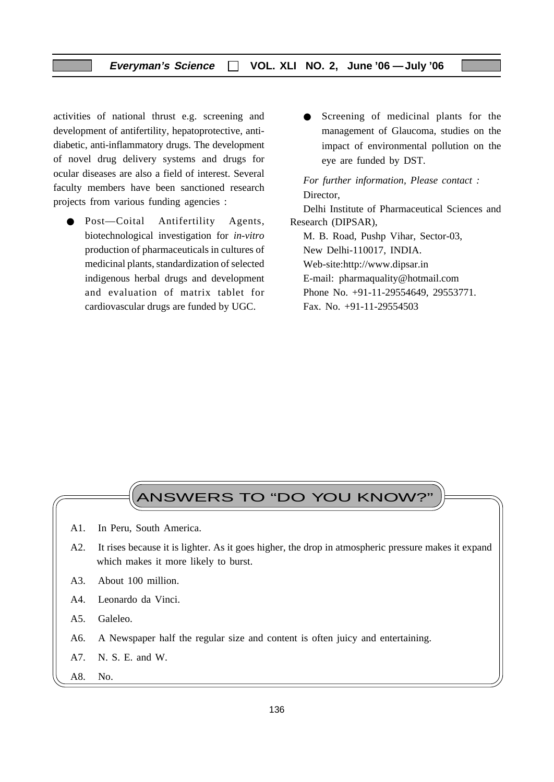#### **Everyman's Science VOL. XLI NO. 2, June '06 —July '06**

activities of national thrust e.g. screening and development of antifertility, hepatoprotective, antidiabetic, anti-inflammatory drugs. The development of novel drug delivery systems and drugs for ocular diseases are also a field of interest. Several faculty members have been sanctioned research projects from various funding agencies :

- Post—Coital Antifertility Agents, biotechnological investigation for *in-vitro* production of pharmaceuticals in cultures of medicinal plants, standardization of selected indigenous herbal drugs and development and evaluation of matrix tablet for cardiovascular drugs are funded by UGC.
- Screening of medicinal plants for the management of Glaucoma, studies on the impact of environmental pollution on the eye are funded by DST.

*For further information, Please contact :* Director, Delhi Institute of Pharmaceutical Sciences and Research (DIPSAR), M. B. Road, Pushp Vihar, Sector-03, New Delhi-110017, INDIA.

Web-site:http://www.dipsar.in

E-mail: pharmaquality@hotmail.com

Phone No. +91-11-29554649, 29553771.

Fax. No. +91-11-29554503

# ANSWERS TO "DO YOU KNOW?

- A1. In Peru, South America.
- A2. It rises because it is lighter. As it goes higher, the drop in atmospheric pressure makes it expand which makes it more likely to burst.
- A3. About 100 million.
- A4. Leonardo da Vinci.
- A5. Galeleo.
- A6. A Newspaper half the regular size and content is often juicy and entertaining.
- A7. N. S. E. and W.
- A8. No.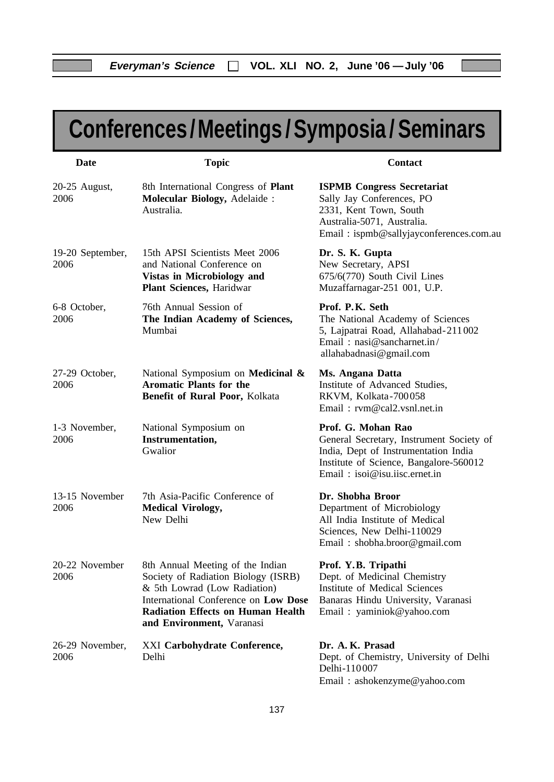# **Conferences /Meetings / Symposia / Seminars**

| Date                     | <b>Topic</b>                                                                                                                                                                                                             | Contact                                                                                                                                                                           |
|--------------------------|--------------------------------------------------------------------------------------------------------------------------------------------------------------------------------------------------------------------------|-----------------------------------------------------------------------------------------------------------------------------------------------------------------------------------|
| 20-25 August,<br>2006    | 8th International Congress of Plant<br><b>Molecular Biology, Adelaide:</b><br>Australia.                                                                                                                                 | <b>ISPMB Congress Secretariat</b><br>Sally Jay Conferences, PO<br>2331, Kent Town, South<br>Australia-5071, Australia.<br>Email: ispmb@sallyjayconferences.com.au                 |
| 19-20 September,<br>2006 | 15th APSI Scientists Meet 2006<br>and National Conference on<br><b>Vistas in Microbiology and</b><br>Plant Sciences, Haridwar                                                                                            | Dr. S. K. Gupta<br>New Secretary, APSI<br>675/6(770) South Civil Lines<br>Muzaffarnagar-251 001, U.P.                                                                             |
| 6-8 October,<br>2006     | 76th Annual Session of<br>The Indian Academy of Sciences,<br>Mumbai                                                                                                                                                      | Prof. P.K. Seth<br>The National Academy of Sciences<br>5, Lajpatrai Road, Allahabad-211002<br>Email: nasi@sancharnet.in/<br>allahabadnasi@gmail.com                               |
| 27-29 October,<br>2006   | National Symposium on Medicinal &<br><b>Aromatic Plants for the</b><br>Benefit of Rural Poor, Kolkata                                                                                                                    | Ms. Angana Datta<br>Institute of Advanced Studies,<br>RKVM, Kolkata-700058<br>Email: rvm@cal2.vsnl.net.in                                                                         |
| 1-3 November,<br>2006    | National Symposium on<br>Instrumentation,<br>Gwalior                                                                                                                                                                     | Prof. G. Mohan Rao<br>General Secretary, Instrument Society of<br>India, Dept of Instrumentation India<br>Institute of Science, Bangalore-560012<br>Email: isoi@isu.iisc.ernet.in |
| 13-15 November<br>2006   | 7th Asia-Pacific Conference of<br><b>Medical Virology,</b><br>New Delhi                                                                                                                                                  | Dr. Shobha Broor<br>Department of Microbiology<br>All India Institute of Medical<br>Sciences, New Delhi-110029<br>Email: shobha.broor@gmail.com                                   |
| 20-22 November<br>2006   | 8th Annual Meeting of the Indian<br>Society of Radiation Biology (ISRB)<br>& 5th Lowrad (Low Radiation)<br>International Conference on Low Dose<br><b>Radiation Effects on Human Health</b><br>and Environment, Varanasi | Prof. Y.B. Tripathi<br>Dept. of Medicinal Chemistry<br><b>Institute of Medical Sciences</b><br>Banaras Hindu University, Varanasi<br>Email: yaminiok@yahoo.com                    |
| 26-29 November,<br>2006  | XXI Carbohydrate Conference,<br>Delhi                                                                                                                                                                                    | Dr. A. K. Prasad<br>Dept. of Chemistry, University of Delhi<br>Delhi-110007<br>Email: ashokenzyme@yahoo.com                                                                       |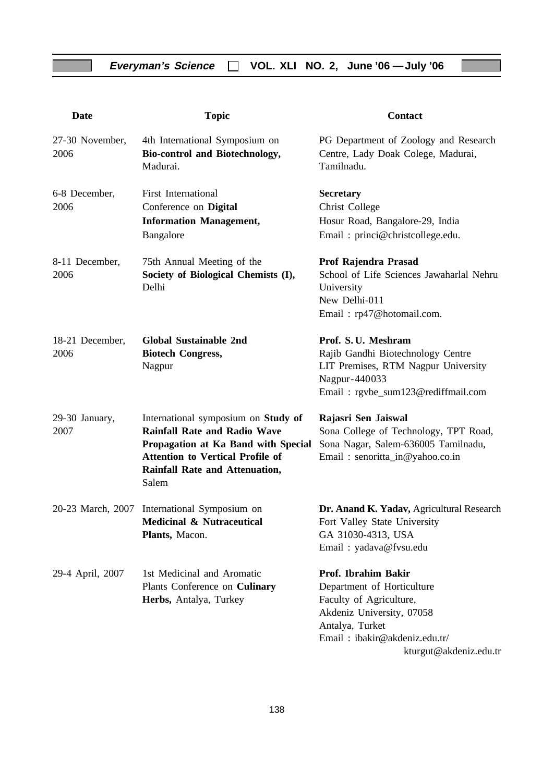| <b>Date</b>             | <b>Topic</b>                                                                                                                                                                                            | Contact                                                                                                                                                       |
|-------------------------|---------------------------------------------------------------------------------------------------------------------------------------------------------------------------------------------------------|---------------------------------------------------------------------------------------------------------------------------------------------------------------|
| 27-30 November,<br>2006 | 4th International Symposium on<br>Bio-control and Biotechnology,<br>Madurai.                                                                                                                            | PG Department of Zoology and Research<br>Centre, Lady Doak Colege, Madurai,<br>Tamilnadu.                                                                     |
| 6-8 December,<br>2006   | First International<br>Conference on Digital<br><b>Information Management,</b><br>Bangalore                                                                                                             | <b>Secretary</b><br>Christ College<br>Hosur Road, Bangalore-29, India<br>Email: princi@christcollege.edu.                                                     |
| 8-11 December,<br>2006  | 75th Annual Meeting of the<br>Society of Biological Chemists (I),<br>Delhi                                                                                                                              | Prof Rajendra Prasad<br>School of Life Sciences Jawaharlal Nehru<br>University<br>New Delhi-011<br>Email: rp47@hotomail.com.                                  |
| 18-21 December,<br>2006 | <b>Global Sustainable 2nd</b><br><b>Biotech Congress,</b><br>Nagpur                                                                                                                                     | Prof. S. U. Meshram<br>Rajib Gandhi Biotechnology Centre<br>LIT Premises, RTM Nagpur University<br>Nagpur-440033<br>Email: rgvbe_sum123@rediffmail.com        |
| 29-30 January,<br>2007  | International symposium on Study of<br><b>Rainfall Rate and Radio Wave</b><br>Propagation at Ka Band with Special<br><b>Attention to Vertical Profile of</b><br>Rainfall Rate and Attenuation,<br>Salem | Rajasri Sen Jaiswal<br>Sona College of Technology, TPT Road,<br>Sona Nagar, Salem-636005 Tamilnadu,<br>Email: senoritta_in@yahoo.co.in                        |
| 20-23 March, 2007       | International Symposium on<br><b>Medicinal &amp; Nutraceutical</b><br>Plants, Macon.                                                                                                                    | Dr. Anand K. Yadav, Agricultural Research<br>Fort Valley State University<br>GA 31030-4313, USA<br>Email: yadava@fvsu.edu                                     |
| 29-4 April, 2007        | 1st Medicinal and Aromatic<br>Plants Conference on Culinary<br>Herbs, Antalya, Turkey                                                                                                                   | Prof. Ibrahim Bakir<br>Department of Horticulture<br>Faculty of Agriculture,<br>Akdeniz University, 07058<br>Antalya, Turket<br>Email: ibakir@akdeniz.edu.tr/ |

kturgut@akdeniz.edu.tr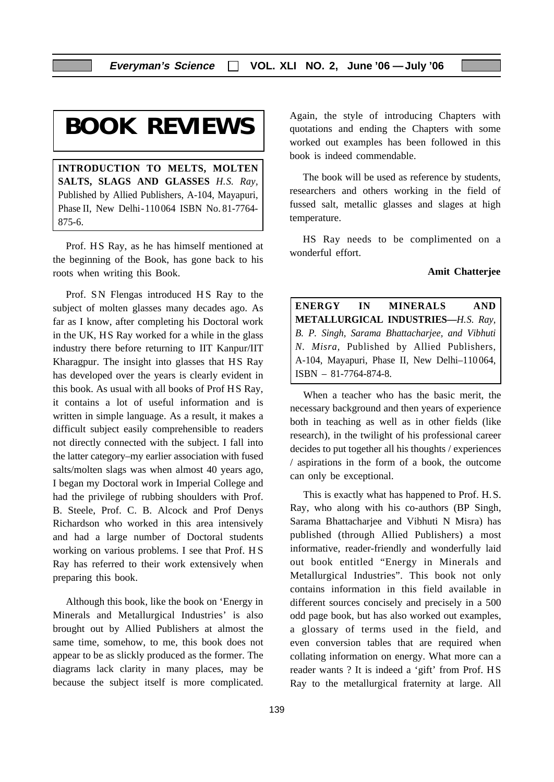# **BOOK REVIEWS**

**INTRODUCTION TO MELTS, MOLTEN SALTS, SLAGS AND GLASSES** *H.S. Ray,* Published by Allied Publishers, A-104, Mayapuri, Phase II, New Delhi-110 064 ISBN No. 81-7764- 875-6.

Prof. HS Ray, as he has himself mentioned at the beginning of the Book, has gone back to his roots when writing this Book.

Prof. SN Flengas introduced HS Ray to the subject of molten glasses many decades ago. As far as I know, after completing his Doctoral work in the UK, HS Ray worked for a while in the glass industry there before returning to IIT Kanpur/IIT Kharagpur. The insight into glasses that HS Ray has developed over the years is clearly evident in this book. As usual with all books of Prof HS Ray, it contains a lot of useful information and is written in simple language. As a result, it makes a difficult subject easily comprehensible to readers not directly connected with the subject. I fall into the latter category–my earlier association with fused salts/molten slags was when almost 40 years ago, I began my Doctoral work in Imperial College and had the privilege of rubbing shoulders with Prof. B. Steele, Prof. C. B. Alcock and Prof Denys Richardson who worked in this area intensively and had a large number of Doctoral students working on various problems. I see that Prof. H S Ray has referred to their work extensively when preparing this book.

Although this book, like the book on 'Energy in Minerals and Metallurgical Industries' is also brought out by Allied Publishers at almost the same time, somehow, to me, this book does not appear to be as slickly produced as the former. The diagrams lack clarity in many places, may be because the subject itself is more complicated. Again, the style of introducing Chapters with quotations and ending the Chapters with some worked out examples has been followed in this book is indeed commendable.

The book will be used as reference by students, researchers and others working in the field of fussed salt, metallic glasses and slages at high temperature.

HS Ray needs to be complimented on a wonderful effort.

#### **Amit Chatterjee**

**ENERGY IN MINERALS AND METALLURGICAL INDUSTRIES—***H.S. Ray, B. P. Singh, Sarama Bhattacharjee, and Vibhuti N. Misra,* Published by Allied Publishers, A-104, Mayapuri, Phase II, New Delhi–110 064, ISBN – 81-7764-874-8.

When a teacher who has the basic merit, the necessary background and then years of experience both in teaching as well as in other fields (like research), in the twilight of his professional career decides to put together all his thoughts / experiences / aspirations in the form of a book, the outcome can only be exceptional.

This is exactly what has happened to Prof. H.S. Ray, who along with his co-authors (BP Singh, Sarama Bhattacharjee and Vibhuti N Misra) has published (through Allied Publishers) a most informative, reader-friendly and wonderfully laid out book entitled "Energy in Minerals and Metallurgical Industries". This book not only contains information in this field available in different sources concisely and precisely in a 500 odd page book, but has also worked out examples, a glossary of terms used in the field, and even conversion tables that are required when collating information on energy. What more can a reader wants ? It is indeed a 'gift' from Prof. HS Ray to the metallurgical fraternity at large. All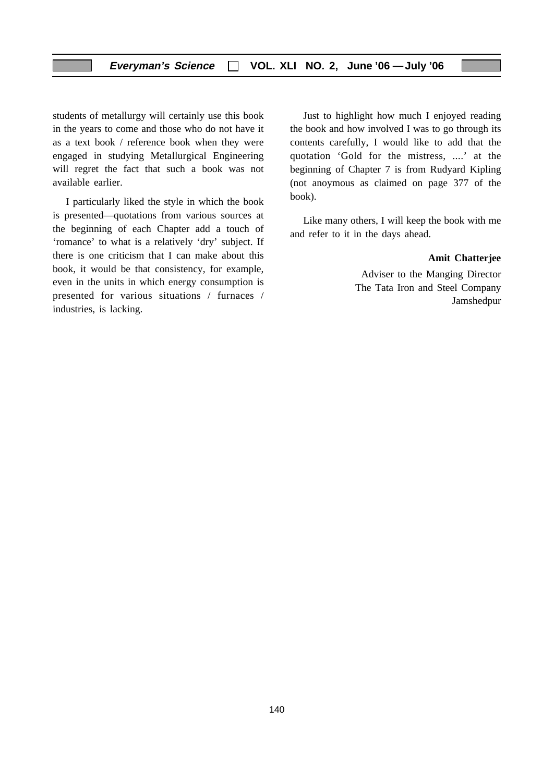students of metallurgy will certainly use this book in the years to come and those who do not have it as a text book / reference book when they were engaged in studying Metallurgical Engineering will regret the fact that such a book was not available earlier.

I particularly liked the style in which the book is presented—quotations from various sources at the beginning of each Chapter add a touch of 'romance' to what is a relatively 'dry' subject. If there is one criticism that I can make about this book, it would be that consistency, for example, even in the units in which energy consumption is presented for various situations / furnaces / industries, is lacking.

Just to highlight how much I enjoyed reading the book and how involved I was to go through its contents carefully, I would like to add that the quotation 'Gold for the mistress, ....' at the beginning of Chapter 7 is from Rudyard Kipling (not anoymous as claimed on page 377 of the book).

Like many others, I will keep the book with me and refer to it in the days ahead.

#### **Amit Chatterjee**

Adviser to the Manging Director The Tata Iron and Steel Company Jamshedpur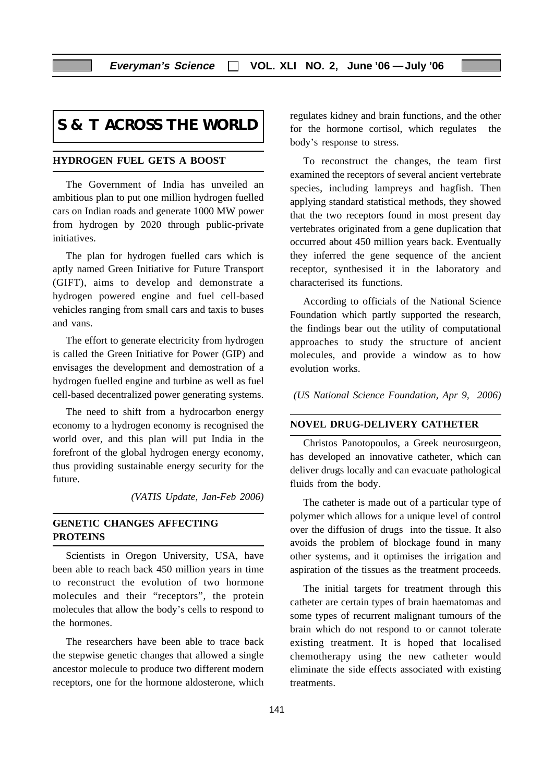# **S & T ACROSS THE WORLD**

#### **HYDROGEN FUEL GETS A BOOST**

The Government of India has unveiled an ambitious plan to put one million hydrogen fuelled cars on Indian roads and generate 1000 MW power from hydrogen by 2020 through public-private initiatives.

The plan for hydrogen fuelled cars which is aptly named Green Initiative for Future Transport (GIFT), aims to develop and demonstrate a hydrogen powered engine and fuel cell-based vehicles ranging from small cars and taxis to buses and vans.

The effort to generate electricity from hydrogen is called the Green Initiative for Power (GIP) and envisages the development and demostration of a hydrogen fuelled engine and turbine as well as fuel cell-based decentralized power generating systems.

The need to shift from a hydrocarbon energy economy to a hydrogen economy is recognised the world over, and this plan will put India in the forefront of the global hydrogen energy economy, thus providing sustainable energy security for the future.

*(VATIS Update, Jan-Feb 2006)*

#### **GENETIC CHANGES AFFECTING PROTEINS**

Scientists in Oregon University, USA, have been able to reach back 450 million years in time to reconstruct the evolution of two hormone molecules and their "receptors", the protein molecules that allow the body's cells to respond to the hormones.

The researchers have been able to trace back the stepwise genetic changes that allowed a single ancestor molecule to produce two different modern receptors, one for the hormone aldosterone, which

regulates kidney and brain functions, and the other for the hormone cortisol, which regulates the body's response to stress.

To reconstruct the changes, the team first examined the receptors of several ancient vertebrate species, including lampreys and hagfish. Then applying standard statistical methods, they showed that the two receptors found in most present day vertebrates originated from a gene duplication that occurred about 450 million years back. Eventually they inferred the gene sequence of the ancient receptor, synthesised it in the laboratory and characterised its functions.

According to officials of the National Science Foundation which partly supported the research, the findings bear out the utility of computational approaches to study the structure of ancient molecules, and provide a window as to how evolution works.

*(US National Science Foundation, Apr 9, 2006)*

#### **NOVEL DRUG-DELIVERY CATHETER**

Christos Panotopoulos, a Greek neurosurgeon, has developed an innovative catheter, which can deliver drugs locally and can evacuate pathological fluids from the body.

The catheter is made out of a particular type of polymer which allows for a unique level of control over the diffusion of drugs into the tissue. It also avoids the problem of blockage found in many other systems, and it optimises the irrigation and aspiration of the tissues as the treatment proceeds.

The initial targets for treatment through this catheter are certain types of brain haematomas and some types of recurrent malignant tumours of the brain which do not respond to or cannot tolerate existing treatment. It is hoped that localised chemotherapy using the new catheter would eliminate the side effects associated with existing treatments.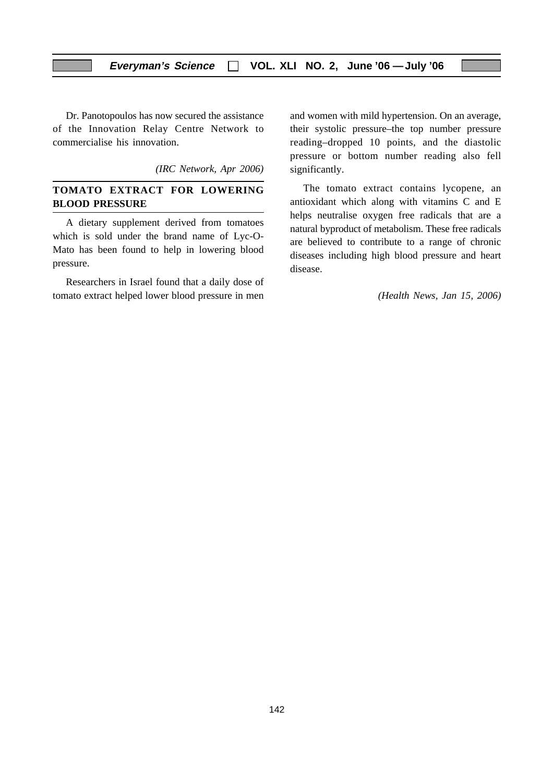#### **Everyman's Science VOL. XLI NO. 2, June '06 —July '06**

Dr. Panotopoulos has now secured the assistance of the Innovation Relay Centre Network to commercialise his innovation.

*(IRC Network, Apr 2006)*

#### **TOMATO EXTRACT FOR LOWERING BLOOD PRESSURE**

A dietary supplement derived from tomatoes which is sold under the brand name of Lyc-O-Mato has been found to help in lowering blood pressure.

Researchers in Israel found that a daily dose of tomato extract helped lower blood pressure in men

and women with mild hypertension. On an average, their systolic pressure–the top number pressure reading–dropped 10 points, and the diastolic pressure or bottom number reading also fell significantly.

The tomato extract contains lycopene, an antioxidant which along with vitamins C and E helps neutralise oxygen free radicals that are a natural byproduct of metabolism. These free radicals are believed to contribute to a range of chronic diseases including high blood pressure and heart disease.

*(Health News, Jan 15, 2006)*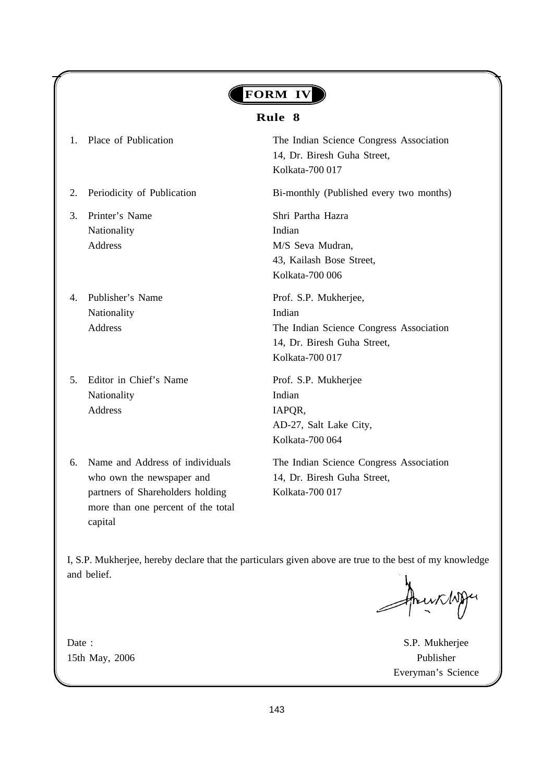# **FORM IV**

**Everyman's Science VOL. XLI NO. 2, June '06 —July '06**

#### **Rule 8**

- 
- 
- 3. Printer's Name Shri Partha Hazra Nationality Indian
- 4. Publisher's Name Prof. S.P. Mukherjee, Nationality Indian
- 5. Editor in Chief's Name Prof. S.P. Mukherjee Nationality Indian Address IAPOR,
- who own the newspaper and 14, Dr. Biresh Guha Street, partners of Shareholders holding Kolkata-700 017 more than one percent of the total capital

1. Place of Publication The Indian Science Congress Association 14, Dr. Biresh Guha Street, Kolkata-700 017

2. Periodicity of Publication Bi-monthly (Published every two months)

Address M/S Seva Mudran, 43, Kailash Bose Street, Kolkata-700 006

Address The Indian Science Congress Association 14, Dr. Biresh Guha Street, Kolkata-700 017

> AD-27, Salt Lake City, Kolkata-700 064

6. Name and Address of individuals The Indian Science Congress Association

I, S.P. Mukherjee, hereby declare that the particulars given above are true to the best of my knowledge and belief.

Date : S.P. Mukherjee Everyman's Science

15th May, 2006 Publisher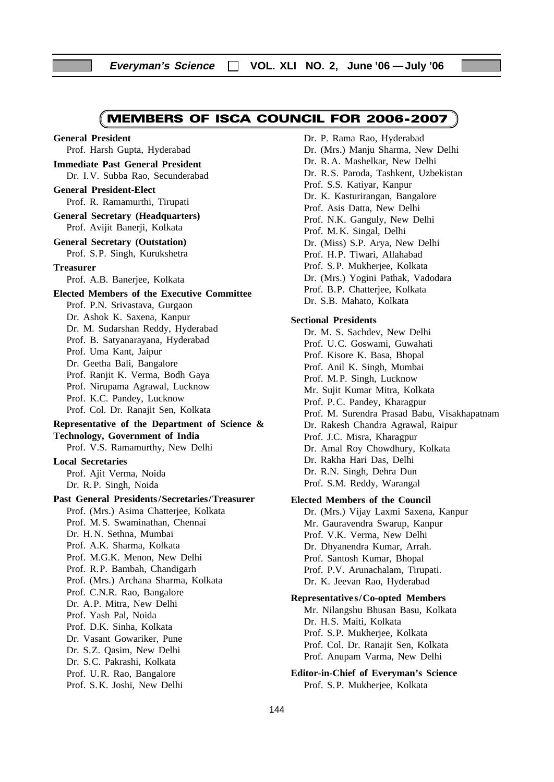## MEMBERS OF ISCA COUNCIL FOR 2006-2007

**General President** Prof. Harsh Gupta, Hyderabad **Immediate Past General President** Dr. I.V. Subba Rao, Secunderabad **General President-Elect** Prof. R. Ramamurthi, Tirupati **General Secretary (Headquarters)** Prof. Avijit Banerji, Kolkata **General Secretary (Outstation)** Prof. S.P. Singh, Kurukshetra **Treasurer** Prof. A.B. Banerjee, Kolkata **Elected Members of the Executive Committee** Prof. P.N. Srivastava, Gurgaon Dr. Ashok K. Saxena, Kanpur Dr. M. Sudarshan Reddy, Hyderabad Prof. B. Satyanarayana, Hyderabad Prof. Uma Kant, Jaipur Dr. Geetha Bali, Bangalore Prof. Ranjit K. Verma, Bodh Gaya Prof. Nirupama Agrawal, Lucknow Prof. K.C. Pandey, Lucknow Prof. Col. Dr. Ranajit Sen, Kolkata **Representative of the Department of Science & Technology, Government of India** Prof. V.S. Ramamurthy, New Delhi **Local Secretaries** Prof. Ajit Verma, Noida Dr. R. P. Singh, Noida **Past General Presidents /Secretaries/Treasurer** Prof. (Mrs.) Asima Chatterjee, Kolkata Prof. M. S. Swaminathan, Chennai Dr. H. N. Sethna, Mumbai Prof. A.K. Sharma, Kolkata Prof. M.G.K. Menon, New Delhi Prof. R.P. Bambah, Chandigarh Prof. (Mrs.) Archana Sharma, Kolkata Prof. C.N.R. Rao, Bangalore Dr. A.P. Mitra, New Delhi Prof. Yash Pal, Noida Prof. D.K. Sinha, Kolkata Dr. Vasant Gowariker, Pune Dr. S.Z. Qasim, New Delhi Dr. S.C. Pakrashi, Kolkata Prof. U.R. Rao, Bangalore Prof. S. K. Joshi, New Delhi

Dr. P. Rama Rao, Hyderabad Dr. (Mrs.) Manju Sharma, New Delhi Dr. R. A. Mashelkar, New Delhi Dr. R. S. Paroda, Tashkent, Uzbekistan Prof. S.S. Katiyar, Kanpur Dr. K. Kasturirangan, Bangalore Prof. Asis Datta, New Delhi Prof. N.K. Ganguly, New Delhi Prof. M. K. Singal, Delhi Dr. (Miss) S.P. Arya, New Delhi Prof. H.P. Tiwari, Allahabad Prof. S.P. Mukherjee, Kolkata Dr. (Mrs.) Yogini Pathak, Vadodara Prof. B.P. Chatterjee, Kolkata Dr. S.B. Mahato, Kolkata

#### **Sectional Presidents**

Dr. M. S. Sachdev, New Delhi Prof. U.C. Goswami, Guwahati Prof. Kisore K. Basa, Bhopal Prof. Anil K. Singh, Mumbai Prof. M.P. Singh, Lucknow Mr. Sujit Kumar Mitra, Kolkata Prof. P.C. Pandey, Kharagpur Prof. M. Surendra Prasad Babu, Visakhapatnam Dr. Rakesh Chandra Agrawal, Raipur Prof. J.C. Misra, Kharagpur Dr. Amal Roy Chowdhury, Kolkata Dr. Rakha Hari Das, Delhi Dr. R.N. Singh, Dehra Dun Prof. S.M. Reddy, Warangal

#### **Elected Members of the Council**

Dr. (Mrs.) Vijay Laxmi Saxena, Kanpur Mr. Gauravendra Swarup, Kanpur Prof. V.K. Verma, New Delhi Dr. Dhyanendra Kumar, Arrah. Prof. Santosh Kumar, Bhopal Prof. P.V. Arunachalam, Tirupati. Dr. K. Jeevan Rao, Hyderabad

#### **Representatives/Co-opted Members**

Mr. Nilangshu Bhusan Basu, Kolkata Dr. H.S. Maiti, Kolkata Prof. S.P. Mukherjee, Kolkata Prof. Col. Dr. Ranajit Sen, Kolkata Prof. Anupam Varma, New Delhi

**Editor-in-Chief of Everyman's Science** Prof. S.P. Mukherjee, Kolkata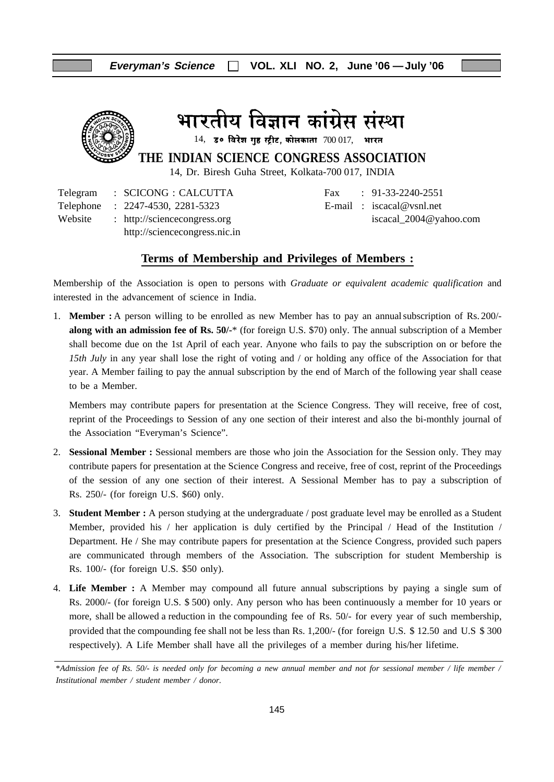

भारतीय विज्ञान कांग्रेस संस्था

 $14$ , उ० विरेश गुह स्ट्रीट, कोलकाता  $700017$ , भारत

**THE INDIAN SCIENCE CONGRESS ASSOCIATION**

14, Dr. Biresh Guha Street, Kolkata-700 017, INDIA

Telegram : SCICONG : CALCUTTA Fax : 91-33-2240-2551 Telephone : 2247-4530, 2281-5323 E-mail : iscacal@vsnl.net Website : http://sciencecongress.org iscacal\_2004@yahoo.com http://sciencecongress.nic.in

#### **Terms of Membership and Privileges of Members :**

Membership of the Association is open to persons with *Graduate or equivalent academic qualification* and interested in the advancement of science in India.

1. **Member :** A person willing to be enrolled as new Member has to pay an annualsubscription of Rs. 200/ **along with an admission fee of Rs. 50/-**\* (for foreign U.S. \$70) only. The annual subscription of a Member shall become due on the 1st April of each year. Anyone who fails to pay the subscription on or before the *15th July* in any year shall lose the right of voting and / or holding any office of the Association for that year. A Member failing to pay the annual subscription by the end of March of the following year shall cease to be a Member.

Members may contribute papers for presentation at the Science Congress. They will receive, free of cost, reprint of the Proceedings to Session of any one section of their interest and also the bi-monthly journal of the Association "Everyman's Science".

- 2. **Sessional Member :** Sessional members are those who join the Association for the Session only. They may contribute papers for presentation at the Science Congress and receive, free of cost, reprint of the Proceedings of the session of any one section of their interest. A Sessional Member has to pay a subscription of Rs. 250/- (for foreign U.S. \$60) only.
- 3. **Student Member :** A person studying at the undergraduate / post graduate level may be enrolled as a Student Member, provided his / her application is duly certified by the Principal / Head of the Institution / Department. He / She may contribute papers for presentation at the Science Congress, provided such papers are communicated through members of the Association. The subscription for student Membership is Rs. 100/- (for foreign U.S. \$50 only).
- 4. **Life Member :** A Member may compound all future annual subscriptions by paying a single sum of Rs. 2000/- (for foreign U.S. \$ 500) only. Any person who has been continuously a member for 10 years or more, shall be allowed a reduction in the compounding fee of Rs. 50/- for every year of such membership, provided that the compounding fee shall not be less than Rs. 1,200/- (for foreign U.S. \$ 12.50 and U.S \$ 300 respectively). A Life Member shall have all the privileges of a member during his/her lifetime.

\**Admission fee of Rs. 50/- is needed only for becoming a new annual member and not for sessional member / life member / Institutional member / student member / donor.*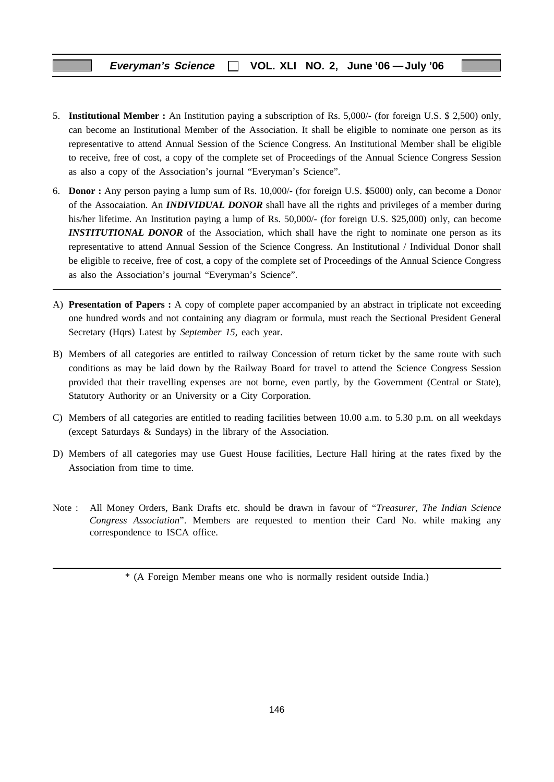- 5. **Institutional Member :** An Institution paying a subscription of Rs. 5,000/- (for foreign U.S. \$ 2,500) only, can become an Institutional Member of the Association. It shall be eligible to nominate one person as its representative to attend Annual Session of the Science Congress. An Institutional Member shall be eligible to receive, free of cost, a copy of the complete set of Proceedings of the Annual Science Congress Session as also a copy of the Association's journal "Everyman's Science".
- 6. **Donor :** Any person paying a lump sum of Rs. 10,000/- (for foreign U.S. \$5000) only, can become a Donor of the Assocaiation. An *INDIVIDUAL DONOR* shall have all the rights and privileges of a member during his/her lifetime. An Institution paying a lump of Rs. 50,000/- (for foreign U.S. \$25,000) only, can become *INSTITUTIONAL DONOR* of the Association, which shall have the right to nominate one person as its representative to attend Annual Session of the Science Congress. An Institutional / Individual Donor shall be eligible to receive, free of cost, a copy of the complete set of Proceedings of the Annual Science Congress as also the Association's journal "Everyman's Science".
- A) **Presentation of Papers :** A copy of complete paper accompanied by an abstract in triplicate not exceeding one hundred words and not containing any diagram or formula, must reach the Sectional President General Secretary (Hqrs) Latest by *September 15*, each year.
- B) Members of all categories are entitled to railway Concession of return ticket by the same route with such conditions as may be laid down by the Railway Board for travel to attend the Science Congress Session provided that their travelling expenses are not borne, even partly, by the Government (Central or State), Statutory Authority or an University or a City Corporation.
- C) Members of all categories are entitled to reading facilities between 10.00 a.m. to 5.30 p.m. on all weekdays (except Saturdays & Sundays) in the library of the Association.
- D) Members of all categories may use Guest House facilities, Lecture Hall hiring at the rates fixed by the Association from time to time.
- Note : All Money Orders, Bank Drafts etc. should be drawn in favour of "*Treasurer, The Indian Science Congress Association*". Members are requested to mention their Card No. while making any correspondence to ISCA office.

<sup>\* (</sup>A Foreign Member means one who is normally resident outside India.)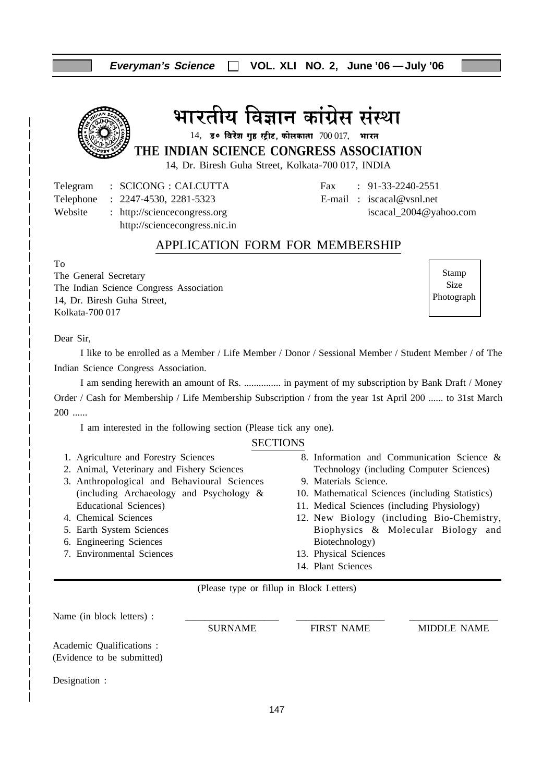#### **Everyman's Science VOL. XLI NO. 2, June '06 —July '06**

# भारतीय विज्ञान कांग्रेस संस्था

14, 30 विरेश गृह स्ट्रीट, कोलकाता  $700017$ , भारत

**THE INDIAN SCIENCE CONGRESS ASSOCIATION**

14, Dr. Biresh Guha Street, Kolkata-700 017, INDIA

Telegram : SCICONG : CALCUTTA Fax : 91-33-2240-2551

http://sciencecongress.nic.in

Telephone : 2247-4530, 2281-5323 E-mail : iscacal@vsnl.net Website : http://sciencecongress.org iscacal\_2004@yahoo.com

#### APPLICATION FORM FOR MEMBERSHIP

To

The General Secretary The Indian Science Congress Association 14, Dr. Biresh Guha Street, Kolkata-700 017

Stamp Size Photograph

#### Dear Sir,

I like to be enrolled as a Member / Life Member / Donor / Sessional Member / Student Member / of The Indian Science Congress Association.

I am sending herewith an amount of Rs. ............... in payment of my subscription by Bank Draft / Money Order / Cash for Membership / Life Membership Subscription / from the year 1st April 200 ...... to 31st March 200 ......

I am interested in the following section (Please tick any one).

#### **SECTIONS**

- 1. Agriculture and Forestry Sciences
- 2. Animal, Veterinary and Fishery Sciences
- 3. Anthropological and Behavioural Sciences (including Archaeology and Psychology & Educational Sciences)
- 4. Chemical Sciences
- 5. Earth System Sciences
- 6. Engineering Sciences
- 7. Environmental Sciences
- 8. Information and Communication Science & Technology (including Computer Sciences)
- 9. Materials Science.
- 10. Mathematical Sciences (including Statistics)
- 11. Medical Sciences (including Physiology)
- 12. New Biology (including Bio-Chemistry, Biophysics & Molecular Biology and Biotechnology)
- 13. Physical Sciences
- 14. Plant Sciences

(Please type or fillup in Block Letters)

Name (in block letters) : SURNAME FIRST NAME MIDDLE NAME Academic Qualifications : (Evidence to be submitted) Designation :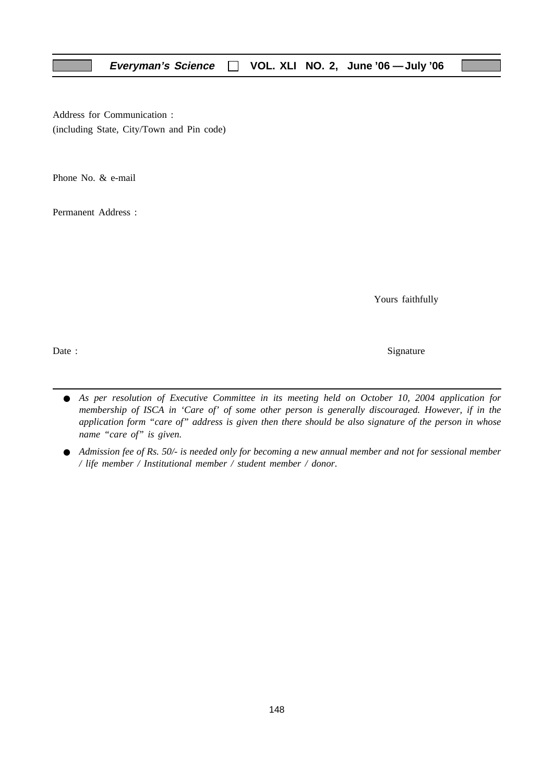Address for Communication : (including State, City/Town and Pin code)

Phone No. & e-mail

Permanent Address :

Yours faithfully

Date : Signature  $\sum_{n=1}^{\infty}$  Signature

- *As per resolution of Executive Committee in its meeting held on October 10, 2004 application for membership of ISCA in 'Care of' of some other person is generally discouraged. However, if in the application form "care of" address is given then there should be also signature of the person in whose name "care of" is given.*
- *Admission fee of Rs. 50/- is needed only for becoming a new annual member and not for sessional member / life member / Institutional member / student member / donor.*